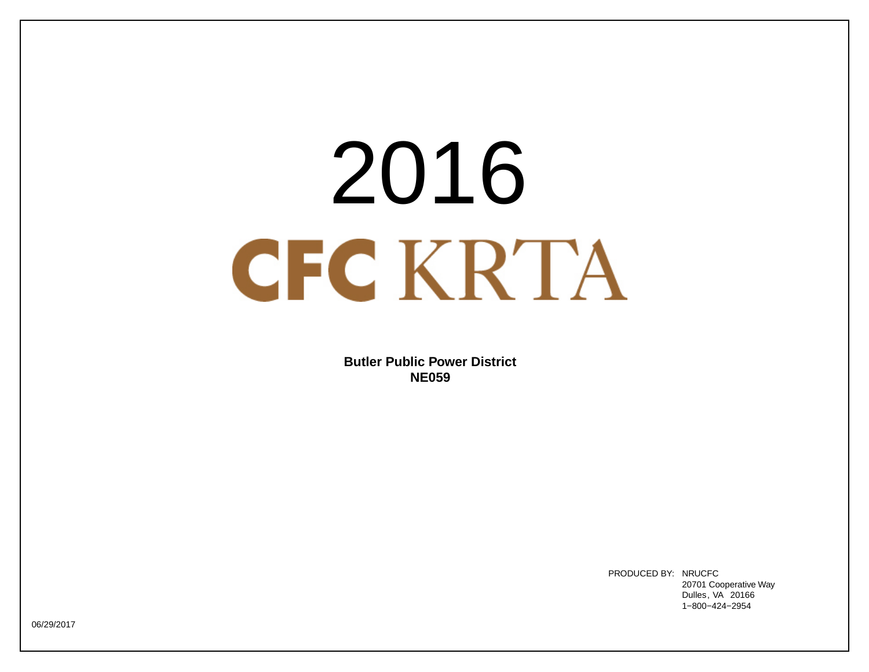# 2016<br>CKRTA<br>Butler Public Power District<br>NE059<br>PRODUCED BY: NEUCE

**Butler Public Power District NE059**

> PRODUCED BY: NRUCFC 20701 Cooperative Way Dulles, VA 20166

06/29/2017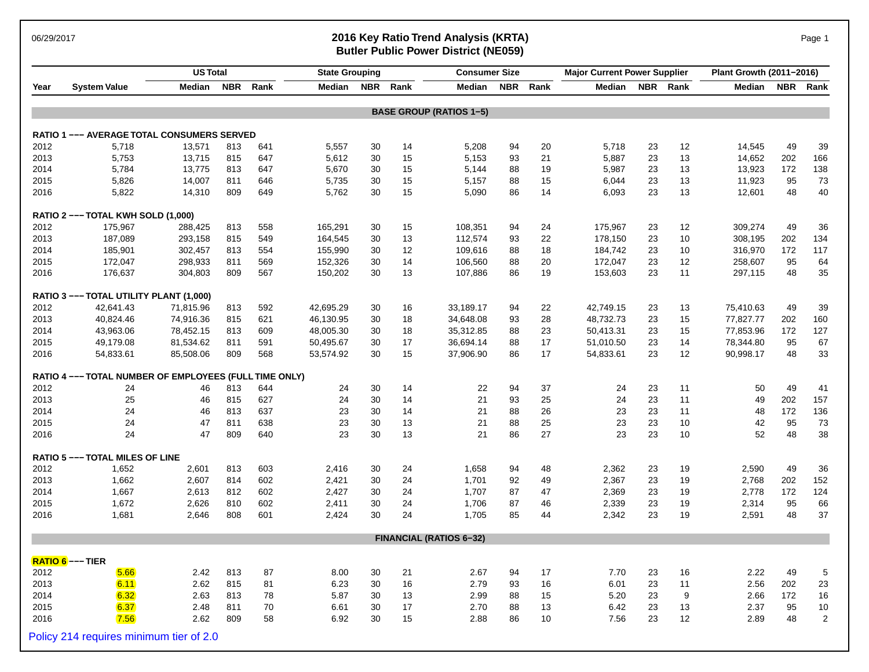### 06/29/2017 **2016 Key Ratio Trend Analysis (KRTA)** Page 1 **Butler Public Power District (NE059)**

|      |                                                        | <b>US Total</b> |            |      | <b>State Grouping</b> |    |          | <b>Consumer Size</b>           |            |      | <b>Major Current Power Supplier</b> |    |          | Plant Growth (2011-2016) |     |                |
|------|--------------------------------------------------------|-----------------|------------|------|-----------------------|----|----------|--------------------------------|------------|------|-------------------------------------|----|----------|--------------------------|-----|----------------|
| Year | <b>System Value</b>                                    | Median          | <b>NBR</b> | Rank | Median                |    | NBR Rank | Median                         | <b>NBR</b> | Rank | Median                              |    | NBR Rank | Median NBR               |     | Rank           |
|      |                                                        |                 |            |      |                       |    |          | <b>BASE GROUP (RATIOS 1-5)</b> |            |      |                                     |    |          |                          |     |                |
|      | <b>RATIO 1 --- AVERAGE TOTAL CONSUMERS SERVED</b>      |                 |            |      |                       |    |          |                                |            |      |                                     |    |          |                          |     |                |
| 2012 | 5,718                                                  | 13,571          | 813        | 641  | 5,557                 | 30 | 14       | 5,208                          | 94         | 20   | 5,718                               | 23 | 12       | 14,545                   | 49  | 39             |
| 2013 | 5,753                                                  | 13,715          | 815        | 647  | 5,612                 | 30 | 15       | 5,153                          | 93         | 21   | 5,887                               | 23 | 13       | 14,652                   | 202 | 166            |
| 2014 | 5,784                                                  | 13,775          | 813        | 647  | 5,670                 | 30 | 15       | 5,144                          | 88         | 19   | 5,987                               | 23 | 13       | 13,923                   | 172 | 138            |
| 2015 | 5,826                                                  | 14,007          | 811        | 646  | 5,735                 | 30 | 15       | 5,157                          | 88         | 15   | 6,044                               | 23 | 13       | 11,923                   | 95  | 73             |
| 2016 | 5,822                                                  | 14,310          | 809        | 649  | 5,762                 | 30 | 15       | 5,090                          | 86         | 14   | 6,093                               | 23 | 13       | 12,601                   | 48  | 40             |
|      | RATIO 2 --- TOTAL KWH SOLD (1,000)                     |                 |            |      |                       |    |          |                                |            |      |                                     |    |          |                          |     |                |
| 2012 | 175,967                                                | 288,425         | 813        | 558  | 165,291               | 30 | 15       | 108,351                        | 94         | 24   | 175,967                             | 23 | 12       | 309,274                  | 49  | 36             |
| 2013 | 187,089                                                | 293,158         | 815        | 549  | 164,545               | 30 | 13       | 112,574                        | 93         | 22   | 178,150                             | 23 | 10       | 308,195                  | 202 | 134            |
| 2014 | 185,901                                                | 302,457         | 813        | 554  | 155,990               | 30 | 12       | 109,616                        | 88         | 18   | 184,742                             | 23 | 10       | 316,970                  | 172 | 117            |
| 2015 | 172,047                                                | 298,933         | 811        | 569  | 152,326               | 30 | 14       | 106,560                        | 88         | 20   | 172,047                             | 23 | 12       | 258,607                  | 95  | 64             |
| 2016 | 176,637                                                | 304,803         | 809        | 567  | 150,202               | 30 | 13       | 107,886                        | 86         | 19   | 153,603                             | 23 | 11       | 297,115                  | 48  | 35             |
|      | RATIO 3 --- TOTAL UTILITY PLANT (1,000)                |                 |            |      |                       |    |          |                                |            |      |                                     |    |          |                          |     |                |
| 2012 | 42,641.43                                              | 71,815.96       | 813        | 592  | 42,695.29             | 30 | 16       | 33,189.17                      | 94         | 22   | 42,749.15                           | 23 | 13       | 75,410.63                | 49  | 39             |
| 2013 | 40,824.46                                              | 74,916.36       | 815        | 621  | 46,130.95             | 30 | 18       | 34,648.08                      | 93         | 28   | 48,732.73                           | 23 | 15       | 77,827.77                | 202 | 160            |
| 2014 | 43,963.06                                              | 78,452.15       | 813        | 609  | 48,005.30             | 30 | 18       | 35,312.85                      | 88         | 23   | 50,413.31                           | 23 | 15       | 77,853.96                | 172 | 127            |
| 2015 | 49,179.08                                              | 81,534.62       | 811        | 591  | 50,495.67             | 30 | 17       | 36,694.14                      | 88         | 17   | 51,010.50                           | 23 | 14       | 78,344.80                | 95  | 67             |
| 2016 | 54,833.61                                              | 85,508.06       | 809        | 568  | 53,574.92             | 30 | 15       | 37,906.90                      | 86         | 17   | 54,833.61                           | 23 | 12       | 90,998.17                | 48  | 33             |
|      | RATIO 4 --- TOTAL NUMBER OF EMPLOYEES (FULL TIME ONLY) |                 |            |      |                       |    |          |                                |            |      |                                     |    |          |                          |     |                |
| 2012 | 24                                                     | 46              | 813        | 644  | 24                    | 30 | 14       | 22                             | 94         | 37   | 24                                  | 23 | 11       | 50                       | 49  | 41             |
| 2013 | 25                                                     | 46              | 815        | 627  | 24                    | 30 | 14       | 21                             | 93         | 25   | 24                                  | 23 | 11       | 49                       | 202 | 157            |
| 2014 | 24                                                     | 46              | 813        | 637  | 23                    | 30 | 14       | 21                             | 88         | 26   | 23                                  | 23 | 11       | 48                       | 172 | 136            |
| 2015 | 24                                                     | 47              | 811        | 638  | 23                    | 30 | 13       | 21                             | 88         | 25   | 23                                  | 23 | 10       | 42                       | 95  | 73             |
| 2016 | 24                                                     | 47              | 809        | 640  | 23                    | 30 | 13       | 21                             | 86         | 27   | 23                                  | 23 | 10       | 52                       | 48  | 38             |
|      | <b>RATIO 5 --- TOTAL MILES OF LINE</b>                 |                 |            |      |                       |    |          |                                |            |      |                                     |    |          |                          |     |                |
| 2012 | 1,652                                                  | 2,601           | 813        | 603  | 2,416                 | 30 | 24       | 1,658                          | 94         | 48   | 2,362                               | 23 | 19       | 2,590                    | 49  | 36             |
| 2013 | 1,662                                                  | 2,607           | 814        | 602  | 2,421                 | 30 | 24       | 1,701                          | 92         | 49   | 2,367                               | 23 | 19       | 2,768                    | 202 | 152            |
| 2014 | 1,667                                                  | 2,613           | 812        | 602  | 2,427                 | 30 | 24       | 1,707                          | 87         | 47   | 2,369                               | 23 | 19       | 2,778                    | 172 | 124            |
| 2015 | 1,672                                                  | 2,626           | 810        | 602  | 2,411                 | 30 | 24       | 1,706                          | 87         | 46   | 2,339                               | 23 | 19       | 2,314                    | 95  | 66             |
| 2016 | 1,681                                                  | 2,646           | 808        | 601  | 2,424                 | 30 | 24       | 1,705                          | 85         | 44   | 2,342                               | 23 | 19       | 2,591                    | 48  | 37             |
|      |                                                        |                 |            |      |                       |    |          | <b>FINANCIAL (RATIOS 6-32)</b> |            |      |                                     |    |          |                          |     |                |
|      | RATIO 6 --- TIER                                       |                 |            |      |                       |    |          |                                |            |      |                                     |    |          |                          |     |                |
| 2012 | 5.66                                                   | 2.42            | 813        | 87   | 8.00                  | 30 | 21       | 2.67                           | 94         | 17   | 7.70                                | 23 | 16       | 2.22                     | 49  | 5              |
| 2013 | 6.11                                                   | 2.62            | 815        | 81   | 6.23                  | 30 | 16       | 2.79                           | 93         | 16   | 6.01                                | 23 | 11       | 2.56                     | 202 | 23             |
| 2014 | 6.32                                                   | 2.63            | 813        | 78   | 5.87                  | 30 | 13       | 2.99                           | 88         | 15   | 5.20                                | 23 | 9        | 2.66                     | 172 | 16             |
| 2015 | 6.37                                                   | 2.48            | 811        | 70   | 6.61                  | 30 | 17       | 2.70                           | 88         | 13   | 6.42                                | 23 | 13       | 2.37                     | 95  | $10$           |
| 2016 | 7.56                                                   | 2.62            | 809        | 58   | 6.92                  | 30 | 15       | 2.88                           | 86         | 10   | 7.56                                | 23 | 12       | 2.89                     | 48  | $\overline{2}$ |
|      | Policy 214 requires minimum tier of 2.0                |                 |            |      |                       |    |          |                                |            |      |                                     |    |          |                          |     |                |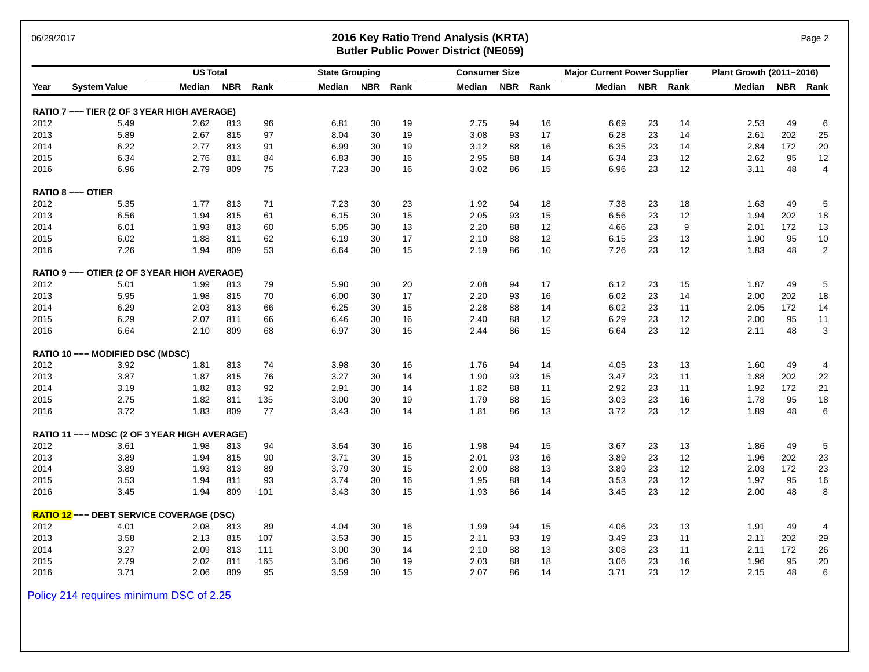### 06/29/2017 **2016 Key Ratio Trend Analysis (KRTA)** Page 2 **Butler Public Power District (NE059)**

|      |                                                 | <b>US Total</b> |            |      | <b>State Grouping</b> |            |      | <b>Consumer Size</b> |            |                   | <b>Major Current Power Supplier</b> |    |          | Plant Growth (2011-2016) |            |                |
|------|-------------------------------------------------|-----------------|------------|------|-----------------------|------------|------|----------------------|------------|-------------------|-------------------------------------|----|----------|--------------------------|------------|----------------|
| Year | <b>System Value</b>                             | Median          | <b>NBR</b> | Rank | Median                | <b>NBR</b> | Rank | Median               | <b>NBR</b> | Rank              | Median                              |    | NBR Rank | Median                   | <b>NBR</b> | Rank           |
|      | RATIO 7 --- TIER (2 OF 3 YEAR HIGH AVERAGE)     |                 |            |      |                       |            |      |                      |            |                   |                                     |    |          |                          |            |                |
| 2012 | 5.49                                            | 2.62            | 813        | 96   | 6.81                  | 30         | 19   | 2.75                 | 94         | 16                | 6.69                                | 23 | 14       | 2.53                     | 49         | 6              |
| 2013 | 5.89                                            | 2.67            | 815        | 97   | 8.04                  | 30         | 19   | 3.08                 | 93         | 17                | 6.28                                | 23 | 14       | 2.61                     | 202        | 25             |
| 2014 | 6.22                                            | 2.77            | 813        | 91   | 6.99                  | 30         | 19   | 3.12                 | 88         | 16                | 6.35                                | 23 | 14       | 2.84                     | 172        | 20             |
| 2015 | 6.34                                            | 2.76            | 811        | 84   | 6.83                  | 30         | 16   | 2.95                 | 88         | 14                | 6.34                                | 23 | 12       | 2.62                     | 95         | 12             |
| 2016 | 6.96                                            | 2.79            | 809        | 75   | 7.23                  | 30         | 16   | 3.02                 | 86         | 15                | 6.96                                | 23 | 12       | 3.11                     | 48         | $\overline{4}$ |
|      | <b>RATIO 8 --- OTIER</b>                        |                 |            |      |                       |            |      |                      |            |                   |                                     |    |          |                          |            |                |
| 2012 | 5.35                                            | 1.77            | 813        | 71   | 7.23                  | 30         | 23   | 1.92                 | 94         | 18                | 7.38                                | 23 | 18       | 1.63                     | 49         | 5              |
| 2013 | 6.56                                            | 1.94            | 815        | 61   | 6.15                  | 30         | 15   | 2.05                 | 93         | 15                | 6.56                                | 23 | 12       | 1.94                     | 202        | 18             |
| 2014 | 6.01                                            | 1.93            | 813        | 60   | 5.05                  | 30         | 13   | 2.20                 | 88         | 12                | 4.66                                | 23 | 9        | 2.01                     | 172        | 13             |
| 2015 | 6.02                                            | 1.88            | 811        | 62   | 6.19                  | 30         | 17   | 2.10                 | 88         | 12                | 6.15                                | 23 | 13       | 1.90                     | 95         | 10             |
| 2016 | 7.26                                            | 1.94            | 809        | 53   | 6.64                  | 30         | 15   | 2.19                 | 86         | 10                | 7.26                                | 23 | 12       | 1.83                     | 48         | $\sqrt{2}$     |
|      | RATIO 9 --- OTIER (2 OF 3 YEAR HIGH AVERAGE)    |                 |            |      |                       |            |      |                      |            |                   |                                     |    |          |                          |            |                |
| 2012 | 5.01                                            | 1.99            | 813        | 79   | 5.90                  | 30         | 20   | 2.08                 | 94         | 17                | 6.12                                | 23 | 15       | 1.87                     | 49         | 5              |
| 2013 | 5.95                                            | 1.98            | 815        | 70   | 6.00                  | 30         | 17   | 2.20                 | 93         | 16                | 6.02                                | 23 | 14       | 2.00                     | 202        | 18             |
| 2014 | 6.29                                            | 2.03            | 813        | 66   | 6.25                  | 30         | 15   | 2.28                 | 88         | 14                | 6.02                                | 23 | 11       | 2.05                     | 172        | 14             |
| 2015 | 6.29                                            | 2.07            | 811        | 66   | 6.46                  | 30         | 16   | 2.40                 | 88         | $12 \overline{ }$ | 6.29                                | 23 | 12       | 2.00                     | 95         | 11             |
| 2016 | 6.64                                            | 2.10            | 809        | 68   | 6.97                  | 30         | 16   | 2.44                 | 86         | 15                | 6.64                                | 23 | 12       | 2.11                     | 48         | $\sqrt{3}$     |
|      | RATIO 10 --- MODIFIED DSC (MDSC)                |                 |            |      |                       |            |      |                      |            |                   |                                     |    |          |                          |            |                |
| 2012 | 3.92                                            | 1.81            | 813        | 74   | 3.98                  | 30         | 16   | 1.76                 | 94         | 14                | 4.05                                | 23 | 13       | 1.60                     | 49         | 4              |
| 2013 | 3.87                                            | 1.87            | 815        | 76   | 3.27                  | 30         | 14   | 1.90                 | 93         | 15                | 3.47                                | 23 | 11       | 1.88                     | 202        | 22             |
| 2014 | 3.19                                            | 1.82            | 813        | 92   | 2.91                  | 30         | 14   | 1.82                 | 88         | 11                | 2.92                                | 23 | 11       | 1.92                     | 172        | 21             |
| 2015 | 2.75                                            | 1.82            | 811        | 135  | 3.00                  | 30         | 19   | 1.79                 | 88         | 15                | 3.03                                | 23 | 16       | 1.78                     | 95         | 18             |
| 2016 | 3.72                                            | 1.83            | 809        | 77   | 3.43                  | 30         | 14   | 1.81                 | 86         | 13                | 3.72                                | 23 | 12       | 1.89                     | 48         | $\,6\,$        |
|      | RATIO 11 --- MDSC (2 OF 3 YEAR HIGH AVERAGE)    |                 |            |      |                       |            |      |                      |            |                   |                                     |    |          |                          |            |                |
| 2012 | 3.61                                            | 1.98            | 813        | 94   | 3.64                  | 30         | 16   | 1.98                 | 94         | 15                | 3.67                                | 23 | 13       | 1.86                     | 49         | 5              |
| 2013 | 3.89                                            | 1.94            | 815        | 90   | 3.71                  | 30         | 15   | 2.01                 | 93         | 16                | 3.89                                | 23 | 12       | 1.96                     | 202        | 23             |
| 2014 | 3.89                                            | 1.93            | 813        | 89   | 3.79                  | 30         | 15   | 2.00                 | 88         | 13                | 3.89                                | 23 | 12       | 2.03                     | 172        | 23             |
| 2015 | 3.53                                            | 1.94            | 811        | 93   | 3.74                  | 30         | 16   | 1.95                 | 88         | 14                | 3.53                                | 23 | 12       | 1.97                     | 95         | 16             |
| 2016 | 3.45                                            | 1.94            | 809        | 101  | 3.43                  | 30         | 15   | 1.93                 | 86         | 14                | 3.45                                | 23 | 12       | 2.00                     | 48         | 8              |
|      | <b>RATIO 12</b> --- DEBT SERVICE COVERAGE (DSC) |                 |            |      |                       |            |      |                      |            |                   |                                     |    |          |                          |            |                |
| 2012 | 4.01                                            | 2.08            | 813        | 89   | 4.04                  | 30         | 16   | 1.99                 | 94         | 15                | 4.06                                | 23 | 13       | 1.91                     | 49         | $\overline{4}$ |
| 2013 | 3.58                                            | 2.13            | 815        | 107  | 3.53                  | 30         | 15   | 2.11                 | 93         | 19                | 3.49                                | 23 | 11       | 2.11                     | 202        | 29             |
| 2014 | 3.27                                            | 2.09            | 813        | 111  | 3.00                  | 30         | 14   | 2.10                 | 88         | 13                | 3.08                                | 23 | 11       | 2.11                     | 172        | 26             |
| 2015 | 2.79                                            | 2.02            | 811        | 165  | 3.06                  | 30         | 19   | 2.03                 | 88         | 18                | 3.06                                | 23 | 16       | 1.96                     | 95         | 20             |
| 2016 | 3.71                                            | 2.06            | 809        | 95   | 3.59                  | 30         | 15   | 2.07                 | 86         | 14                | 3.71                                | 23 | 12       | 2.15                     | 48         | 6              |

Policy 214 requires minimum DSC of 2.25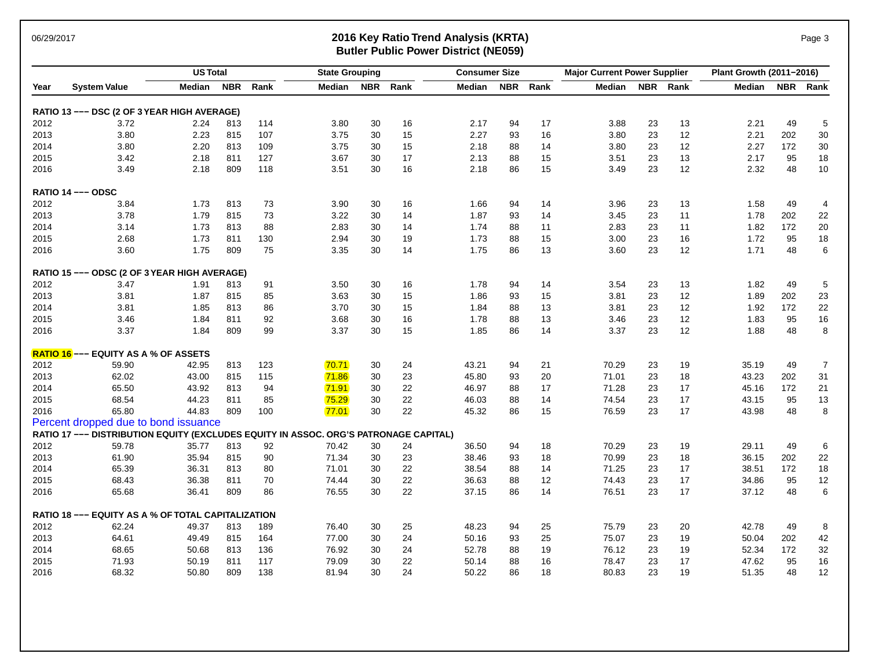### 06/29/2017 **2016 Key Ratio Trend Analysis (KRTA)** Page 3 **Butler Public Power District (NE059)**

|      |                                                                                      | <b>US Total</b> |            |      | <b>State Grouping</b> |            |      | <b>Consumer Size</b> |            |      | <b>Major Current Power Supplier</b> |    |          | Plant Growth (2011-2016) |            |                 |
|------|--------------------------------------------------------------------------------------|-----------------|------------|------|-----------------------|------------|------|----------------------|------------|------|-------------------------------------|----|----------|--------------------------|------------|-----------------|
| Year | <b>System Value</b>                                                                  | Median          | <b>NBR</b> | Rank | Median                | <b>NBR</b> | Rank | Median               | <b>NBR</b> | Rank | Median                              |    | NBR Rank | Median                   | <b>NBR</b> | Rank            |
|      | RATIO 13 --- DSC (2 OF 3 YEAR HIGH AVERAGE)                                          |                 |            |      |                       |            |      |                      |            |      |                                     |    |          |                          |            |                 |
| 2012 | 3.72                                                                                 | 2.24            | 813        | 114  | 3.80                  | 30         | 16   | 2.17                 | 94         | 17   | 3.88                                | 23 | 13       | 2.21                     | 49         | 5               |
| 2013 | 3.80                                                                                 | 2.23            | 815        | 107  | 3.75                  | 30         | 15   | 2.27                 | 93         | 16   | 3.80                                | 23 | 12       | 2.21                     | 202        | 30              |
| 2014 | 3.80                                                                                 | 2.20            | 813        | 109  | 3.75                  | 30         | 15   | 2.18                 | 88         | 14   | 3.80                                | 23 | 12       | 2.27                     | 172        | $30\,$          |
| 2015 | 3.42                                                                                 | 2.18            | 811        | 127  | 3.67                  | 30         | 17   | 2.13                 | 88         | 15   | 3.51                                | 23 | 13       | 2.17                     | 95         | 18              |
| 2016 | 3.49                                                                                 | 2.18            | 809        | 118  | 3.51                  | 30         | 16   | 2.18                 | 86         | 15   | 3.49                                | 23 | 12       | 2.32                     | 48         | $10$            |
|      | RATIO 14 --- ODSC                                                                    |                 |            |      |                       |            |      |                      |            |      |                                     |    |          |                          |            |                 |
| 2012 | 3.84                                                                                 | 1.73            | 813        | 73   | 3.90                  | 30         | 16   | 1.66                 | 94         | 14   | 3.96                                | 23 | 13       | 1.58                     | 49         | 4               |
| 2013 | 3.78                                                                                 | 1.79            | 815        | 73   | 3.22                  | 30         | 14   | 1.87                 | 93         | 14   | 3.45                                | 23 | 11       | 1.78                     | 202        | 22              |
| 2014 | 3.14                                                                                 | 1.73            | 813        | 88   | 2.83                  | 30         | 14   | 1.74                 | 88         | 11   | 2.83                                | 23 | 11       | 1.82                     | 172        | $20\,$          |
| 2015 | 2.68                                                                                 | 1.73            | 811        | 130  | 2.94                  | 30         | 19   | 1.73                 | 88         | 15   | 3.00                                | 23 | 16       | 1.72                     | 95         | 18              |
| 2016 | 3.60                                                                                 | 1.75            | 809        | 75   | 3.35                  | 30         | 14   | 1.75                 | 86         | 13   | 3.60                                | 23 | 12       | 1.71                     | 48         | 6               |
|      | RATIO 15 --- ODSC (2 OF 3 YEAR HIGH AVERAGE)                                         |                 |            |      |                       |            |      |                      |            |      |                                     |    |          |                          |            |                 |
| 2012 | 3.47                                                                                 | 1.91            | 813        | 91   | 3.50                  | 30         | 16   | 1.78                 | 94         | 14   | 3.54                                | 23 | 13       | 1.82                     | 49         | 5               |
| 2013 | 3.81                                                                                 | 1.87            | 815        | 85   | 3.63                  | 30         | 15   | 1.86                 | 93         | 15   | 3.81                                | 23 | 12       | 1.89                     | 202        | 23              |
| 2014 | 3.81                                                                                 | 1.85            | 813        | 86   | 3.70                  | 30         | 15   | 1.84                 | 88         | 13   | 3.81                                | 23 | 12       | 1.92                     | 172        | 22              |
| 2015 | 3.46                                                                                 | 1.84            | 811        | 92   | 3.68                  | 30         | 16   | 1.78                 | 88         | 13   | 3.46                                | 23 | 12       | 1.83                     | 95         | 16              |
| 2016 | 3.37                                                                                 | 1.84            | 809        | 99   | 3.37                  | 30         | 15   | 1.85                 | 86         | 14   | 3.37                                | 23 | 12       | 1.88                     | 48         | 8               |
|      | <b>RATIO 16</b> --- EQUITY AS A % OF ASSETS                                          |                 |            |      |                       |            |      |                      |            |      |                                     |    |          |                          |            |                 |
| 2012 | 59.90                                                                                | 42.95           | 813        | 123  | 70.71                 | 30         | 24   | 43.21                | 94         | 21   | 70.29                               | 23 | 19       | 35.19                    | 49         | $\overline{7}$  |
| 2013 | 62.02                                                                                | 43.00           | 815        | 115  | 71.86                 | 30         | 23   | 45.80                | 93         | 20   | 71.01                               | 23 | 18       | 43.23                    | 202        | 31              |
| 2014 | 65.50                                                                                | 43.92           | 813        | 94   | 71.91                 | 30         | 22   | 46.97                | 88         | 17   | 71.28                               | 23 | 17       | 45.16                    | 172        | 21              |
| 2015 | 68.54                                                                                | 44.23           | 811        | 85   | 75.29                 | 30         | 22   | 46.03                | 88         | 14   | 74.54                               | 23 | 17       | 43.15                    | 95         | 13              |
| 2016 | 65.80                                                                                | 44.83           | 809        | 100  | 77.01                 | 30         | 22   | 45.32                | 86         | 15   | 76.59                               | 23 | 17       | 43.98                    | 48         | 8               |
|      | Percent dropped due to bond issuance                                                 |                 |            |      |                       |            |      |                      |            |      |                                     |    |          |                          |            |                 |
|      | RATIO 17 --- DISTRIBUTION EQUITY (EXCLUDES EQUITY IN ASSOC. ORG'S PATRONAGE CAPITAL) |                 |            |      |                       |            |      |                      |            |      |                                     |    |          |                          |            |                 |
| 2012 | 59.78                                                                                | 35.77           | 813        | 92   | 70.42                 | 30         | 24   | 36.50                | 94         | 18   | 70.29                               | 23 | 19       | 29.11                    | 49         | 6               |
| 2013 | 61.90                                                                                | 35.94           | 815        | 90   | 71.34                 | 30         | 23   | 38.46                | 93         | 18   | 70.99                               | 23 | 18       | 36.15                    | 202        | 22              |
| 2014 | 65.39                                                                                | 36.31           | 813        | 80   | 71.01                 | 30         | 22   | 38.54                | 88         | 14   | 71.25                               | 23 | 17       | 38.51                    | 172        | 18              |
| 2015 | 68.43                                                                                | 36.38           | 811        | 70   | 74.44                 | 30         | 22   | 36.63                | 88         | 12   | 74.43                               | 23 | 17       | 34.86                    | 95         | 12              |
| 2016 | 65.68                                                                                | 36.41           | 809        | 86   | 76.55                 | 30         | 22   | 37.15                | 86         | 14   | 76.51                               | 23 | 17       | 37.12                    | 48         | $6\phantom{1}6$ |
|      | <b>RATIO 18 --- EQUITY AS A % OF TOTAL CAPITALIZATION</b>                            |                 |            |      |                       |            |      |                      |            |      |                                     |    |          |                          |            |                 |
| 2012 | 62.24                                                                                | 49.37           | 813        | 189  | 76.40                 | 30         | 25   | 48.23                | 94         | 25   | 75.79                               | 23 | 20       | 42.78                    | 49         | 8               |
| 2013 | 64.61                                                                                | 49.49           | 815        | 164  | 77.00                 | 30         | 24   | 50.16                | 93         | 25   | 75.07                               | 23 | 19       | 50.04                    | 202        | 42              |
| 2014 | 68.65                                                                                | 50.68           | 813        | 136  | 76.92                 | 30         | 24   | 52.78                | 88         | 19   | 76.12                               | 23 | 19       | 52.34                    | 172        | 32              |
| 2015 | 71.93                                                                                | 50.19           | 811        | 117  | 79.09                 | 30         | 22   | 50.14                | 88         | 16   | 78.47                               | 23 | 17       | 47.62                    | 95         | 16              |
| 2016 | 68.32                                                                                | 50.80           | 809        | 138  | 81.94                 | 30         | 24   | 50.22                | 86         | 18   | 80.83                               | 23 | 19       | 51.35                    | 48         | 12              |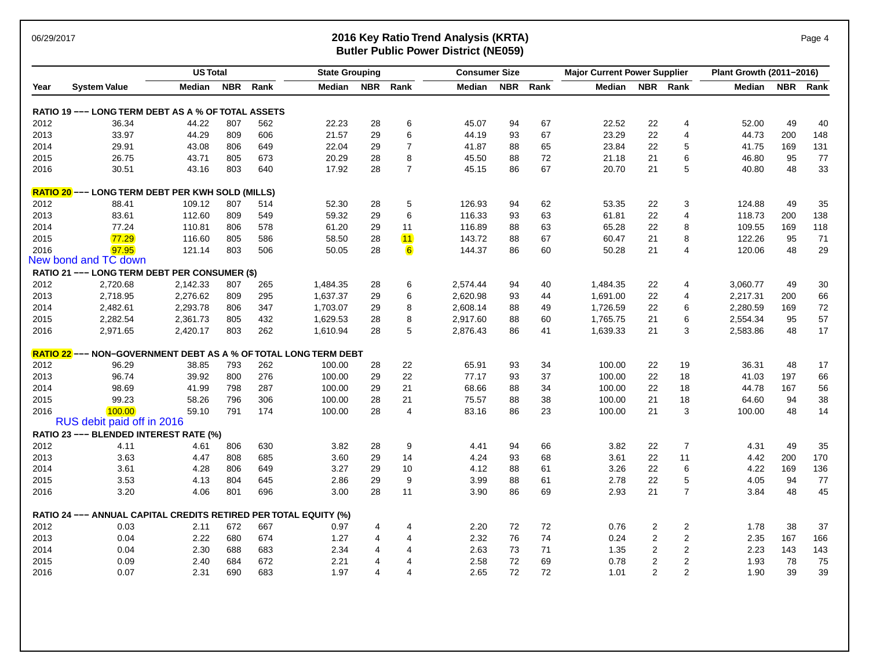### 06/29/2017 **2016 Key Ratio Trend Analysis (KRTA)** Page 4 **Butler Public Power District (NE059)**

|      |                                                                  | <b>US Total</b> |            |      | <b>State Grouping</b> |            |                | <b>Consumer Size</b> |            |      | <b>Major Current Power Supplier</b> |                |                         | Plant Growth (2011-2016) |            |      |
|------|------------------------------------------------------------------|-----------------|------------|------|-----------------------|------------|----------------|----------------------|------------|------|-------------------------------------|----------------|-------------------------|--------------------------|------------|------|
| Year | <b>System Value</b>                                              | Median          | <b>NBR</b> | Rank | Median                | <b>NBR</b> | Rank           | Median               | <b>NBR</b> | Rank | <b>Median</b>                       |                | NBR Rank                | Median                   | <b>NBR</b> | Rank |
|      | RATIO 19 --- LONG TERM DEBT AS A % OF TOTAL ASSETS               |                 |            |      |                       |            |                |                      |            |      |                                     |                |                         |                          |            |      |
| 2012 | 36.34                                                            | 44.22           | 807        | 562  | 22.23                 | 28         | 6              | 45.07                | 94         | 67   | 22.52                               | 22             | 4                       | 52.00                    | 49         | 40   |
| 2013 | 33.97                                                            | 44.29           | 809        | 606  | 21.57                 | 29         | 6              | 44.19                | 93         | 67   | 23.29                               | 22             | $\overline{4}$          | 44.73                    | 200        | 148  |
| 2014 | 29.91                                                            | 43.08           | 806        | 649  | 22.04                 | 29         | $\overline{7}$ | 41.87                | 88         | 65   | 23.84                               | 22             | 5                       | 41.75                    | 169        | 131  |
| 2015 | 26.75                                                            | 43.71           | 805        | 673  | 20.29                 | 28         | 8              | 45.50                | 88         | 72   | 21.18                               | 21             | 6                       | 46.80                    | 95         | 77   |
| 2016 | 30.51                                                            | 43.16           | 803        | 640  | 17.92                 | 28         | $\overline{7}$ | 45.15                | 86         | 67   | 20.70                               | 21             | 5                       | 40.80                    | 48         | 33   |
|      | <b>RATIO 20</b> --- LONG TERM DEBT PER KWH SOLD (MILLS)          |                 |            |      |                       |            |                |                      |            |      |                                     |                |                         |                          |            |      |
| 2012 | 88.41                                                            | 109.12          | 807        | 514  | 52.30                 | 28         | 5              | 126.93               | 94         | 62   | 53.35                               | 22             | 3                       | 124.88                   | 49         | 35   |
| 2013 | 83.61                                                            | 112.60          | 809        | 549  | 59.32                 | 29         | 6              | 116.33               | 93         | 63   | 61.81                               | 22             | $\overline{4}$          | 118.73                   | 200        | 138  |
| 2014 | 77.24                                                            | 110.81          | 806        | 578  | 61.20                 | 29         | 11             | 116.89               | 88         | 63   | 65.28                               | 22             | 8                       | 109.55                   | 169        | 118  |
| 2015 | 77.29                                                            | 116.60          | 805        | 586  | 58.50                 | 28         | 11             | 143.72               | 88         | 67   | 60.47                               | 21             | 8                       | 122.26                   | 95         | 71   |
| 2016 | 97.95                                                            | 121.14          | 803        | 506  | 50.05                 | 28         | 6              | 144.37               | 86         | 60   | 50.28                               | 21             | 4                       | 120.06                   | 48         | 29   |
|      | New bond and TC down                                             |                 |            |      |                       |            |                |                      |            |      |                                     |                |                         |                          |            |      |
|      | RATIO 21 --- LONG TERM DEBT PER CONSUMER (\$)                    |                 |            |      |                       |            |                |                      |            |      |                                     |                |                         |                          |            |      |
| 2012 | 2,720.68                                                         | 2,142.33        | 807        | 265  | 1,484.35              | 28         | 6              | 2,574.44             | 94         | 40   | 1,484.35                            | 22             | 4                       | 3,060.77                 | 49         | 30   |
| 2013 | 2,718.95                                                         | 2,276.62        | 809        | 295  | 1,637.37              | 29         | 6              | 2,620.98             | 93         | 44   | 1,691.00                            | 22             | $\overline{4}$          | 2,217.31                 | 200        | 66   |
| 2014 | 2,482.61                                                         | 2,293.78        | 806        | 347  | 1,703.07              | 29         | 8              | 2,608.14             | 88         | 49   | 1,726.59                            | 22             | 6                       | 2,280.59                 | 169        | 72   |
| 2015 | 2,282.54                                                         | 2,361.73        | 805        | 432  | 1,629.53              | 28         | 8              | 2,917.60             | 88         | 60   | 1,765.75                            | 21             | 6                       | 2,554.34                 | 95         | 57   |
| 2016 | 2,971.65                                                         | 2,420.17        | 803        | 262  | 1,610.94              | 28         | 5              | 2,876.43             | 86         | 41   | 1,639.33                            | 21             | 3                       | 2,583.86                 | 48         | 17   |
|      | RATIO 22 --- NON-GOVERNMENT DEBT AS A % OF TOTAL LONG TERM DEBT  |                 |            |      |                       |            |                |                      |            |      |                                     |                |                         |                          |            |      |
| 2012 | 96.29                                                            | 38.85           | 793        | 262  | 100.00                | 28         | 22             | 65.91                | 93         | 34   | 100.00                              | 22             | 19                      | 36.31                    | 48         | 17   |
| 2013 | 96.74                                                            | 39.92           | 800        | 276  | 100.00                | 29         | 22             | 77.17                | 93         | 37   | 100.00                              | 22             | 18                      | 41.03                    | 197        | 66   |
| 2014 | 98.69                                                            | 41.99           | 798        | 287  | 100.00                | 29         | 21             | 68.66                | 88         | 34   | 100.00                              | 22             | 18                      | 44.78                    | 167        | 56   |
| 2015 | 99.23                                                            | 58.26           | 796        | 306  | 100.00                | 28         | 21             | 75.57                | 88         | 38   | 100.00                              | 21             | 18                      | 64.60                    | 94         | 38   |
| 2016 | 100.00<br>RUS debit paid off in 2016                             | 59.10           | 791        | 174  | 100.00                | 28         | $\overline{4}$ | 83.16                | 86         | 23   | 100.00                              | 21             | 3                       | 100.00                   | 48         | 14   |
|      | RATIO 23 --- BLENDED INTEREST RATE (%)                           |                 |            |      |                       |            |                |                      |            |      |                                     |                |                         |                          |            |      |
| 2012 | 4.11                                                             | 4.61            | 806        | 630  | 3.82                  | 28         | 9              | 4.41                 | 94         | 66   | 3.82                                | 22             | $\overline{7}$          | 4.31                     | 49         | 35   |
| 2013 | 3.63                                                             | 4.47            | 808        | 685  | 3.60                  | 29         | 14             | 4.24                 | 93         | 68   | 3.61                                | 22             | 11                      | 4.42                     | 200        | 170  |
| 2014 | 3.61                                                             | 4.28            | 806        | 649  | 3.27                  | 29         | 10             | 4.12                 | 88         | 61   | 3.26                                | 22             | 6                       | 4.22                     | 169        | 136  |
| 2015 | 3.53                                                             | 4.13            | 804        | 645  | 2.86                  | 29         | 9              | 3.99                 | 88         | 61   | 2.78                                | 22             | 5                       | 4.05                     | 94         | 77   |
| 2016 | 3.20                                                             | 4.06            | 801        | 696  | 3.00                  | 28         | 11             | 3.90                 | 86         | 69   | 2.93                                | 21             | $\overline{7}$          | 3.84                     | 48         | 45   |
|      | RATIO 24 --- ANNUAL CAPITAL CREDITS RETIRED PER TOTAL EQUITY (%) |                 |            |      |                       |            |                |                      |            |      |                                     |                |                         |                          |            |      |
| 2012 | 0.03                                                             | 2.11            | 672        | 667  | 0.97                  | 4          | 4              | 2.20                 | 72         | 72   | 0.76                                | 2              | 2                       | 1.78                     | 38         | 37   |
| 2013 | 0.04                                                             | 2.22            | 680        | 674  | 1.27                  | 4          | 4              | 2.32                 | 76         | 74   | 0.24                                | $\sqrt{2}$     | $\overline{\mathbf{c}}$ | 2.35                     | 167        | 166  |
| 2014 | 0.04                                                             | 2.30            | 688        | 683  | 2.34                  | 4          | 4              | 2.63                 | 73         | 71   | 1.35                                | 2              | $\overline{2}$          | 2.23                     | 143        | 143  |
| 2015 | 0.09                                                             | 2.40            | 684        | 672  | 2.21                  | 4          | 4              | 2.58                 | 72         | 69   | 0.78                                | 2              | $\overline{2}$          | 1.93                     | 78         | 75   |
| 2016 | 0.07                                                             | 2.31            | 690        | 683  | 1.97                  | 4          | 4              | 2.65                 | 72         | 72   | 1.01                                | $\overline{2}$ | $\overline{2}$          | 1.90                     | 39         | 39   |
|      |                                                                  |                 |            |      |                       |            |                |                      |            |      |                                     |                |                         |                          |            |      |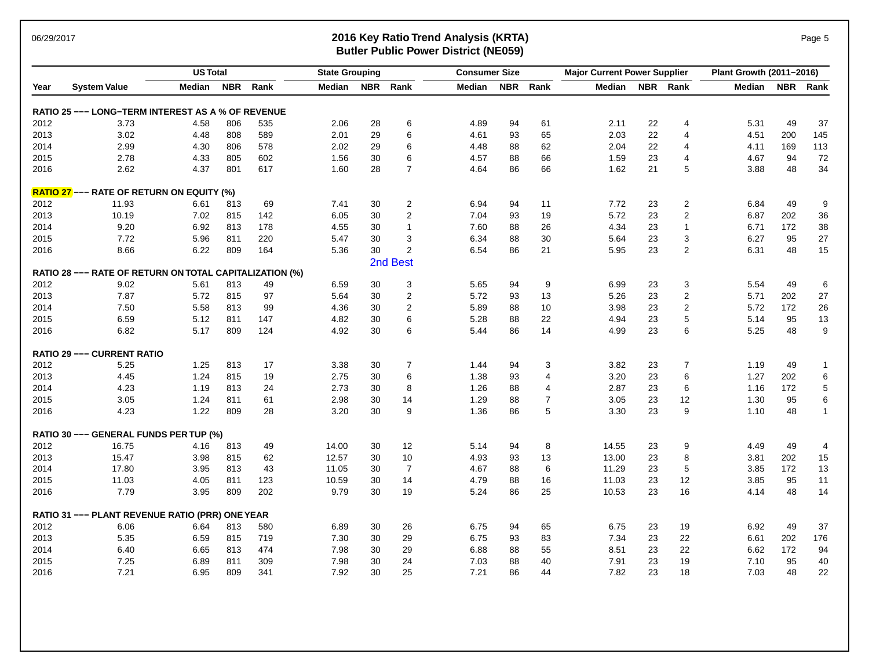### 06/29/2017 **2016 Key Ratio Trend Analysis (KRTA)** Page 5 **Butler Public Power District (NE059)**

|      |                                                         | <b>US Total</b> |            |      | <b>State Grouping</b> |            |                   | <b>Consumer Size</b> |            |                | <b>Major Current Power Supplier</b> |            |                         | Plant Growth (2011-2016) |            |              |
|------|---------------------------------------------------------|-----------------|------------|------|-----------------------|------------|-------------------|----------------------|------------|----------------|-------------------------------------|------------|-------------------------|--------------------------|------------|--------------|
| Year | <b>System Value</b>                                     | <b>Median</b>   | <b>NBR</b> | Rank | Median                | <b>NBR</b> | Rank              | Median               | <b>NBR</b> | Rank           | Median                              | <b>NBR</b> | Rank                    | Median                   | <b>NBR</b> | Rank         |
|      | RATIO 25 --- LONG-TERM INTEREST AS A % OF REVENUE       |                 |            |      |                       |            |                   |                      |            |                |                                     |            |                         |                          |            |              |
| 2012 | 3.73                                                    | 4.58            | 806        | 535  | 2.06                  | 28         | 6                 | 4.89                 | 94         | 61             | 2.11                                | 22         | 4                       | 5.31                     | 49         | 37           |
| 2013 | 3.02                                                    | 4.48            | 808        | 589  | 2.01                  | 29         | 6                 | 4.61                 | 93         | 65             | 2.03                                | 22         | 4                       | 4.51                     | 200        | 145          |
| 2014 | 2.99                                                    | 4.30            | 806        | 578  | 2.02                  | 29         | 6                 | 4.48                 | 88         | 62             | 2.04                                | 22         | 4                       | 4.11                     | 169        | 113          |
| 2015 | 2.78                                                    | 4.33            | 805        | 602  | 1.56                  | 30         | 6                 | 4.57                 | 88         | 66             | 1.59                                | 23         | $\overline{4}$          | 4.67                     | 94         | 72           |
| 2016 | 2.62                                                    | 4.37            | 801        | 617  | 1.60                  | 28         | $\overline{7}$    | 4.64                 | 86         | 66             | 1.62                                | 21         | 5                       | 3.88                     | 48         | 34           |
|      | <b>RATIO 27</b> --- RATE OF RETURN ON EQUITY (%)        |                 |            |      |                       |            |                   |                      |            |                |                                     |            |                         |                          |            |              |
| 2012 | 11.93                                                   | 6.61            | 813        | 69   | 7.41                  | 30         | $\overline{2}$    | 6.94                 | 94         | 11             | 7.72                                | 23         | 2                       | 6.84                     | 49         | 9            |
| 2013 | 10.19                                                   | 7.02            | 815        | 142  | 6.05                  | 30         | $\overline{2}$    | 7.04                 | 93         | 19             | 5.72                                | 23         | $\overline{2}$          | 6.87                     | 202        | 36           |
| 2014 | 9.20                                                    | 6.92            | 813        | 178  | 4.55                  | 30         | $\mathbf{1}$      | 7.60                 | 88         | 26             | 4.34                                | 23         | $\mathbf{1}$            | 6.71                     | 172        | 38           |
| 2015 | 7.72                                                    | 5.96            | 811        | 220  | 5.47                  | 30         | 3                 | 6.34                 | 88         | 30             | 5.64                                | 23         | 3                       | 6.27                     | 95         | 27           |
| 2016 | 8.66                                                    | 6.22            | 809        | 164  | 5.36                  | 30         | $\overline{2}$    | 6.54                 | 86         | 21             | 5.95                                | 23         | $\overline{2}$          | 6.31                     | 48         | 15           |
|      |                                                         |                 |            |      |                       |            | 2nd Best          |                      |            |                |                                     |            |                         |                          |            |              |
|      | RATIO 28 --- RATE OF RETURN ON TOTAL CAPITALIZATION (%) |                 |            |      |                       |            |                   |                      |            |                |                                     |            |                         |                          |            |              |
| 2012 | 9.02                                                    | 5.61            | 813        | 49   | 6.59                  | 30         | 3                 | 5.65                 | 94         | 9              | 6.99                                | 23         | 3                       | 5.54                     | 49         | 6            |
| 2013 | 7.87                                                    | 5.72            | 815        | 97   | 5.64                  | 30         | $\overline{c}$    | 5.72                 | 93         | 13             | 5.26                                | 23         | $\overline{\mathbf{c}}$ | 5.71                     | 202        | 27           |
| 2014 | 7.50                                                    | 5.58            | 813        | 99   | 4.36                  | 30         | $\overline{2}$    | 5.89                 | 88         | 10             | 3.98                                | 23         | $\overline{2}$          | 5.72                     | 172        | 26           |
| 2015 | 6.59                                                    | 5.12            | 811        | 147  | 4.82                  | 30         | 6                 | 5.28                 | 88         | 22             | 4.94                                | 23         | 5                       | 5.14                     | 95         | 13           |
| 2016 | 6.82                                                    | 5.17            | 809        | 124  | 4.92                  | 30         | 6                 | 5.44                 | 86         | 14             | 4.99                                | 23         | 6                       | 5.25                     | 48         | 9            |
|      | <b>RATIO 29 --- CURRENT RATIO</b>                       |                 |            |      |                       |            |                   |                      |            |                |                                     |            |                         |                          |            |              |
| 2012 | 5.25                                                    | 1.25            | 813        | 17   | 3.38                  | 30         | 7                 | 1.44                 | 94         | 3              | 3.82                                | 23         | 7                       | 1.19                     | 49         | -1           |
| 2013 | 4.45                                                    | 1.24            | 815        | 19   | 2.75                  | 30         | 6                 | 1.38                 | 93         | 4              | 3.20                                | 23         | 6                       | 1.27                     | 202        | $\,6$        |
| 2014 | 4.23                                                    | 1.19            | 813        | 24   | 2.73                  | 30         | 8                 | 1.26                 | 88         | $\overline{4}$ | 2.87                                | 23         | 6                       | 1.16                     | 172        | $\sqrt{5}$   |
| 2015 | 3.05                                                    | 1.24            | 811        | 61   | 2.98                  | 30         | 14                | 1.29                 | 88         | $\overline{7}$ | 3.05                                | 23         | 12                      | 1.30                     | 95         | 6            |
| 2016 | 4.23                                                    | 1.22            | 809        | 28   | 3.20                  | 30         | 9                 | 1.36                 | 86         | 5              | 3.30                                | 23         | 9                       | 1.10                     | 48         | $\mathbf{1}$ |
|      | RATIO 30 --- GENERAL FUNDS PER TUP (%)                  |                 |            |      |                       |            |                   |                      |            |                |                                     |            |                         |                          |            |              |
| 2012 | 16.75                                                   | 4.16            | 813        | 49   | 14.00                 | 30         | $12 \overline{ }$ | 5.14                 | 94         | 8              | 14.55                               | 23         | 9                       | 4.49                     | 49         | 4            |
| 2013 | 15.47                                                   | 3.98            | 815        | 62   | 12.57                 | 30         | 10                | 4.93                 | 93         | 13             | 13.00                               | 23         | 8                       | 3.81                     | 202        | 15           |
| 2014 | 17.80                                                   | 3.95            | 813        | 43   | 11.05                 | 30         | $\overline{7}$    | 4.67                 | 88         | 6              | 11.29                               | 23         | 5                       | 3.85                     | 172        | 13           |
| 2015 | 11.03                                                   | 4.05            | 811        | 123  | 10.59                 | 30         | 14                | 4.79                 | 88         | 16             | 11.03                               | 23         | 12                      | 3.85                     | 95         | 11           |
| 2016 | 7.79                                                    | 3.95            | 809        | 202  | 9.79                  | 30         | 19                | 5.24                 | 86         | 25             | 10.53                               | 23         | 16                      | 4.14                     | 48         | 14           |
|      | RATIO 31 --- PLANT REVENUE RATIO (PRR) ONE YEAR         |                 |            |      |                       |            |                   |                      |            |                |                                     |            |                         |                          |            |              |
| 2012 | 6.06                                                    | 6.64            | 813        | 580  | 6.89                  | 30         | 26                | 6.75                 | 94         | 65             | 6.75                                | 23         | 19                      | 6.92                     | 49         | 37           |
| 2013 | 5.35                                                    | 6.59            | 815        | 719  | 7.30                  | 30         | 29                | 6.75                 | 93         | 83             | 7.34                                | 23         | 22                      | 6.61                     | 202        | 176          |
| 2014 | 6.40                                                    | 6.65            | 813        | 474  | 7.98                  | 30         | 29                | 6.88                 | 88         | 55             | 8.51                                | 23         | 22                      | 6.62                     | 172        | 94           |
| 2015 | 7.25                                                    | 6.89            | 811        | 309  | 7.98                  | 30         | 24                | 7.03                 | 88         | 40             | 7.91                                | 23         | 19                      | 7.10                     | 95         | 40           |
| 2016 | 7.21                                                    | 6.95            | 809        | 341  | 7.92                  | 30         | 25                | 7.21                 | 86         | 44             | 7.82                                | 23         | 18                      | 7.03                     | 48         | 22           |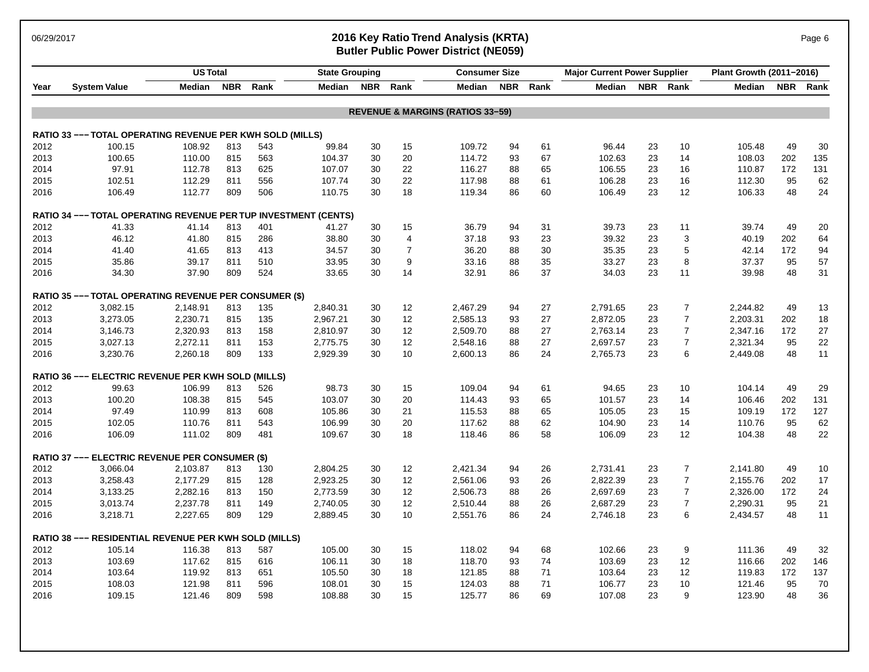### 06/29/2017 **2016 Key Ratio Trend Analysis (KRTA)** Page 6 **Butler Public Power District (NE059)**

|      |                                                                 | <b>US Total</b> |            |      | <b>State Grouping</b> |    |                | <b>Consumer Size</b>                        |            |      | <b>Major Current Power Supplier</b> |            |                  | Plant Growth (2011-2016) |            |        |
|------|-----------------------------------------------------------------|-----------------|------------|------|-----------------------|----|----------------|---------------------------------------------|------------|------|-------------------------------------|------------|------------------|--------------------------|------------|--------|
| Year | <b>System Value</b>                                             | Median          | <b>NBR</b> | Rank | Median                |    | NBR Rank       | Median                                      | <b>NBR</b> | Rank | Median                              | <b>NBR</b> | Rank             | Median                   | <b>NBR</b> | Rank   |
|      |                                                                 |                 |            |      |                       |    |                | <b>REVENUE &amp; MARGINS (RATIOS 33-59)</b> |            |      |                                     |            |                  |                          |            |        |
|      | RATIO 33 --- TOTAL OPERATING REVENUE PER KWH SOLD (MILLS)       |                 |            |      |                       |    |                |                                             |            |      |                                     |            |                  |                          |            |        |
| 2012 | 100.15                                                          | 108.92          | 813        | 543  | 99.84                 | 30 | 15             | 109.72                                      | 94         | 61   | 96.44                               | 23         | 10               | 105.48                   | 49         | 30     |
| 2013 | 100.65                                                          | 110.00          | 815        | 563  | 104.37                | 30 | 20             | 114.72                                      | 93         | 67   | 102.63                              | 23         | 14               | 108.03                   | 202        | 135    |
| 2014 | 97.91                                                           | 112.78          | 813        | 625  | 107.07                | 30 | 22             | 116.27                                      | 88         | 65   | 106.55                              | 23         | 16               | 110.87                   | 172        | 131    |
| 2015 | 102.51                                                          | 112.29          | 811        | 556  | 107.74                | 30 | 22             | 117.98                                      | 88         | 61   | 106.28                              | 23         | 16               | 112.30                   | 95         | 62     |
| 2016 | 106.49                                                          | 112.77          | 809        | 506  | 110.75                | 30 | 18             | 119.34                                      | 86         | 60   | 106.49                              | 23         | 12               | 106.33                   | 48         | 24     |
|      | RATIO 34 --- TOTAL OPERATING REVENUE PER TUP INVESTMENT (CENTS) |                 |            |      |                       |    |                |                                             |            |      |                                     |            |                  |                          |            |        |
| 2012 | 41.33                                                           | 41.14           | 813        | 401  | 41.27                 | 30 | 15             | 36.79                                       | 94         | 31   | 39.73                               | 23         | 11               | 39.74                    | 49         | 20     |
| 2013 | 46.12                                                           | 41.80           | 815        | 286  | 38.80                 | 30 | 4              | 37.18                                       | 93         | 23   | 39.32                               | 23         | 3                | 40.19                    | 202        | 64     |
| 2014 | 41.40                                                           | 41.65           | 813        | 413  | 34.57                 | 30 | $\overline{7}$ | 36.20                                       | 88         | 30   | 35.35                               | 23         | 5                | 42.14                    | 172        | 94     |
| 2015 | 35.86                                                           | 39.17           | 811        | 510  | 33.95                 | 30 | 9              | 33.16                                       | 88         | 35   | 33.27                               | 23         | 8                | 37.37                    | 95         | 57     |
| 2016 | 34.30                                                           | 37.90           | 809        | 524  | 33.65                 | 30 | 14             | 32.91                                       | 86         | 37   | 34.03                               | 23         | 11               | 39.98                    | 48         | 31     |
|      | <b>RATIO 35 --- TOTAL OPERATING REVENUE PER CONSUMER (\$)</b>   |                 |            |      |                       |    |                |                                             |            |      |                                     |            |                  |                          |            |        |
| 2012 | 3,082.15                                                        | 2,148.91        | 813        | 135  | 2,840.31              | 30 | 12             | 2,467.29                                    | 94         | 27   | 2,791.65                            | 23         | $\overline{7}$   | 2,244.82                 | 49         | 13     |
| 2013 | 3,273.05                                                        | 2,230.71        | 815        | 135  | 2,967.21              | 30 | 12             | 2,585.13                                    | 93         | 27   | 2,872.05                            | 23         | $\overline{7}$   | 2,203.31                 | 202        | 18     |
| 2014 | 3,146.73                                                        | 2,320.93        | 813        | 158  | 2,810.97              | 30 | 12             | 2,509.70                                    | 88         | 27   | 2,763.14                            | 23         | $\overline{7}$   | 2,347.16                 | 172        | 27     |
| 2015 | 3,027.13                                                        | 2,272.11        | 811        | 153  | 2,775.75              | 30 | 12             | 2,548.16                                    | 88         | 27   | 2,697.57                            | 23         | $\overline{7}$   | 2,321.34                 | 95         | $22\,$ |
| 2016 | 3,230.76                                                        | 2,260.18        | 809        | 133  | 2,929.39              | 30 | 10             | 2,600.13                                    | 86         | 24   | 2,765.73                            | 23         | 6                | 2,449.08                 | 48         | 11     |
|      | RATIO 36 --- ELECTRIC REVENUE PER KWH SOLD (MILLS)              |                 |            |      |                       |    |                |                                             |            |      |                                     |            |                  |                          |            |        |
| 2012 | 99.63                                                           | 106.99          | 813        | 526  | 98.73                 | 30 | 15             | 109.04                                      | 94         | 61   | 94.65                               | 23         | 10               | 104.14                   | 49         | 29     |
| 2013 | 100.20                                                          | 108.38          | 815        | 545  | 103.07                | 30 | 20             | 114.43                                      | 93         | 65   | 101.57                              | 23         | 14               | 106.46                   | 202        | 131    |
| 2014 | 97.49                                                           | 110.99          | 813        | 608  | 105.86                | 30 | 21             | 115.53                                      | 88         | 65   | 105.05                              | 23         | 15               | 109.19                   | 172        | 127    |
| 2015 | 102.05                                                          | 110.76          | 811        | 543  | 106.99                | 30 | 20             | 117.62                                      | 88         | 62   | 104.90                              | 23         | 14               | 110.76                   | 95         | 62     |
| 2016 | 106.09                                                          | 111.02          | 809        | 481  | 109.67                | 30 | 18             | 118.46                                      | 86         | 58   | 106.09                              | 23         | 12               | 104.38                   | 48         | 22     |
|      | RATIO 37 --- ELECTRIC REVENUE PER CONSUMER (\$)                 |                 |            |      |                       |    |                |                                             |            |      |                                     |            |                  |                          |            |        |
| 2012 | 3,066.04                                                        | 2,103.87        | 813        | 130  | 2,804.25              | 30 | 12             | 2,421.34                                    | 94         | 26   | 2,731.41                            | 23         | $\overline{7}$   | 2,141.80                 | 49         | 10     |
| 2013 | 3,258.43                                                        | 2,177.29        | 815        | 128  | 2,923.25              | 30 | 12             | 2,561.06                                    | 93         | 26   | 2,822.39                            | 23         | $\boldsymbol{7}$ | 2,155.76                 | 202        | 17     |
| 2014 | 3,133.25                                                        | 2,282.16        | 813        | 150  | 2,773.59              | 30 | 12             | 2,506.73                                    | 88         | 26   | 2,697.69                            | 23         | $\overline{7}$   | 2,326.00                 | 172        | 24     |
| 2015 | 3,013.74                                                        | 2,237.78        | 811        | 149  | 2,740.05              | 30 | 12             | 2,510.44                                    | 88         | 26   | 2,687.29                            | 23         | $\overline{7}$   | 2,290.31                 | 95         | 21     |
| 2016 | 3,218.71                                                        | 2,227.65        | 809        | 129  | 2,889.45              | 30 | 10             | 2,551.76                                    | 86         | 24   | 2,746.18                            | 23         | 6                | 2,434.57                 | 48         | 11     |
|      | RATIO 38 --- RESIDENTIAL REVENUE PER KWH SOLD (MILLS)           |                 |            |      |                       |    |                |                                             |            |      |                                     |            |                  |                          |            |        |
| 2012 | 105.14                                                          | 116.38          | 813        | 587  | 105.00                | 30 | 15             | 118.02                                      | 94         | 68   | 102.66                              | 23         | 9                | 111.36                   | 49         | 32     |
| 2013 | 103.69                                                          | 117.62          | 815        | 616  | 106.11                | 30 | 18             | 118.70                                      | 93         | 74   | 103.69                              | 23         | 12               | 116.66                   | 202        | 146    |
| 2014 | 103.64                                                          | 119.92          | 813        | 651  | 105.50                | 30 | 18             | 121.85                                      | 88         | 71   | 103.64                              | 23         | 12               | 119.83                   | 172        | 137    |
| 2015 | 108.03                                                          | 121.98          | 811        | 596  | 108.01                | 30 | 15             | 124.03                                      | 88         | 71   | 106.77                              | 23         | 10               | 121.46                   | 95         | 70     |
| 2016 | 109.15                                                          | 121.46          | 809        | 598  | 108.88                | 30 | 15             | 125.77                                      | 86         | 69   | 107.08                              | 23         | 9                | 123.90                   | 48         | 36     |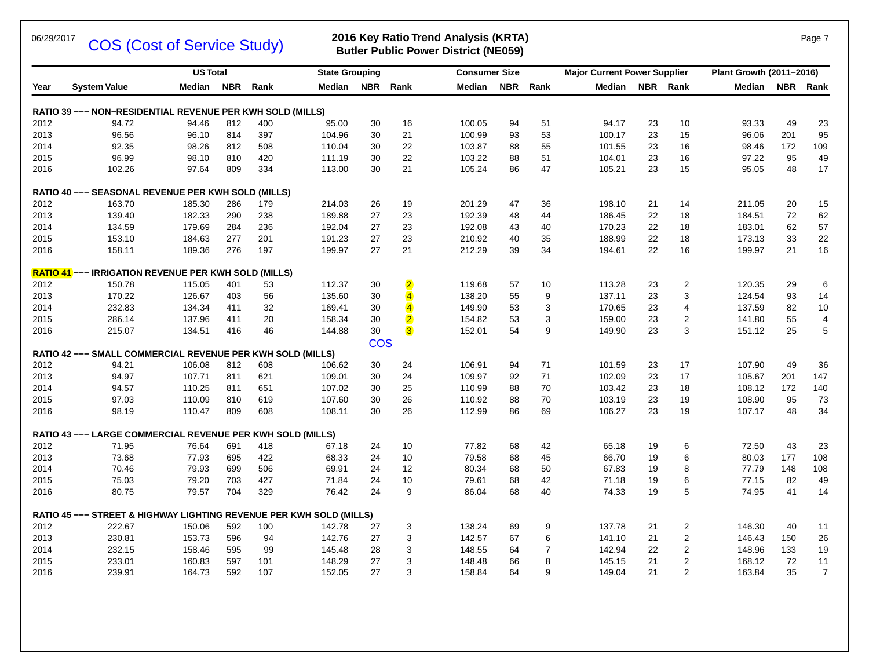COS (Cost of Service Study)

### 06/29/2017 **2016 Key Ratio Trend Analysis (KRTA)** Page 7 **Butler Public Power District (NE059)**

|              |                                                                     | <b>US Total</b>  |            |            | <b>State Grouping</b> |            |                         | <b>Consumer Size</b> |            |          | <b>Major Current Power Supplier</b> |            |                | Plant Growth (2011-2016) |            |                         |
|--------------|---------------------------------------------------------------------|------------------|------------|------------|-----------------------|------------|-------------------------|----------------------|------------|----------|-------------------------------------|------------|----------------|--------------------------|------------|-------------------------|
| Year         | <b>System Value</b>                                                 | Median           | <b>NBR</b> | Rank       | Median                | <b>NBR</b> | Rank                    | Median               | <b>NBR</b> | Rank     | Median                              | <b>NBR</b> | Rank           | Median                   | <b>NBR</b> | Rank                    |
|              | RATIO 39 --- NON-RESIDENTIAL REVENUE PER KWH SOLD (MILLS)           |                  |            |            |                       |            |                         |                      |            |          |                                     |            |                |                          |            |                         |
| 2012         | 94.72                                                               | 94.46            | 812        | 400        | 95.00                 | 30         | 16                      | 100.05               | 94         | 51       | 94.17                               | 23         | 10             | 93.33                    | 49         | 23                      |
| 2013         | 96.56                                                               | 96.10            | 814        | 397        | 104.96                | 30         | 21                      | 100.99               | 93         | 53       | 100.17                              | 23         | 15             | 96.06                    | 201        | 95                      |
| 2014         | 92.35                                                               | 98.26            | 812        | 508        | 110.04                | 30         | 22                      | 103.87               | 88         | 55       | 101.55                              | 23         | 16             | 98.46                    | 172        | 109                     |
| 2015         | 96.99                                                               | 98.10            | 810        | 420        | 111.19                | 30         | 22                      | 103.22               | 88         | 51       | 104.01                              | 23         | 16             | 97.22                    | 95         | 49                      |
| 2016         | 102.26                                                              | 97.64            | 809        | 334        | 113.00                | 30         | 21                      | 105.24               | 86         | 47       | 105.21                              | 23         | 15             | 95.05                    | 48         | 17                      |
|              | RATIO 40 --- SEASONAL REVENUE PER KWH SOLD (MILLS)                  |                  |            |            |                       |            |                         |                      |            |          |                                     |            |                |                          |            |                         |
| 2012         | 163.70                                                              | 185.30           | 286        | 179        | 214.03                | 26         | 19                      | 201.29               | 47         | 36       | 198.10                              | 21         | 14             | 211.05                   | 20         | 15                      |
| 2013         | 139.40                                                              | 182.33           | 290        | 238        | 189.88                | 27         | 23                      | 192.39               | 48         | 44       | 186.45                              | 22         | 18             | 184.51                   | 72         | 62                      |
| 2014         | 134.59                                                              | 179.69           | 284        | 236        | 192.04                | 27         | 23                      | 192.08               | 43         | 40       | 170.23                              | 22         | 18             | 183.01                   | 62         | 57                      |
| 2015         | 153.10                                                              | 184.63           | 277        | 201        | 191.23                | 27         | 23                      | 210.92               | 40         | 35       | 188.99                              | 22         | 18             | 173.13                   | 33         | 22                      |
| 2016         | 158.11                                                              | 189.36           | 276        | 197        | 199.97                | 27         | 21                      | 212.29               | 39         | 34       | 194.61                              | 22         | 16             | 199.97                   | 21         | 16                      |
|              | <b>RATIO 41</b> --- IRRIGATION REVENUE PER KWH SOLD (MILLS)         |                  |            |            |                       |            |                         |                      |            |          |                                     |            |                |                          |            |                         |
| 2012         | 150.78                                                              | 115.05           | 401        | 53         | 112.37                | 30         | $\overline{2}$          | 119.68               | 57         | 10       | 113.28                              | 23         | $\overline{2}$ | 120.35                   | 29         | 6                       |
| 2013         | 170.22                                                              | 126.67           | 403        | 56         | 135.60                | 30         | $\overline{4}$          | 138.20               | 55         | 9        | 137.11                              | 23         | 3              | 124.54                   | 93         | 14                      |
| 2014         | 232.83                                                              | 134.34           | 411        | 32         | 169.41                | 30         | $\overline{\mathbf{4}}$ | 149.90               | 53         | 3        | 170.65                              | 23         | $\overline{4}$ | 137.59                   | 82         | 10                      |
| 2015         | 286.14                                                              | 137.96           | 411        | 20         | 158.34                | 30         | $\overline{2}$          | 154.82               | 53         | 3        | 159.00                              | 23         | $\overline{2}$ | 141.80                   | 55         | $\overline{\mathbf{4}}$ |
| 2016         | 215.07                                                              | 134.51           | 416        | 46         | 144.88                | 30         | $\overline{3}$          | 152.01               | 54         | 9        | 149.90                              | 23         | 3              | 151.12                   | 25         | $\sqrt{5}$              |
|              |                                                                     |                  |            |            |                       | <b>COS</b> |                         |                      |            |          |                                     |            |                |                          |            |                         |
| 2012         | RATIO 42 --- SMALL COMMERCIAL REVENUE PER KWH SOLD (MILLS)<br>94.21 |                  | 812        |            | 106.62                |            | 24                      | 106.91               |            |          |                                     |            |                | 107.90                   | 49         | 36                      |
| 2013         | 94.97                                                               | 106.08<br>107.71 | 811        | 608<br>621 | 109.01                | 30<br>30   | 24                      | 109.97               | 94<br>92   | 71<br>71 | 101.59<br>102.09                    | 23<br>23   | 17<br>17       | 105.67                   | 201        | 147                     |
|              |                                                                     |                  | 811        |            |                       |            | 25                      |                      |            |          |                                     | 23         |                |                          | 172        | 140                     |
| 2014         | 94.57                                                               | 110.25           | 810        | 651        | 107.02                | 30         | 26                      | 110.99               | 88<br>88   | 70       | 103.42                              |            | 18             | 108.12                   |            | 73                      |
| 2015<br>2016 | 97.03<br>98.19                                                      | 110.09<br>110.47 | 809        | 619<br>608 | 107.60<br>108.11      | 30<br>30   | 26                      | 110.92<br>112.99     | 86         | 70<br>69 | 103.19<br>106.27                    | 23<br>23   | 19<br>19       | 108.90<br>107.17         | 95<br>48   | 34                      |
|              |                                                                     |                  |            |            |                       |            |                         |                      |            |          |                                     |            |                |                          |            |                         |
|              | RATIO 43 --- LARGE COMMERCIAL REVENUE PER KWH SOLD (MILLS)          |                  |            |            |                       |            |                         |                      |            |          |                                     |            |                |                          |            |                         |
| 2012         | 71.95                                                               | 76.64            | 691        | 418        | 67.18                 | 24         | 10                      | 77.82                | 68         | 42       | 65.18                               | 19         | 6              | 72.50                    | 43         | 23                      |
| 2013         | 73.68                                                               | 77.93            | 695        | 422        | 68.33                 | 24         | 10                      | 79.58                | 68         | 45       | 66.70                               | 19         | 6              | 80.03                    | 177        | 108                     |
| 2014         | 70.46                                                               | 79.93            | 699        | 506        | 69.91                 | 24         | 12                      | 80.34                | 68         | 50       | 67.83                               | 19         | 8              | 77.79                    | 148        | 108                     |
| 2015         | 75.03                                                               | 79.20            | 703        | 427        | 71.84                 | 24         | 10                      | 79.61                | 68         | 42       | 71.18                               | 19         | 6              | 77.15                    | 82         | 49                      |
| 2016         | 80.75                                                               | 79.57            | 704        | 329        | 76.42                 | 24         | 9                       | 86.04                | 68         | 40       | 74.33                               | 19         | 5              | 74.95                    | 41         | 14                      |
|              | RATIO 45 --- STREET & HIGHWAY LIGHTING REVENUE PER KWH SOLD (MILLS) |                  |            |            |                       |            |                         |                      |            |          |                                     |            |                |                          |            |                         |
| 2012         | 222.67                                                              | 150.06           | 592        | 100        | 142.78                | 27         | 3                       | 138.24               | 69         | 9        | 137.78                              | 21         | $\overline{2}$ | 146.30                   | 40         | 11                      |
| 2013         | 230.81                                                              | 153.73           | 596        | 94         | 142.76                | 27         | 3                       | 142.57               | 67         | 6        | 141.10                              | 21         | $\overline{2}$ | 146.43                   | 150        | 26                      |
| 2014         | 232.15                                                              | 158.46           | 595        | 99         | 145.48                | 28         | 3                       | 148.55               | 64         | 7        | 142.94                              | 22         | $\sqrt{2}$     | 148.96                   | 133        | 19                      |
| 2015         | 233.01                                                              | 160.83           | 597        | 101        | 148.29                | 27         | 3                       | 148.48               | 66         | 8        | 145.15                              | 21         | $\overline{2}$ | 168.12                   | 72         | 11                      |
| 2016         | 239.91                                                              | 164.73           | 592        | 107        | 152.05                | 27         | 3                       | 158.84               | 64         | 9        | 149.04                              | 21         | 2              | 163.84                   | 35         | $\boldsymbol{7}$        |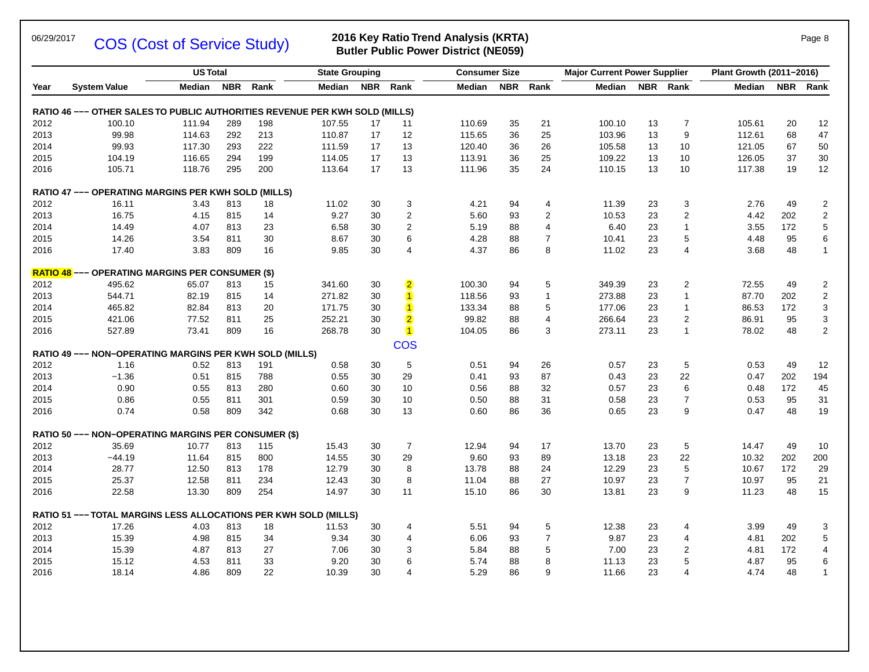COS (Cost of Service Study)

### 06/29/2017 **2006 (Control Service Study) 2016 Key Ratio Trend Analysis (KRTA)** Page 8 **Butler Public Power District (NE059)**

|      |                                                                                    | <b>US Total</b> |            |      | <b>State Grouping</b> |            |                         | <b>Consumer Size</b> |            |              | <b>Major Current Power Supplier</b> |            |                | Plant Growth (2011-2016) |            |                         |
|------|------------------------------------------------------------------------------------|-----------------|------------|------|-----------------------|------------|-------------------------|----------------------|------------|--------------|-------------------------------------|------------|----------------|--------------------------|------------|-------------------------|
| Year | <b>System Value</b>                                                                | Median          | <b>NBR</b> | Rank | Median                | <b>NBR</b> | Rank                    | Median               | <b>NBR</b> | Rank         | <b>Median</b>                       | <b>NBR</b> | Rank           | Median                   | <b>NBR</b> | Rank                    |
|      | <b>RATIO 46 --- OTHER SALES TO PUBLIC AUTHORITIES REVENUE PER KWH SOLD (MILLS)</b> |                 |            |      |                       |            |                         |                      |            |              |                                     |            |                |                          |            |                         |
| 2012 | 100.10                                                                             | 111.94          | 289        | 198  | 107.55                | 17         | 11                      | 110.69               | 35         | 21           | 100.10                              | 13         | $\overline{7}$ | 105.61                   | 20         | 12                      |
| 2013 | 99.98                                                                              | 114.63          | 292        | 213  | 110.87                | 17         | 12                      | 115.65               | 36         | 25           | 103.96                              | 13         | 9              | 112.61                   | 68         | 47                      |
| 2014 | 99.93                                                                              | 117.30          | 293        | 222  | 111.59                | 17         | 13                      | 120.40               | 36         | 26           | 105.58                              | 13         | 10             | 121.05                   | 67         | 50                      |
| 2015 | 104.19                                                                             | 116.65          | 294        | 199  | 114.05                | 17         | 13                      | 113.91               | 36         | 25           | 109.22                              | 13         | 10             | 126.05                   | 37         | $30\,$                  |
| 2016 | 105.71                                                                             | 118.76          | 295        | 200  | 113.64                | 17         | 13                      | 111.96               | 35         | 24           | 110.15                              | 13         | 10             | 117.38                   | 19         | 12                      |
|      | RATIO 47 --- OPERATING MARGINS PER KWH SOLD (MILLS)                                |                 |            |      |                       |            |                         |                      |            |              |                                     |            |                |                          |            |                         |
| 2012 | 16.11                                                                              | 3.43            | 813        | 18   | 11.02                 | 30         | 3                       | 4.21                 | 94         | 4            | 11.39                               | 23         | 3              | 2.76                     | 49         | $\overline{\mathbf{c}}$ |
| 2013 | 16.75                                                                              | 4.15            | 815        | 14   | 9.27                  | 30         | $\overline{2}$          | 5.60                 | 93         | 2            | 10.53                               | 23         | $\overline{2}$ | 4.42                     | 202        | $\boldsymbol{2}$        |
| 2014 | 14.49                                                                              | 4.07            | 813        | 23   | 6.58                  | 30         | $\overline{2}$          | 5.19                 | 88         | 4            | 6.40                                | 23         | $\mathbf{1}$   | 3.55                     | 172        | 5                       |
| 2015 | 14.26                                                                              | 3.54            | 811        | 30   | 8.67                  | 30         | 6                       | 4.28                 | 88         | 7            | 10.41                               | 23         | 5              | 4.48                     | 95         | 6                       |
| 2016 | 17.40                                                                              | 3.83            | 809        | 16   | 9.85                  | 30         | 4                       | 4.37                 | 86         | 8            | 11.02                               | 23         | $\overline{4}$ | 3.68                     | 48         | $\mathbf{1}$            |
|      | <b>RATIO 48 --- OPERATING MARGINS PER CONSUMER (\$)</b>                            |                 |            |      |                       |            |                         |                      |            |              |                                     |            |                |                          |            |                         |
| 2012 | 495.62                                                                             | 65.07           | 813        | 15   | 341.60                | 30         | $\overline{2}$          | 100.30               | 94         | 5            | 349.39                              | 23         | $\overline{2}$ | 72.55                    | 49         | $\mathbf 2$             |
| 2013 | 544.71                                                                             | 82.19           | 815        | 14   | 271.82                | 30         | $\overline{\mathbf{1}}$ | 118.56               | 93         | $\mathbf{1}$ | 273.88                              | 23         | $\mathbf{1}$   | 87.70                    | 202        | $\overline{c}$          |
| 2014 | 465.82                                                                             | 82.84           | 813        | 20   | 171.75                | 30         | $\overline{\mathbf{1}}$ | 133.34               | 88         | 5            | 177.06                              | 23         | $\mathbf{1}$   | 86.53                    | 172        | 3                       |
| 2015 | 421.06                                                                             | 77.52           | 811        | 25   | 252.21                | 30         | $\overline{2}$          | 99.82                | 88         | 4            | 266.64                              | 23         | $\overline{2}$ | 86.91                    | 95         | 3                       |
| 2016 | 527.89                                                                             | 73.41           | 809        | 16   | 268.78                | 30         | $\blacksquare$          | 104.05               | 86         | 3            | 273.11                              | 23         | $\mathbf{1}$   | 78.02                    | 48         | $\mathbf 2$             |
|      | RATIO 49 --- NON-OPERATING MARGINS PER KWH SOLD (MILLS)                            |                 |            |      |                       |            | <b>COS</b>              |                      |            |              |                                     |            |                |                          |            |                         |
| 2012 | 1.16                                                                               | 0.52            | 813        | 191  | 0.58                  | 30         | 5                       | 0.51                 | 94         | 26           | 0.57                                | 23         | 5              | 0.53                     | 49         | 12                      |
| 2013 | $-1.36$                                                                            | 0.51            | 815        | 788  | 0.55                  | 30         | 29                      | 0.41                 | 93         | 87           | 0.43                                | 23         | 22             | 0.47                     | 202        | 194                     |
| 2014 | 0.90                                                                               | 0.55            | 813        | 280  | 0.60                  | 30         | 10                      | 0.56                 | 88         | 32           | 0.57                                | 23         | 6              | 0.48                     | 172        | 45                      |
| 2015 | 0.86                                                                               | 0.55            | 811        | 301  | 0.59                  | 30         | 10                      | 0.50                 | 88         | 31           | 0.58                                | 23         | $\overline{7}$ | 0.53                     | 95         | 31                      |
| 2016 | 0.74                                                                               | 0.58            | 809        | 342  | 0.68                  | 30         | 13                      | 0.60                 | 86         | 36           | 0.65                                | 23         | 9              | 0.47                     | 48         | 19                      |
|      | <b>RATIO 50 --- NON-OPERATING MARGINS PER CONSUMER (\$)</b>                        |                 |            |      |                       |            |                         |                      |            |              |                                     |            |                |                          |            |                         |
| 2012 | 35.69                                                                              | 10.77           | 813        | 115  | 15.43                 | 30         | $\overline{7}$          | 12.94                | 94         | 17           | 13.70                               | 23         | 5              | 14.47                    | 49         | 10                      |
| 2013 | $-44.19$                                                                           | 11.64           | 815        | 800  | 14.55                 | 30         | 29                      | 9.60                 | 93         | 89           | 13.18                               | 23         | 22             | 10.32                    | 202        | 200                     |
| 2014 | 28.77                                                                              | 12.50           | 813        | 178  | 12.79                 | 30         | 8                       | 13.78                | 88         | 24           | 12.29                               | 23         | 5              | 10.67                    | 172        | 29                      |
| 2015 | 25.37                                                                              | 12.58           | 811        | 234  | 12.43                 | 30         | 8                       | 11.04                | 88         | 27           | 10.97                               | 23         | $\overline{7}$ | 10.97                    | 95         | 21                      |
| 2016 | 22.58                                                                              | 13.30           | 809        | 254  | 14.97                 | 30         | 11                      | 15.10                | 86         | 30           | 13.81                               | 23         | 9              | 11.23                    | 48         | 15                      |
|      | <b>RATIO 51 --- TOTAL MARGINS LESS ALLOCATIONS PER KWH SOLD (MILLS)</b>            |                 |            |      |                       |            |                         |                      |            |              |                                     |            |                |                          |            |                         |
| 2012 | 17.26                                                                              | 4.03            | 813        | 18   | 11.53                 | 30         | 4                       | 5.51                 | 94         | 5            | 12.38                               | 23         | $\overline{4}$ | 3.99                     | 49         | 3                       |
| 2013 | 15.39                                                                              | 4.98            | 815        | 34   | 9.34                  | 30         | 4                       | 6.06                 | 93         | 7            | 9.87                                | 23         | $\overline{4}$ | 4.81                     | 202        | 5                       |
| 2014 | 15.39                                                                              | 4.87            | 813        | 27   | 7.06                  | 30         | 3                       | 5.84                 | 88         | 5            | 7.00                                | 23         | $\overline{2}$ | 4.81                     | 172        | 4                       |
| 2015 | 15.12                                                                              | 4.53            | 811        | 33   | 9.20                  | 30         | 6                       | 5.74                 | 88         | 8            | 11.13                               | 23         | 5              | 4.87                     | 95         | 6                       |
| 2016 | 18.14                                                                              | 4.86            | 809        | 22   | 10.39                 | 30         | 4                       | 5.29                 | 86         | 9            | 11.66                               | 23         | $\overline{4}$ | 4.74                     | 48         | $\mathbf{1}$            |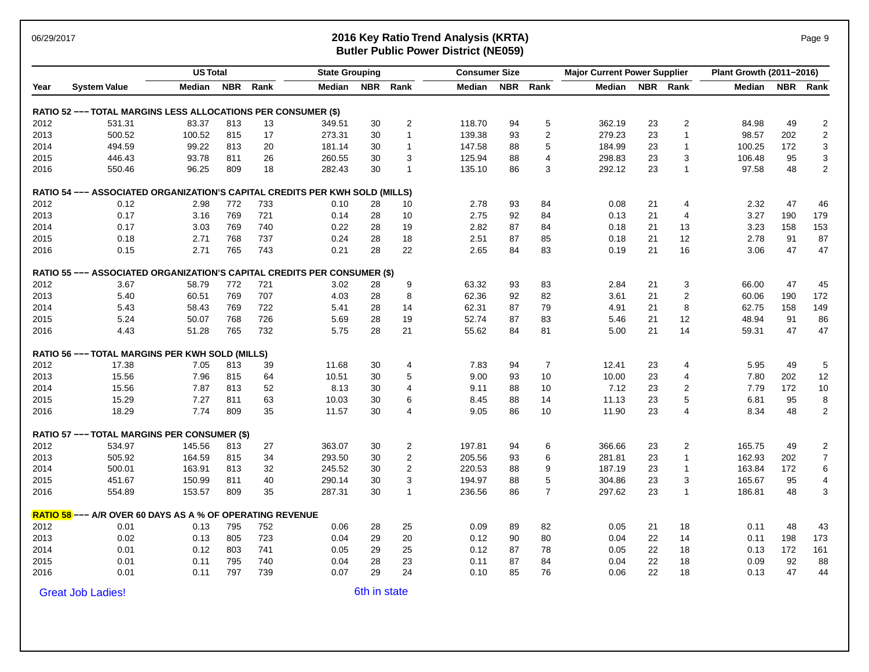### 06/29/2017 **2016 Key Ratio Trend Analysis (KRTA)** Page 9 **Butler Public Power District (NE059)**

|      |                                                                                 | <b>US Total</b> |            |      | <b>State Grouping</b> |              |                | <b>Consumer Size</b> |            |                | <b>Major Current Power Supplier</b> |            |                         | Plant Growth (2011-2016) |            |                           |
|------|---------------------------------------------------------------------------------|-----------------|------------|------|-----------------------|--------------|----------------|----------------------|------------|----------------|-------------------------------------|------------|-------------------------|--------------------------|------------|---------------------------|
| Year | <b>System Value</b>                                                             | Median          | <b>NBR</b> | Rank | Median                | <b>NBR</b>   | Rank           | Median               | <b>NBR</b> | Rank           | Median                              | <b>NBR</b> | Rank                    | Median                   | <b>NBR</b> | Rank                      |
|      | RATIO 52 --- TOTAL MARGINS LESS ALLOCATIONS PER CONSUMER (\$)                   |                 |            |      |                       |              |                |                      |            |                |                                     |            |                         |                          |            |                           |
| 2012 | 531.31                                                                          | 83.37           | 813        | 13   | 349.51                | 30           | $\overline{2}$ | 118.70               | 94         | 5              | 362.19                              | 23         | 2                       | 84.98                    | 49         | $\overline{\mathbf{c}}$   |
| 2013 | 500.52                                                                          | 100.52          | 815        | 17   | 273.31                | 30           | $\overline{1}$ | 139.38               | 93         | $\overline{2}$ | 279.23                              | 23         | $\mathbf{1}$            | 98.57                    | 202        | $\sqrt{2}$                |
| 2014 | 494.59                                                                          | 99.22           | 813        | 20   | 181.14                | 30           | $\overline{1}$ | 147.58               | 88         | $\sqrt{5}$     | 184.99                              | 23         | $\mathbf{1}$            | 100.25                   | 172        | $\ensuremath{\mathsf{3}}$ |
| 2015 | 446.43                                                                          | 93.78           | 811        | 26   | 260.55                | 30           | 3              | 125.94               | 88         | 4              | 298.83                              | 23         | 3                       | 106.48                   | 95         | $\ensuremath{\mathsf{3}}$ |
| 2016 | 550.46                                                                          | 96.25           | 809        | 18   | 282.43                | 30           | $\overline{1}$ | 135.10               | 86         | 3              | 292.12                              | 23         | $\mathbf{1}$            | 97.58                    | 48         | $\overline{2}$            |
|      | RATIO 54 --- ASSOCIATED ORGANIZATION'S CAPITAL CREDITS PER KWH SOLD (MILLS)     |                 |            |      |                       |              |                |                      |            |                |                                     |            |                         |                          |            |                           |
| 2012 | 0.12                                                                            | 2.98            | 772        | 733  | 0.10                  | 28           | 10             | 2.78                 | 93         | 84             | 0.08                                | 21         | 4                       | 2.32                     | 47         | 46                        |
| 2013 | 0.17                                                                            | 3.16            | 769        | 721  | 0.14                  | 28           | 10             | 2.75                 | 92         | 84             | 0.13                                | 21         | 4                       | 3.27                     | 190        | 179                       |
| 2014 | 0.17                                                                            | 3.03            | 769        | 740  | 0.22                  | 28           | 19             | 2.82                 | 87         | 84             | 0.18                                | 21         | 13                      | 3.23                     | 158        | 153                       |
| 2015 | 0.18                                                                            | 2.71            | 768        | 737  | 0.24                  | 28           | 18             | 2.51                 | 87         | 85             | 0.18                                | 21         | 12                      | 2.78                     | 91         | 87                        |
| 2016 | 0.15                                                                            | 2.71            | 765        | 743  | 0.21                  | 28           | 22             | 2.65                 | 84         | 83             | 0.19                                | 21         | 16                      | 3.06                     | 47         | 47                        |
|      | <b>RATIO 55 --- ASSOCIATED ORGANIZATION'S CAPITAL CREDITS PER CONSUMER (\$)</b> |                 |            |      |                       |              |                |                      |            |                |                                     |            |                         |                          |            |                           |
| 2012 | 3.67                                                                            | 58.79           | 772        | 721  | 3.02                  | 28           | 9              | 63.32                | 93         | 83             | 2.84                                | 21         | 3                       | 66.00                    | 47         | 45                        |
| 2013 | 5.40                                                                            | 60.51           | 769        | 707  | 4.03                  | 28           | 8              | 62.36                | 92         | 82             | 3.61                                | 21         | $\overline{2}$          | 60.06                    | 190        | 172                       |
| 2014 | 5.43                                                                            | 58.43           | 769        | 722  | 5.41                  | 28           | 14             | 62.31                | 87         | 79             | 4.91                                | 21         | 8                       | 62.75                    | 158        | 149                       |
| 2015 | 5.24                                                                            | 50.07           | 768        | 726  | 5.69                  | 28           | 19             | 52.74                | 87         | 83             | 5.46                                | 21         | 12                      | 48.94                    | 91         | 86                        |
| 2016 | 4.43                                                                            | 51.28           | 765        | 732  | 5.75                  | 28           | 21             | 55.62                | 84         | 81             | 5.00                                | 21         | 14                      | 59.31                    | 47         | 47                        |
|      | <b>RATIO 56 --- TOTAL MARGINS PER KWH SOLD (MILLS)</b>                          |                 |            |      |                       |              |                |                      |            |                |                                     |            |                         |                          |            |                           |
| 2012 | 17.38                                                                           | 7.05            | 813        | 39   | 11.68                 | 30           | 4              | 7.83                 | 94         | $\overline{7}$ | 12.41                               | 23         | 4                       | 5.95                     | 49         | 5                         |
| 2013 | 15.56                                                                           | 7.96            | 815        | 64   | 10.51                 | 30           | 5              | 9.00                 | 93         | 10             | 10.00                               | 23         | $\overline{4}$          | 7.80                     | 202        | 12                        |
| 2014 | 15.56                                                                           | 7.87            | 813        | 52   | 8.13                  | 30           | $\overline{4}$ | 9.11                 | 88         | 10             | 7.12                                | 23         | $\overline{\mathbf{c}}$ | 7.79                     | 172        | 10                        |
| 2015 | 15.29                                                                           | 7.27            | 811        | 63   | 10.03                 | 30           | 6              | 8.45                 | 88         | 14             | 11.13                               | 23         | 5                       | 6.81                     | 95         | 8                         |
| 2016 | 18.29                                                                           | 7.74            | 809        | 35   | 11.57                 | 30           | $\overline{4}$ | 9.05                 | 86         | 10             | 11.90                               | 23         | 4                       | 8.34                     | 48         | $\overline{2}$            |
|      | <b>RATIO 57 --- TOTAL MARGINS PER CONSUMER (\$)</b>                             |                 |            |      |                       |              |                |                      |            |                |                                     |            |                         |                          |            |                           |
| 2012 | 534.97                                                                          | 145.56          | 813        | 27   | 363.07                | 30           | $\overline{2}$ | 197.81               | 94         | 6              | 366.66                              | 23         | $\overline{2}$          | 165.75                   | 49         | $\overline{c}$            |
| 2013 | 505.92                                                                          | 164.59          | 815        | 34   | 293.50                | 30           | $\overline{c}$ | 205.56               | 93         | 6              | 281.81                              | 23         | $\mathbf{1}$            | 162.93                   | 202        | $\overline{7}$            |
| 2014 | 500.01                                                                          | 163.91          | 813        | 32   | 245.52                | 30           | $\sqrt{2}$     | 220.53               | 88         | 9              | 187.19                              | 23         | $\mathbf{1}$            | 163.84                   | 172        | 6                         |
| 2015 | 451.67                                                                          | 150.99          | 811        | 40   | 290.14                | 30           | 3              | 194.97               | 88         | 5              | 304.86                              | 23         | 3                       | 165.67                   | 95         | 4                         |
| 2016 | 554.89                                                                          | 153.57          | 809        | 35   | 287.31                | 30           | $\mathbf{1}$   | 236.56               | 86         | $\overline{7}$ | 297.62                              | 23         | $\mathbf{1}$            | 186.81                   | 48         | 3                         |
|      | <b>RATIO 58</b> --- A/R OVER 60 DAYS AS A % OF OPERATING REVENUE                |                 |            |      |                       |              |                |                      |            |                |                                     |            |                         |                          |            |                           |
| 2012 | 0.01                                                                            | 0.13            | 795        | 752  | 0.06                  | 28           | 25             | 0.09                 | 89         | 82             | 0.05                                | 21         | 18                      | 0.11                     | 48         | 43                        |
| 2013 | 0.02                                                                            | 0.13            | 805        | 723  | 0.04                  | 29           | 20             | 0.12                 | 90         | 80             | 0.04                                | 22         | 14                      | 0.11                     | 198        | 173                       |
| 2014 | 0.01                                                                            | 0.12            | 803        | 741  | 0.05                  | 29           | 25             | 0.12                 | 87         | 78             | 0.05                                | 22         | 18                      | 0.13                     | 172        | 161                       |
| 2015 | 0.01                                                                            | 0.11            | 795        | 740  | 0.04                  | 28           | 23             | 0.11                 | 87         | 84             | 0.04                                | 22         | 18                      | 0.09                     | 92         | 88                        |
| 2016 | 0.01                                                                            | 0.11            | 797        | 739  | 0.07                  | 29           | 24             | 0.10                 | 85         | 76             | 0.06                                | 22         | 18                      | 0.13                     | 47         | 44                        |
|      | <b>Great Job Ladies!</b>                                                        |                 |            |      |                       | 6th in state |                |                      |            |                |                                     |            |                         |                          |            |                           |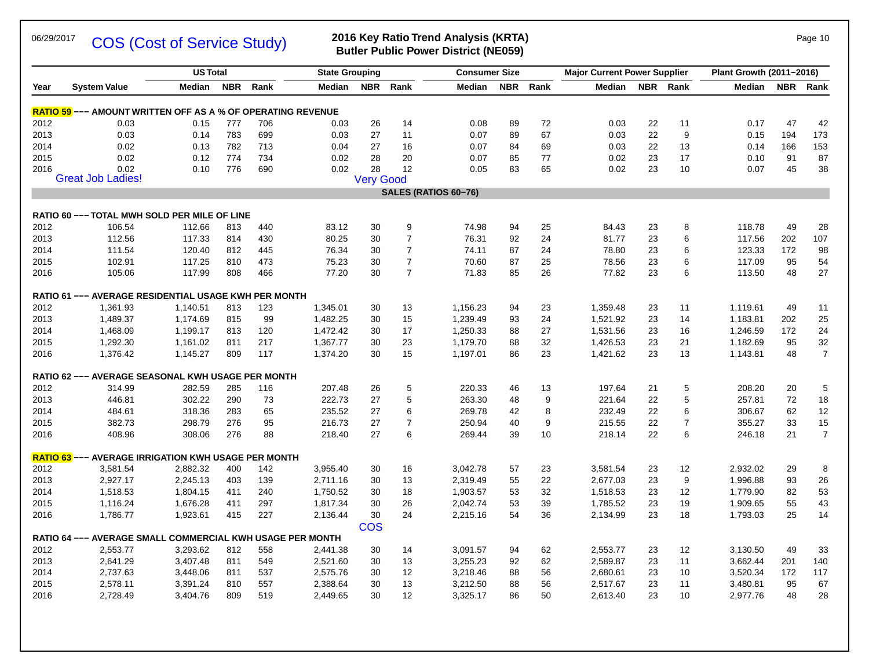### 06/29/2017 **COS (Cost of Sorvice Study)** 2016 Key Ratio Trend Analysis (KRTA) Page 10 COS (Cost of Service Study)

# **Butler Public Power District (NE059)**

|      | <b>System Value</b>                                                | <b>US Total</b> |            |      | <b>State Grouping</b> |                  |                | <b>Consumer Size</b> |            |      | <b>Major Current Power Supplier</b> |    |                | Plant Growth (2011-2016) |     |                |
|------|--------------------------------------------------------------------|-----------------|------------|------|-----------------------|------------------|----------------|----------------------|------------|------|-------------------------------------|----|----------------|--------------------------|-----|----------------|
| Year |                                                                    | Median          | <b>NBR</b> | Rank | Median                | <b>NBR</b>       | Rank           | Median               | <b>NBR</b> | Rank | Median                              |    | NBR Rank       | <b>Median</b>            |     | NBR Rank       |
|      | <b>RATIO 59</b> --- AMOUNT WRITTEN OFF AS A % OF OPERATING REVENUE |                 |            |      |                       |                  |                |                      |            |      |                                     |    |                |                          |     |                |
| 2012 | 0.03                                                               | 0.15            | 777        | 706  | 0.03                  | 26               | 14             | 0.08                 | 89         | 72   | 0.03                                | 22 | 11             | 0.17                     | 47  | 42             |
| 2013 | 0.03                                                               | 0.14            | 783        | 699  | 0.03                  | 27               | 11             | 0.07                 | 89         | 67   | 0.03                                | 22 | 9              | 0.15                     | 194 | 173            |
| 2014 | 0.02                                                               | 0.13            | 782        | 713  | 0.04                  | 27               | 16             | 0.07                 | 84         | 69   | 0.03                                | 22 | 13             | 0.14                     | 166 | 153            |
| 2015 | 0.02                                                               | 0.12            | 774        | 734  | 0.02                  | 28               | 20             | 0.07                 | 85         | 77   | 0.02                                | 23 | 17             | 0.10                     | 91  | 87             |
| 2016 | 0.02                                                               | 0.10            | 776        | 690  | 0.02                  | 28               | 12             | 0.05                 | 83         | 65   | 0.02                                | 23 | 10             | 0.07                     | 45  | 38             |
|      | <b>Great Job Ladies!</b>                                           |                 |            |      |                       | <b>Very Good</b> |                |                      |            |      |                                     |    |                |                          |     |                |
|      |                                                                    |                 |            |      |                       |                  |                | SALES (RATIOS 60-76) |            |      |                                     |    |                |                          |     |                |
|      | RATIO 60 --- TOTAL MWH SOLD PER MILE OF LINE                       |                 |            |      |                       |                  |                |                      |            |      |                                     |    |                |                          |     |                |
| 2012 | 106.54                                                             | 112.66          | 813        | 440  | 83.12                 | 30               | 9              | 74.98                | 94         | 25   | 84.43                               | 23 | 8              | 118.78                   | 49  | 28             |
| 2013 | 112.56                                                             | 117.33          | 814        | 430  | 80.25                 | 30               | $\overline{7}$ | 76.31                | 92         | 24   | 81.77                               | 23 | 6              | 117.56                   | 202 | 107            |
| 2014 | 111.54                                                             | 120.40          | 812        | 445  | 76.34                 | 30               | $\overline{7}$ | 74.11                | 87         | 24   | 78.80                               | 23 | 6              | 123.33                   | 172 | 98             |
| 2015 | 102.91                                                             | 117.25          | 810        | 473  | 75.23                 | 30               | $\overline{7}$ | 70.60                | 87         | 25   | 78.56                               | 23 | 6              | 117.09                   | 95  | 54             |
| 2016 | 105.06                                                             | 117.99          | 808        | 466  | 77.20                 | 30               | $\overline{7}$ | 71.83                | 85         | 26   | 77.82                               | 23 | 6              | 113.50                   | 48  | 27             |
|      | RATIO 61 --- AVERAGE RESIDENTIAL USAGE KWH PER MONTH               |                 |            |      |                       |                  |                |                      |            |      |                                     |    |                |                          |     |                |
| 2012 | 1,361.93                                                           | 1,140.51        | 813        | 123  | 1,345.01              | 30               | 13             | 1,156.23             | 94         | 23   | 1,359.48                            | 23 | 11             | 1,119.61                 | 49  | 11             |
| 2013 | 1,489.37                                                           | 1,174.69        | 815        | 99   | 1,482.25              | 30               | 15             | 1,239.49             | 93         | 24   | 1,521.92                            | 23 | 14             | 1,183.81                 | 202 | 25             |
| 2014 | 1,468.09                                                           | 1,199.17        | 813        | 120  | 1,472.42              | 30               | 17             | 1,250.33             | 88         | 27   | 1,531.56                            | 23 | 16             | 1,246.59                 | 172 | 24             |
| 2015 | 1,292.30                                                           | 1,161.02        | 811        | 217  | 1,367.77              | 30               | 23             | 1,179.70             | 88         | 32   | 1,426.53                            | 23 | 21             | 1,182.69                 | 95  | 32             |
| 2016 | 1,376.42                                                           | 1,145.27        | 809        | 117  | 1,374.20              | 30               | 15             | 1,197.01             | 86         | 23   | 1,421.62                            | 23 | 13             | 1,143.81                 | 48  | $\overline{7}$ |
|      | RATIO 62 --- AVERAGE SEASONAL KWH USAGE PER MONTH                  |                 |            |      |                       |                  |                |                      |            |      |                                     |    |                |                          |     |                |
| 2012 | 314.99                                                             | 282.59          | 285        | 116  | 207.48                | 26               | 5              | 220.33               | 46         | 13   | 197.64                              | 21 | $\,$ 5 $\,$    | 208.20                   | 20  | 5              |
| 2013 | 446.81                                                             | 302.22          | 290        | 73   | 222.73                | 27               | 5              | 263.30               | 48         | 9    | 221.64                              | 22 | 5              | 257.81                   | 72  | 18             |
| 2014 | 484.61                                                             | 318.36          | 283        | 65   | 235.52                | 27               | 6              | 269.78               | 42         | 8    | 232.49                              | 22 | 6              | 306.67                   | 62  | 12             |
| 2015 | 382.73                                                             | 298.79          | 276        | 95   | 216.73                | 27               | $\overline{7}$ | 250.94               | 40         | 9    | 215.55                              | 22 | $\overline{7}$ | 355.27                   | 33  | 15             |
| 2016 | 408.96                                                             | 308.06          | 276        | 88   | 218.40                | 27               | 6              | 269.44               | 39         | 10   | 218.14                              | 22 | 6              | 246.18                   | 21  | $\overline{7}$ |
|      | <b>RATIO 63</b> --- AVERAGE IRRIGATION KWH USAGE PER MONTH         |                 |            |      |                       |                  |                |                      |            |      |                                     |    |                |                          |     |                |
| 2012 | 3,581.54                                                           | 2,882.32        | 400        | 142  | 3,955.40              | 30               | 16             | 3,042.78             | 57         | 23   | 3,581.54                            | 23 | 12             | 2,932.02                 | 29  | 8              |
| 2013 | 2,927.17                                                           | 2,245.13        | 403        | 139  | 2,711.16              | 30               | 13             | 2,319.49             | 55         | 22   | 2,677.03                            | 23 | 9              | 1,996.88                 | 93  | 26             |
| 2014 | 1,518.53                                                           | 1,804.15        | 411        | 240  | 1,750.52              | 30               | 18             | 1,903.57             | 53         | 32   | 1,518.53                            | 23 | 12             | 1,779.90                 | 82  | 53             |
| 2015 | 1,116.24                                                           | 1,676.28        | 411        | 297  | 1,817.34              | 30               | 26             | 2,042.74             | 53         | 39   | 1,785.52                            | 23 | 19             | 1,909.65                 | 55  | 43             |
| 2016 | 1,786.77                                                           | 1,923.61        | 415        | 227  | 2,136.44              | 30               | 24             | 2,215.16             | 54         | 36   | 2,134.99                            | 23 | 18             | 1,793.03                 | 25  | 14             |
|      |                                                                    |                 |            |      |                       | <b>COS</b>       |                |                      |            |      |                                     |    |                |                          |     |                |
|      | RATIO 64 --- AVERAGE SMALL COMMERCIAL KWH USAGE PER MONTH          |                 |            |      |                       |                  |                |                      |            |      |                                     |    |                |                          |     |                |
| 2012 | 2,553.77                                                           | 3,293.62        | 812        | 558  | 2,441.38              | 30               | 14             | 3,091.57             | 94         | 62   | 2,553.77                            | 23 | 12             | 3,130.50                 | 49  | 33             |
| 2013 | 2,641.29                                                           | 3,407.48        | 811        | 549  | 2,521.60              | 30               | 13             | 3,255.23             | 92         | 62   | 2,589.87                            | 23 | 11             | 3,662.44                 | 201 | 140            |
| 2014 | 2,737.63                                                           | 3,448.06        | 811        | 537  | 2,575.76              | 30               | 12             | 3,218.46             | 88         | 56   | 2,680.61                            | 23 | 10             | 3,520.34                 | 172 | 117            |
| 2015 | 2,578.11                                                           | 3,391.24        | 810        | 557  | 2,388.64              | 30               | 13             | 3,212.50             | 88         | 56   | 2,517.67                            | 23 | 11             | 3,480.81                 | 95  | 67             |
| 2016 | 2,728.49                                                           | 3,404.76        | 809        | 519  | 2,449.65              | 30               | 12             | 3,325.17             | 86         | 50   | 2,613.40                            | 23 | 10             | 2,977.76                 | 48  | 28             |
|      |                                                                    |                 |            |      |                       |                  |                |                      |            |      |                                     |    |                |                          |     |                |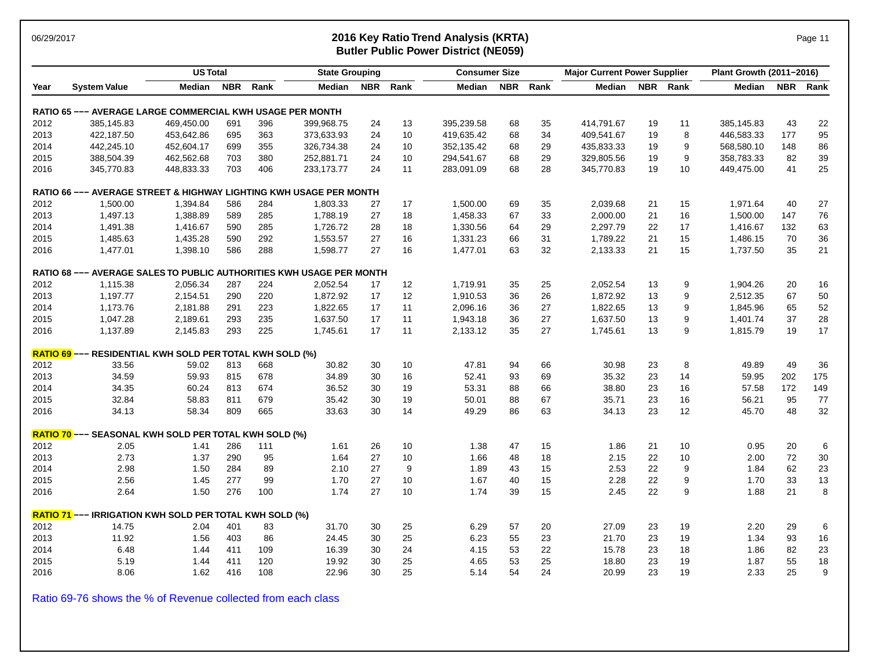### 06/29/2017 **2016 Key Ratio Trend Analysis (KRTA)** Page 11 **Butler Public Power District (NE059)**

|      |                                                                      | <b>US Total</b> |            |      | <b>State Grouping</b> |            |      | <b>Consumer Size</b> |            |      | <b>Major Current Power Supplier</b> |    |          | Plant Growth (2011-2016) |     |          |
|------|----------------------------------------------------------------------|-----------------|------------|------|-----------------------|------------|------|----------------------|------------|------|-------------------------------------|----|----------|--------------------------|-----|----------|
| Year | <b>System Value</b>                                                  | Median          | <b>NBR</b> | Rank | <b>Median</b>         | <b>NBR</b> | Rank | Median               | <b>NBR</b> | Rank | Median                              |    | NBR Rank | Median                   |     | NBR Rank |
|      | <b>RATIO 65 --- AVERAGE LARGE COMMERCIAL KWH USAGE PER MONTH</b>     |                 |            |      |                       |            |      |                      |            |      |                                     |    |          |                          |     |          |
| 2012 | 385,145.83                                                           | 469,450.00      | 691        | 396  | 399,968.75            | 24         | 13   | 395,239.58           | 68         | 35   | 414,791.67                          | 19 | 11       | 385,145.83               | 43  | 22       |
| 2013 | 422,187.50                                                           | 453,642.86      | 695        | 363  | 373,633.93            | 24         | 10   | 419,635.42           | 68         | 34   | 409,541.67                          | 19 | 8        | 446,583.33               | 177 | 95       |
| 2014 | 442,245.10                                                           | 452,604.17      | 699        | 355  | 326,734.38            | 24         | 10   | 352,135.42           | 68         | 29   | 435,833.33                          | 19 | 9        | 568,580.10               | 148 | 86       |
| 2015 | 388,504.39                                                           | 462,562.68      | 703        | 380  | 252,881.71            | 24         | 10   | 294,541.67           | 68         | 29   | 329,805.56                          | 19 | 9        | 358,783.33               | 82  | 39       |
| 2016 | 345,770.83                                                           | 448,833.33      | 703        | 406  | 233,173.77            | 24         | 11   | 283,091.09           | 68         | 28   | 345,770.83                          | 19 | 10       | 449,475.00               | 41  | 25       |
|      | RATIO 66 --- AVERAGE STREET & HIGHWAY LIGHTING KWH USAGE PER MONTH   |                 |            |      |                       |            |      |                      |            |      |                                     |    |          |                          |     |          |
| 2012 | 1,500.00                                                             | 1,394.84        | 586        | 284  | 1,803.33              | 27         | 17   | 1,500.00             | 69         | 35   | 2,039.68                            | 21 | 15       | 1,971.64                 | 40  | 27       |
| 2013 | 1,497.13                                                             | 1,388.89        | 589        | 285  | 1,788.19              | 27         | 18   | 1,458.33             | 67         | 33   | 2,000.00                            | 21 | 16       | 1,500.00                 | 147 | 76       |
| 2014 | 1,491.38                                                             | 1,416.67        | 590        | 285  | 1,726.72              | 28         | 18   | 1,330.56             | 64         | 29   | 2,297.79                            | 22 | 17       | 1,416.67                 | 132 | 63       |
| 2015 | 1,485.63                                                             | 1,435.28        | 590        | 292  | 1,553.57              | 27         | 16   | 1,331.23             | 66         | 31   | 1,789.22                            | 21 | 15       | 1,486.15                 | 70  | 36       |
| 2016 | 1,477.01                                                             | 1,398.10        | 586        | 288  | 1,598.77              | 27         | 16   | 1,477.01             | 63         | 32   | 2,133.33                            | 21 | 15       | 1,737.50                 | 35  | 21       |
|      | RATIO 68 --- AVERAGE SALES TO PUBLIC AUTHORITIES KWH USAGE PER MONTH |                 |            |      |                       |            |      |                      |            |      |                                     |    |          |                          |     |          |
| 2012 | 1,115.38                                                             | 2,056.34        | 287        | 224  | 2,052.54              | 17         | 12   | 1,719.91             | 35         | 25   | 2,052.54                            | 13 | 9        | 1,904.26                 | 20  | 16       |
| 2013 | 1.197.77                                                             | 2,154.51        | 290        | 220  | 1,872.92              | 17         | 12   | 1,910.53             | 36         | 26   | 1,872.92                            | 13 | 9        | 2,512.35                 | 67  | 50       |
| 2014 | 1,173.76                                                             | 2,181.88        | 291        | 223  | 1,822.65              | 17         | 11   | 2,096.16             | 36         | 27   | 1,822.65                            | 13 | 9        | 1,845.96                 | 65  | 52       |
| 2015 | 1,047.28                                                             | 2,189.61        | 293        | 235  | 1,637.50              | 17         | 11   | 1,943.18             | 36         | 27   | 1,637.50                            | 13 | 9        | 1,401.74                 | 37  | 28       |
| 2016 | 1,137.89                                                             | 2,145.83        | 293        | 225  | 1,745.61              | 17         | 11   | 2,133.12             | 35         | 27   | 1,745.61                            | 13 | 9        | 1,815.79                 | 19  | 17       |
|      | <b>RATIO 69</b> --- RESIDENTIAL KWH SOLD PER TOTAL KWH SOLD (%)      |                 |            |      |                       |            |      |                      |            |      |                                     |    |          |                          |     |          |
| 2012 | 33.56                                                                | 59.02           | 813        | 668  | 30.82                 | 30         | 10   | 47.81                | 94         | 66   | 30.98                               | 23 | 8        | 49.89                    | 49  | 36       |
| 2013 | 34.59                                                                | 59.93           | 815        | 678  | 34.89                 | 30         | 16   | 52.41                | 93         | 69   | 35.32                               | 23 | 14       | 59.95                    | 202 | 175      |
| 2014 | 34.35                                                                | 60.24           | 813        | 674  | 36.52                 | 30         | 19   | 53.31                | 88         | 66   | 38.80                               | 23 | 16       | 57.58                    | 172 | 149      |
| 2015 | 32.84                                                                | 58.83           | 811        | 679  | 35.42                 | 30         | 19   | 50.01                | 88         | 67   | 35.71                               | 23 | 16       | 56.21                    | 95  | 77       |
| 2016 | 34.13                                                                | 58.34           | 809        | 665  | 33.63                 | 30         | 14   | 49.29                | 86         | 63   | 34.13                               | 23 | 12       | 45.70                    | 48  | 32       |
|      | RATIO 70 --- SEASONAL KWH SOLD PER TOTAL KWH SOLD (%)                |                 |            |      |                       |            |      |                      |            |      |                                     |    |          |                          |     |          |
| 2012 | 2.05                                                                 | 1.41            | 286        | 111  | 1.61                  | 26         | 10   | 1.38                 | 47         | 15   | 1.86                                | 21 | 10       | 0.95                     | 20  | 6        |
| 2013 | 2.73                                                                 | 1.37            | 290        | 95   | 1.64                  | 27         | 10   | 1.66                 | 48         | 18   | 2.15                                | 22 | 10       | 2.00                     | 72  | 30       |
| 2014 | 2.98                                                                 | 1.50            | 284        | 89   | 2.10                  | 27         | 9    | 1.89                 | 43         | 15   | 2.53                                | 22 | 9        | 1.84                     | 62  | 23       |
| 2015 | 2.56                                                                 | 1.45            | 277        | 99   | 1.70                  | 27         | 10   | 1.67                 | 40         | 15   | 2.28                                | 22 | 9        | 1.70                     | 33  | 13       |
| 2016 | 2.64                                                                 | 1.50            | 276        | 100  | 1.74                  | 27         | 10   | 1.74                 | 39         | 15   | 2.45                                | 22 | 9        | 1.88                     | 21  | 8        |
|      | <b>RATIO 71</b> --- IRRIGATION KWH SOLD PER TOTAL KWH SOLD (%)       |                 |            |      |                       |            |      |                      |            |      |                                     |    |          |                          |     |          |
| 2012 | 14.75                                                                | 2.04            | 401        | 83   | 31.70                 | 30         | 25   | 6.29                 | 57         | 20   | 27.09                               | 23 | 19       | 2.20                     | 29  | 6        |
| 2013 | 11.92                                                                | 1.56            | 403        | 86   | 24.45                 | 30         | 25   | 6.23                 | 55         | 23   | 21.70                               | 23 | 19       | 1.34                     | 93  | 16       |
| 2014 | 6.48                                                                 | 1.44            | 411        | 109  | 16.39                 | 30         | 24   | 4.15                 | 53         | 22   | 15.78                               | 23 | 18       | 1.86                     | 82  | 23       |
| 2015 | 5.19                                                                 | 1.44            | 411        | 120  | 19.92                 | 30         | 25   | 4.65                 | 53         | 25   | 18.80                               | 23 | 19       | 1.87                     | 55  | 18       |
| 2016 | 8.06                                                                 | 1.62            | 416        | 108  | 22.96                 | 30         | 25   | 5.14                 | 54         | 24   | 20.99                               | 23 | 19       | 2.33                     | 25  | 9        |

Ratio 69-76 shows the % of Revenue collected from each class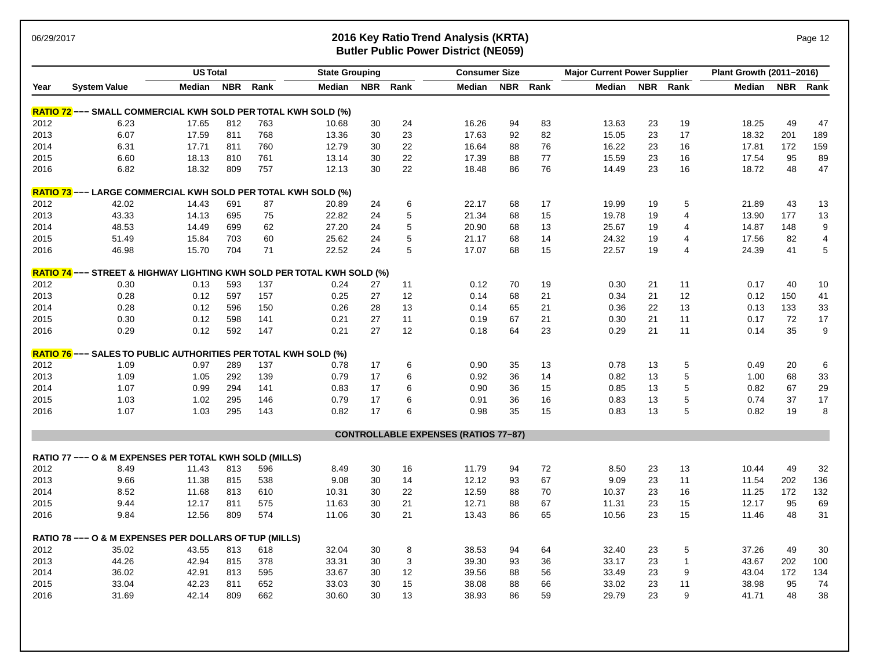### 06/29/2017 **2016 Key Ratio Trend Analysis (KRTA)** Page 12 **Butler Public Power District (NE059)**

| Median NBR<br>Rank<br>Median<br><b>NBR</b><br>Rank<br><b>NBR</b><br>Rank<br><b>Median</b><br>NBR Rank<br><b>NBR</b><br><b>System Value</b><br>Median<br>Median<br>Rank<br>Year<br><b>RATIO 72</b> --- SMALL COMMERCIAL KWH SOLD PER TOTAL KWH SOLD (%)<br>24<br>16.26<br>94<br>19<br>18.25<br>47<br>2012<br>6.23<br>17.65<br>812<br>763<br>10.68<br>30<br>83<br>13.63<br>23<br>49<br>768<br>23<br>82<br>23<br>17<br>201<br>189<br>2013<br>6.07<br>30<br>17.63<br>92<br>15.05<br>18.32<br>17.59<br>811<br>13.36<br>30<br>22<br>172<br>159<br>2014<br>6.31<br>17.71<br>811<br>760<br>12.79<br>16.64<br>88<br>76<br>16.22<br>23<br>16<br>17.81<br>89<br>2015<br>6.60<br>18.13<br>810<br>761<br>13.14<br>30<br>22<br>17.39<br>77<br>15.59<br>23<br>17.54<br>95<br>88<br>16<br>47<br>6.82<br>18.32<br>809<br>757<br>12.13<br>30<br>22<br>86<br>76<br>23<br>18.72<br>48<br>2016<br>18.48<br>14.49<br>16<br><b>RATIO 73</b> --- LARGE COMMERCIAL KWH SOLD PER TOTAL KWH SOLD (%)<br>6<br>2012<br>42.02<br>14.43<br>691<br>87<br>20.89<br>24<br>22.17<br>68<br>19.99<br>19<br>21.89<br>43<br>13<br>17<br>5<br>5<br>$\overline{4}$<br>13<br>2013<br>43.33<br>14.13<br>695<br>75<br>22.82<br>24<br>21.34<br>68<br>15<br>13.90<br>177<br>19.78<br>19<br>5<br>2014<br>48.53<br>699<br>62<br>27.20<br>24<br>20.90<br>25.67<br>148<br>9<br>14.49<br>68<br>13<br>19<br>$\overline{4}$<br>14.87<br>5<br>$\overline{\mathbf{4}}$<br>2015<br>51.49<br>703<br>60<br>25.62<br>24<br>21.17<br>68<br>24.32<br>19<br>$\overline{4}$<br>17.56<br>82<br>15.84<br>14<br>$\sqrt{5}$<br>5<br>2016<br>46.98<br>15.70<br>704<br>71<br>22.52<br>24<br>17.07<br>68<br>15<br>22.57<br>19<br>$\overline{4}$<br>24.39<br>41<br>RATIO 74 --- STREET & HIGHWAY LIGHTING KWH SOLD PER TOTAL KWH SOLD (%)<br>2012<br>21<br>0.17<br>0.30<br>0.13<br>593<br>137<br>0.24<br>27<br>11<br>0.12<br>70<br>19<br>0.30<br>11<br>40<br>10<br>0.25<br>27<br>41<br>2013<br>0.28<br>0.12<br>597<br>157<br>$12 \overline{ }$<br>0.14<br>68<br>21<br>0.34<br>21<br>12<br>0.12<br>150<br>13<br>133<br>33<br>2014<br>0.28<br>0.12<br>596<br>150<br>0.26<br>28<br>0.14<br>65<br>21<br>0.36<br>22<br>13<br>0.13<br>0.12<br>598<br>0.21<br>27<br>21<br>17<br>2015<br>0.30<br>141<br>11<br>0.19<br>67<br>21<br>0.30<br>11<br>0.17<br>72<br>27<br>12<br>23<br>21<br>9<br>0.29<br>0.12<br>592<br>147<br>0.21<br>0.18<br>64<br>0.29<br>11<br>0.14<br>35<br>2016<br>RATIO 76 --- SALES TO PUBLIC AUTHORITIES PER TOTAL KWH SOLD (%)<br>137<br>6<br>0.90<br>5<br>20<br>6<br>2012<br>1.09<br>0.97<br>289<br>0.78<br>17<br>35<br>13<br>0.78<br>13<br>0.49<br>5<br>33<br>2013<br>1.09<br>1.05<br>292<br>139<br>0.79<br>17<br>6<br>0.92<br>36<br>14<br>0.82<br>13<br>1.00<br>68<br>5<br>29<br>2014<br>1.07<br>0.99<br>294<br>141<br>0.83<br>17<br>6<br>0.90<br>15<br>0.82<br>67<br>36<br>0.85<br>13<br>5<br>17<br>6<br>37<br>17<br>2015<br>1.03<br>1.02<br>295<br>146<br>0.79<br>0.91<br>36<br>16<br>0.83<br>13<br>0.74<br>17<br>5<br>295<br>143<br>0.82<br>6<br>0.98<br>35<br>15<br>13<br>0.82<br>19<br>8<br>2016<br>1.07<br>1.03<br>0.83<br><b>CONTROLLABLE EXPENSES (RATIOS 77-87)</b><br>RATIO 77 --- O & M EXPENSES PER TOTAL KWH SOLD (MILLS)<br>8.49<br>30<br>16<br>11.79<br>72<br>13<br>10.44<br>49<br>32<br>2012<br>8.49<br>11.43<br>813<br>596<br>94<br>8.50<br>23<br>9.66<br>9.08<br>30<br>12.12<br>93<br>23<br>11.54<br>202<br>136<br>2013<br>11.38<br>815<br>538<br>14<br>67<br>9.09<br>11<br>132<br>2014<br>8.52<br>11.68<br>610<br>10.31<br>30<br>22<br>12.59<br>70<br>10.37<br>23<br>11.25<br>172<br>813<br>88<br>16<br>69<br>21<br>88<br>15<br>12.17<br>95<br>2015<br>9.44<br>12.17<br>811<br>575<br>11.63<br>30<br>12.71<br>67<br>11.31<br>23<br>30<br>23<br>31<br>2016<br>9.84<br>12.56<br>809<br>574<br>11.06<br>21<br>13.43<br>86<br>65<br>10.56<br>15<br>11.46<br>48<br>RATIO 78 --- O & M EXPENSES PER DOLLARS OF TUP (MILLS)<br>2012<br>618<br>32.04<br>30<br>8<br>38.53<br>32.40<br>37.26<br>49<br>30<br>35.02<br>43.55<br>813<br>94<br>23<br>5<br>64<br>100<br>44.26<br>378<br>3<br>33.17<br>$\mathbf{1}$<br>43.67<br>202<br>2013<br>42.94<br>815<br>33.31<br>30<br>39.30<br>93<br>36<br>23<br>134<br>2014<br>36.02<br>42.91<br>813<br>595<br>33.67<br>30<br>12<br>39.56<br>88<br>33.49<br>23<br>9<br>43.04<br>172<br>56<br>74<br>2015<br>33.04<br>42.23<br>811<br>652<br>30<br>15<br>88<br>33.02<br>23<br>11<br>38.98<br>95<br>33.03<br>38.08<br>66 |      |       | <b>US Total</b> |     |     | <b>State Grouping</b> |    |    | <b>Consumer Size</b> |    |    | <b>Major Current Power Supplier</b> |    |   | Plant Growth (2011-2016) |    |    |
|-----------------------------------------------------------------------------------------------------------------------------------------------------------------------------------------------------------------------------------------------------------------------------------------------------------------------------------------------------------------------------------------------------------------------------------------------------------------------------------------------------------------------------------------------------------------------------------------------------------------------------------------------------------------------------------------------------------------------------------------------------------------------------------------------------------------------------------------------------------------------------------------------------------------------------------------------------------------------------------------------------------------------------------------------------------------------------------------------------------------------------------------------------------------------------------------------------------------------------------------------------------------------------------------------------------------------------------------------------------------------------------------------------------------------------------------------------------------------------------------------------------------------------------------------------------------------------------------------------------------------------------------------------------------------------------------------------------------------------------------------------------------------------------------------------------------------------------------------------------------------------------------------------------------------------------------------------------------------------------------------------------------------------------------------------------------------------------------------------------------------------------------------------------------------------------------------------------------------------------------------------------------------------------------------------------------------------------------------------------------------------------------------------------------------------------------------------------------------------------------------------------------------------------------------------------------------------------------------------------------------------------------------------------------------------------------------------------------------------------------------------------------------------------------------------------------------------------------------------------------------------------------------------------------------------------------------------------------------------------------------------------------------------------------------------------------------------------------------------------------------------------------------------------------------------------------------------------------------------------------------------------------------------------------------------------------------------------------------------------------------------------------------------------------------------------------------------------------------------------------------------------------------------------------------------------------------------------------------------------------------------------------------------------------------------------------------------------------------------------------------------------------------------------------------------------------------------------------------------------------------------------------------------------------------------------------------------------------------------------------------------------------------------------------------------------------------------------------------------------------------------------------------------------------------------------------------------------------------------------------------------------------------------------------------------------------------------------------------------------------------------------------------------------|------|-------|-----------------|-----|-----|-----------------------|----|----|----------------------|----|----|-------------------------------------|----|---|--------------------------|----|----|
|                                                                                                                                                                                                                                                                                                                                                                                                                                                                                                                                                                                                                                                                                                                                                                                                                                                                                                                                                                                                                                                                                                                                                                                                                                                                                                                                                                                                                                                                                                                                                                                                                                                                                                                                                                                                                                                                                                                                                                                                                                                                                                                                                                                                                                                                                                                                                                                                                                                                                                                                                                                                                                                                                                                                                                                                                                                                                                                                                                                                                                                                                                                                                                                                                                                                                                                                                                                                                                                                                                                                                                                                                                                                                                                                                                                                                                                                                                                                                                                                                                                                                                                                                                                                                                                                                                                                                                                                           |      |       |                 |     |     |                       |    |    |                      |    |    |                                     |    |   |                          |    |    |
|                                                                                                                                                                                                                                                                                                                                                                                                                                                                                                                                                                                                                                                                                                                                                                                                                                                                                                                                                                                                                                                                                                                                                                                                                                                                                                                                                                                                                                                                                                                                                                                                                                                                                                                                                                                                                                                                                                                                                                                                                                                                                                                                                                                                                                                                                                                                                                                                                                                                                                                                                                                                                                                                                                                                                                                                                                                                                                                                                                                                                                                                                                                                                                                                                                                                                                                                                                                                                                                                                                                                                                                                                                                                                                                                                                                                                                                                                                                                                                                                                                                                                                                                                                                                                                                                                                                                                                                                           |      |       |                 |     |     |                       |    |    |                      |    |    |                                     |    |   |                          |    |    |
|                                                                                                                                                                                                                                                                                                                                                                                                                                                                                                                                                                                                                                                                                                                                                                                                                                                                                                                                                                                                                                                                                                                                                                                                                                                                                                                                                                                                                                                                                                                                                                                                                                                                                                                                                                                                                                                                                                                                                                                                                                                                                                                                                                                                                                                                                                                                                                                                                                                                                                                                                                                                                                                                                                                                                                                                                                                                                                                                                                                                                                                                                                                                                                                                                                                                                                                                                                                                                                                                                                                                                                                                                                                                                                                                                                                                                                                                                                                                                                                                                                                                                                                                                                                                                                                                                                                                                                                                           |      |       |                 |     |     |                       |    |    |                      |    |    |                                     |    |   |                          |    |    |
|                                                                                                                                                                                                                                                                                                                                                                                                                                                                                                                                                                                                                                                                                                                                                                                                                                                                                                                                                                                                                                                                                                                                                                                                                                                                                                                                                                                                                                                                                                                                                                                                                                                                                                                                                                                                                                                                                                                                                                                                                                                                                                                                                                                                                                                                                                                                                                                                                                                                                                                                                                                                                                                                                                                                                                                                                                                                                                                                                                                                                                                                                                                                                                                                                                                                                                                                                                                                                                                                                                                                                                                                                                                                                                                                                                                                                                                                                                                                                                                                                                                                                                                                                                                                                                                                                                                                                                                                           |      |       |                 |     |     |                       |    |    |                      |    |    |                                     |    |   |                          |    |    |
|                                                                                                                                                                                                                                                                                                                                                                                                                                                                                                                                                                                                                                                                                                                                                                                                                                                                                                                                                                                                                                                                                                                                                                                                                                                                                                                                                                                                                                                                                                                                                                                                                                                                                                                                                                                                                                                                                                                                                                                                                                                                                                                                                                                                                                                                                                                                                                                                                                                                                                                                                                                                                                                                                                                                                                                                                                                                                                                                                                                                                                                                                                                                                                                                                                                                                                                                                                                                                                                                                                                                                                                                                                                                                                                                                                                                                                                                                                                                                                                                                                                                                                                                                                                                                                                                                                                                                                                                           |      |       |                 |     |     |                       |    |    |                      |    |    |                                     |    |   |                          |    |    |
|                                                                                                                                                                                                                                                                                                                                                                                                                                                                                                                                                                                                                                                                                                                                                                                                                                                                                                                                                                                                                                                                                                                                                                                                                                                                                                                                                                                                                                                                                                                                                                                                                                                                                                                                                                                                                                                                                                                                                                                                                                                                                                                                                                                                                                                                                                                                                                                                                                                                                                                                                                                                                                                                                                                                                                                                                                                                                                                                                                                                                                                                                                                                                                                                                                                                                                                                                                                                                                                                                                                                                                                                                                                                                                                                                                                                                                                                                                                                                                                                                                                                                                                                                                                                                                                                                                                                                                                                           |      |       |                 |     |     |                       |    |    |                      |    |    |                                     |    |   |                          |    |    |
|                                                                                                                                                                                                                                                                                                                                                                                                                                                                                                                                                                                                                                                                                                                                                                                                                                                                                                                                                                                                                                                                                                                                                                                                                                                                                                                                                                                                                                                                                                                                                                                                                                                                                                                                                                                                                                                                                                                                                                                                                                                                                                                                                                                                                                                                                                                                                                                                                                                                                                                                                                                                                                                                                                                                                                                                                                                                                                                                                                                                                                                                                                                                                                                                                                                                                                                                                                                                                                                                                                                                                                                                                                                                                                                                                                                                                                                                                                                                                                                                                                                                                                                                                                                                                                                                                                                                                                                                           |      |       |                 |     |     |                       |    |    |                      |    |    |                                     |    |   |                          |    |    |
|                                                                                                                                                                                                                                                                                                                                                                                                                                                                                                                                                                                                                                                                                                                                                                                                                                                                                                                                                                                                                                                                                                                                                                                                                                                                                                                                                                                                                                                                                                                                                                                                                                                                                                                                                                                                                                                                                                                                                                                                                                                                                                                                                                                                                                                                                                                                                                                                                                                                                                                                                                                                                                                                                                                                                                                                                                                                                                                                                                                                                                                                                                                                                                                                                                                                                                                                                                                                                                                                                                                                                                                                                                                                                                                                                                                                                                                                                                                                                                                                                                                                                                                                                                                                                                                                                                                                                                                                           |      |       |                 |     |     |                       |    |    |                      |    |    |                                     |    |   |                          |    |    |
|                                                                                                                                                                                                                                                                                                                                                                                                                                                                                                                                                                                                                                                                                                                                                                                                                                                                                                                                                                                                                                                                                                                                                                                                                                                                                                                                                                                                                                                                                                                                                                                                                                                                                                                                                                                                                                                                                                                                                                                                                                                                                                                                                                                                                                                                                                                                                                                                                                                                                                                                                                                                                                                                                                                                                                                                                                                                                                                                                                                                                                                                                                                                                                                                                                                                                                                                                                                                                                                                                                                                                                                                                                                                                                                                                                                                                                                                                                                                                                                                                                                                                                                                                                                                                                                                                                                                                                                                           |      |       |                 |     |     |                       |    |    |                      |    |    |                                     |    |   |                          |    |    |
|                                                                                                                                                                                                                                                                                                                                                                                                                                                                                                                                                                                                                                                                                                                                                                                                                                                                                                                                                                                                                                                                                                                                                                                                                                                                                                                                                                                                                                                                                                                                                                                                                                                                                                                                                                                                                                                                                                                                                                                                                                                                                                                                                                                                                                                                                                                                                                                                                                                                                                                                                                                                                                                                                                                                                                                                                                                                                                                                                                                                                                                                                                                                                                                                                                                                                                                                                                                                                                                                                                                                                                                                                                                                                                                                                                                                                                                                                                                                                                                                                                                                                                                                                                                                                                                                                                                                                                                                           |      |       |                 |     |     |                       |    |    |                      |    |    |                                     |    |   |                          |    |    |
|                                                                                                                                                                                                                                                                                                                                                                                                                                                                                                                                                                                                                                                                                                                                                                                                                                                                                                                                                                                                                                                                                                                                                                                                                                                                                                                                                                                                                                                                                                                                                                                                                                                                                                                                                                                                                                                                                                                                                                                                                                                                                                                                                                                                                                                                                                                                                                                                                                                                                                                                                                                                                                                                                                                                                                                                                                                                                                                                                                                                                                                                                                                                                                                                                                                                                                                                                                                                                                                                                                                                                                                                                                                                                                                                                                                                                                                                                                                                                                                                                                                                                                                                                                                                                                                                                                                                                                                                           |      |       |                 |     |     |                       |    |    |                      |    |    |                                     |    |   |                          |    |    |
|                                                                                                                                                                                                                                                                                                                                                                                                                                                                                                                                                                                                                                                                                                                                                                                                                                                                                                                                                                                                                                                                                                                                                                                                                                                                                                                                                                                                                                                                                                                                                                                                                                                                                                                                                                                                                                                                                                                                                                                                                                                                                                                                                                                                                                                                                                                                                                                                                                                                                                                                                                                                                                                                                                                                                                                                                                                                                                                                                                                                                                                                                                                                                                                                                                                                                                                                                                                                                                                                                                                                                                                                                                                                                                                                                                                                                                                                                                                                                                                                                                                                                                                                                                                                                                                                                                                                                                                                           |      |       |                 |     |     |                       |    |    |                      |    |    |                                     |    |   |                          |    |    |
|                                                                                                                                                                                                                                                                                                                                                                                                                                                                                                                                                                                                                                                                                                                                                                                                                                                                                                                                                                                                                                                                                                                                                                                                                                                                                                                                                                                                                                                                                                                                                                                                                                                                                                                                                                                                                                                                                                                                                                                                                                                                                                                                                                                                                                                                                                                                                                                                                                                                                                                                                                                                                                                                                                                                                                                                                                                                                                                                                                                                                                                                                                                                                                                                                                                                                                                                                                                                                                                                                                                                                                                                                                                                                                                                                                                                                                                                                                                                                                                                                                                                                                                                                                                                                                                                                                                                                                                                           |      |       |                 |     |     |                       |    |    |                      |    |    |                                     |    |   |                          |    |    |
|                                                                                                                                                                                                                                                                                                                                                                                                                                                                                                                                                                                                                                                                                                                                                                                                                                                                                                                                                                                                                                                                                                                                                                                                                                                                                                                                                                                                                                                                                                                                                                                                                                                                                                                                                                                                                                                                                                                                                                                                                                                                                                                                                                                                                                                                                                                                                                                                                                                                                                                                                                                                                                                                                                                                                                                                                                                                                                                                                                                                                                                                                                                                                                                                                                                                                                                                                                                                                                                                                                                                                                                                                                                                                                                                                                                                                                                                                                                                                                                                                                                                                                                                                                                                                                                                                                                                                                                                           |      |       |                 |     |     |                       |    |    |                      |    |    |                                     |    |   |                          |    |    |
|                                                                                                                                                                                                                                                                                                                                                                                                                                                                                                                                                                                                                                                                                                                                                                                                                                                                                                                                                                                                                                                                                                                                                                                                                                                                                                                                                                                                                                                                                                                                                                                                                                                                                                                                                                                                                                                                                                                                                                                                                                                                                                                                                                                                                                                                                                                                                                                                                                                                                                                                                                                                                                                                                                                                                                                                                                                                                                                                                                                                                                                                                                                                                                                                                                                                                                                                                                                                                                                                                                                                                                                                                                                                                                                                                                                                                                                                                                                                                                                                                                                                                                                                                                                                                                                                                                                                                                                                           |      |       |                 |     |     |                       |    |    |                      |    |    |                                     |    |   |                          |    |    |
|                                                                                                                                                                                                                                                                                                                                                                                                                                                                                                                                                                                                                                                                                                                                                                                                                                                                                                                                                                                                                                                                                                                                                                                                                                                                                                                                                                                                                                                                                                                                                                                                                                                                                                                                                                                                                                                                                                                                                                                                                                                                                                                                                                                                                                                                                                                                                                                                                                                                                                                                                                                                                                                                                                                                                                                                                                                                                                                                                                                                                                                                                                                                                                                                                                                                                                                                                                                                                                                                                                                                                                                                                                                                                                                                                                                                                                                                                                                                                                                                                                                                                                                                                                                                                                                                                                                                                                                                           |      |       |                 |     |     |                       |    |    |                      |    |    |                                     |    |   |                          |    |    |
|                                                                                                                                                                                                                                                                                                                                                                                                                                                                                                                                                                                                                                                                                                                                                                                                                                                                                                                                                                                                                                                                                                                                                                                                                                                                                                                                                                                                                                                                                                                                                                                                                                                                                                                                                                                                                                                                                                                                                                                                                                                                                                                                                                                                                                                                                                                                                                                                                                                                                                                                                                                                                                                                                                                                                                                                                                                                                                                                                                                                                                                                                                                                                                                                                                                                                                                                                                                                                                                                                                                                                                                                                                                                                                                                                                                                                                                                                                                                                                                                                                                                                                                                                                                                                                                                                                                                                                                                           |      |       |                 |     |     |                       |    |    |                      |    |    |                                     |    |   |                          |    |    |
|                                                                                                                                                                                                                                                                                                                                                                                                                                                                                                                                                                                                                                                                                                                                                                                                                                                                                                                                                                                                                                                                                                                                                                                                                                                                                                                                                                                                                                                                                                                                                                                                                                                                                                                                                                                                                                                                                                                                                                                                                                                                                                                                                                                                                                                                                                                                                                                                                                                                                                                                                                                                                                                                                                                                                                                                                                                                                                                                                                                                                                                                                                                                                                                                                                                                                                                                                                                                                                                                                                                                                                                                                                                                                                                                                                                                                                                                                                                                                                                                                                                                                                                                                                                                                                                                                                                                                                                                           |      |       |                 |     |     |                       |    |    |                      |    |    |                                     |    |   |                          |    |    |
|                                                                                                                                                                                                                                                                                                                                                                                                                                                                                                                                                                                                                                                                                                                                                                                                                                                                                                                                                                                                                                                                                                                                                                                                                                                                                                                                                                                                                                                                                                                                                                                                                                                                                                                                                                                                                                                                                                                                                                                                                                                                                                                                                                                                                                                                                                                                                                                                                                                                                                                                                                                                                                                                                                                                                                                                                                                                                                                                                                                                                                                                                                                                                                                                                                                                                                                                                                                                                                                                                                                                                                                                                                                                                                                                                                                                                                                                                                                                                                                                                                                                                                                                                                                                                                                                                                                                                                                                           |      |       |                 |     |     |                       |    |    |                      |    |    |                                     |    |   |                          |    |    |
|                                                                                                                                                                                                                                                                                                                                                                                                                                                                                                                                                                                                                                                                                                                                                                                                                                                                                                                                                                                                                                                                                                                                                                                                                                                                                                                                                                                                                                                                                                                                                                                                                                                                                                                                                                                                                                                                                                                                                                                                                                                                                                                                                                                                                                                                                                                                                                                                                                                                                                                                                                                                                                                                                                                                                                                                                                                                                                                                                                                                                                                                                                                                                                                                                                                                                                                                                                                                                                                                                                                                                                                                                                                                                                                                                                                                                                                                                                                                                                                                                                                                                                                                                                                                                                                                                                                                                                                                           |      |       |                 |     |     |                       |    |    |                      |    |    |                                     |    |   |                          |    |    |
|                                                                                                                                                                                                                                                                                                                                                                                                                                                                                                                                                                                                                                                                                                                                                                                                                                                                                                                                                                                                                                                                                                                                                                                                                                                                                                                                                                                                                                                                                                                                                                                                                                                                                                                                                                                                                                                                                                                                                                                                                                                                                                                                                                                                                                                                                                                                                                                                                                                                                                                                                                                                                                                                                                                                                                                                                                                                                                                                                                                                                                                                                                                                                                                                                                                                                                                                                                                                                                                                                                                                                                                                                                                                                                                                                                                                                                                                                                                                                                                                                                                                                                                                                                                                                                                                                                                                                                                                           |      |       |                 |     |     |                       |    |    |                      |    |    |                                     |    |   |                          |    |    |
|                                                                                                                                                                                                                                                                                                                                                                                                                                                                                                                                                                                                                                                                                                                                                                                                                                                                                                                                                                                                                                                                                                                                                                                                                                                                                                                                                                                                                                                                                                                                                                                                                                                                                                                                                                                                                                                                                                                                                                                                                                                                                                                                                                                                                                                                                                                                                                                                                                                                                                                                                                                                                                                                                                                                                                                                                                                                                                                                                                                                                                                                                                                                                                                                                                                                                                                                                                                                                                                                                                                                                                                                                                                                                                                                                                                                                                                                                                                                                                                                                                                                                                                                                                                                                                                                                                                                                                                                           |      |       |                 |     |     |                       |    |    |                      |    |    |                                     |    |   |                          |    |    |
|                                                                                                                                                                                                                                                                                                                                                                                                                                                                                                                                                                                                                                                                                                                                                                                                                                                                                                                                                                                                                                                                                                                                                                                                                                                                                                                                                                                                                                                                                                                                                                                                                                                                                                                                                                                                                                                                                                                                                                                                                                                                                                                                                                                                                                                                                                                                                                                                                                                                                                                                                                                                                                                                                                                                                                                                                                                                                                                                                                                                                                                                                                                                                                                                                                                                                                                                                                                                                                                                                                                                                                                                                                                                                                                                                                                                                                                                                                                                                                                                                                                                                                                                                                                                                                                                                                                                                                                                           |      |       |                 |     |     |                       |    |    |                      |    |    |                                     |    |   |                          |    |    |
|                                                                                                                                                                                                                                                                                                                                                                                                                                                                                                                                                                                                                                                                                                                                                                                                                                                                                                                                                                                                                                                                                                                                                                                                                                                                                                                                                                                                                                                                                                                                                                                                                                                                                                                                                                                                                                                                                                                                                                                                                                                                                                                                                                                                                                                                                                                                                                                                                                                                                                                                                                                                                                                                                                                                                                                                                                                                                                                                                                                                                                                                                                                                                                                                                                                                                                                                                                                                                                                                                                                                                                                                                                                                                                                                                                                                                                                                                                                                                                                                                                                                                                                                                                                                                                                                                                                                                                                                           |      |       |                 |     |     |                       |    |    |                      |    |    |                                     |    |   |                          |    |    |
|                                                                                                                                                                                                                                                                                                                                                                                                                                                                                                                                                                                                                                                                                                                                                                                                                                                                                                                                                                                                                                                                                                                                                                                                                                                                                                                                                                                                                                                                                                                                                                                                                                                                                                                                                                                                                                                                                                                                                                                                                                                                                                                                                                                                                                                                                                                                                                                                                                                                                                                                                                                                                                                                                                                                                                                                                                                                                                                                                                                                                                                                                                                                                                                                                                                                                                                                                                                                                                                                                                                                                                                                                                                                                                                                                                                                                                                                                                                                                                                                                                                                                                                                                                                                                                                                                                                                                                                                           |      |       |                 |     |     |                       |    |    |                      |    |    |                                     |    |   |                          |    |    |
|                                                                                                                                                                                                                                                                                                                                                                                                                                                                                                                                                                                                                                                                                                                                                                                                                                                                                                                                                                                                                                                                                                                                                                                                                                                                                                                                                                                                                                                                                                                                                                                                                                                                                                                                                                                                                                                                                                                                                                                                                                                                                                                                                                                                                                                                                                                                                                                                                                                                                                                                                                                                                                                                                                                                                                                                                                                                                                                                                                                                                                                                                                                                                                                                                                                                                                                                                                                                                                                                                                                                                                                                                                                                                                                                                                                                                                                                                                                                                                                                                                                                                                                                                                                                                                                                                                                                                                                                           |      |       |                 |     |     |                       |    |    |                      |    |    |                                     |    |   |                          |    |    |
|                                                                                                                                                                                                                                                                                                                                                                                                                                                                                                                                                                                                                                                                                                                                                                                                                                                                                                                                                                                                                                                                                                                                                                                                                                                                                                                                                                                                                                                                                                                                                                                                                                                                                                                                                                                                                                                                                                                                                                                                                                                                                                                                                                                                                                                                                                                                                                                                                                                                                                                                                                                                                                                                                                                                                                                                                                                                                                                                                                                                                                                                                                                                                                                                                                                                                                                                                                                                                                                                                                                                                                                                                                                                                                                                                                                                                                                                                                                                                                                                                                                                                                                                                                                                                                                                                                                                                                                                           |      |       |                 |     |     |                       |    |    |                      |    |    |                                     |    |   |                          |    |    |
|                                                                                                                                                                                                                                                                                                                                                                                                                                                                                                                                                                                                                                                                                                                                                                                                                                                                                                                                                                                                                                                                                                                                                                                                                                                                                                                                                                                                                                                                                                                                                                                                                                                                                                                                                                                                                                                                                                                                                                                                                                                                                                                                                                                                                                                                                                                                                                                                                                                                                                                                                                                                                                                                                                                                                                                                                                                                                                                                                                                                                                                                                                                                                                                                                                                                                                                                                                                                                                                                                                                                                                                                                                                                                                                                                                                                                                                                                                                                                                                                                                                                                                                                                                                                                                                                                                                                                                                                           |      |       |                 |     |     |                       |    |    |                      |    |    |                                     |    |   |                          |    |    |
|                                                                                                                                                                                                                                                                                                                                                                                                                                                                                                                                                                                                                                                                                                                                                                                                                                                                                                                                                                                                                                                                                                                                                                                                                                                                                                                                                                                                                                                                                                                                                                                                                                                                                                                                                                                                                                                                                                                                                                                                                                                                                                                                                                                                                                                                                                                                                                                                                                                                                                                                                                                                                                                                                                                                                                                                                                                                                                                                                                                                                                                                                                                                                                                                                                                                                                                                                                                                                                                                                                                                                                                                                                                                                                                                                                                                                                                                                                                                                                                                                                                                                                                                                                                                                                                                                                                                                                                                           |      |       |                 |     |     |                       |    |    |                      |    |    |                                     |    |   |                          |    |    |
|                                                                                                                                                                                                                                                                                                                                                                                                                                                                                                                                                                                                                                                                                                                                                                                                                                                                                                                                                                                                                                                                                                                                                                                                                                                                                                                                                                                                                                                                                                                                                                                                                                                                                                                                                                                                                                                                                                                                                                                                                                                                                                                                                                                                                                                                                                                                                                                                                                                                                                                                                                                                                                                                                                                                                                                                                                                                                                                                                                                                                                                                                                                                                                                                                                                                                                                                                                                                                                                                                                                                                                                                                                                                                                                                                                                                                                                                                                                                                                                                                                                                                                                                                                                                                                                                                                                                                                                                           |      |       |                 |     |     |                       |    |    |                      |    |    |                                     |    |   |                          |    |    |
|                                                                                                                                                                                                                                                                                                                                                                                                                                                                                                                                                                                                                                                                                                                                                                                                                                                                                                                                                                                                                                                                                                                                                                                                                                                                                                                                                                                                                                                                                                                                                                                                                                                                                                                                                                                                                                                                                                                                                                                                                                                                                                                                                                                                                                                                                                                                                                                                                                                                                                                                                                                                                                                                                                                                                                                                                                                                                                                                                                                                                                                                                                                                                                                                                                                                                                                                                                                                                                                                                                                                                                                                                                                                                                                                                                                                                                                                                                                                                                                                                                                                                                                                                                                                                                                                                                                                                                                                           |      |       |                 |     |     |                       |    |    |                      |    |    |                                     |    |   |                          |    |    |
|                                                                                                                                                                                                                                                                                                                                                                                                                                                                                                                                                                                                                                                                                                                                                                                                                                                                                                                                                                                                                                                                                                                                                                                                                                                                                                                                                                                                                                                                                                                                                                                                                                                                                                                                                                                                                                                                                                                                                                                                                                                                                                                                                                                                                                                                                                                                                                                                                                                                                                                                                                                                                                                                                                                                                                                                                                                                                                                                                                                                                                                                                                                                                                                                                                                                                                                                                                                                                                                                                                                                                                                                                                                                                                                                                                                                                                                                                                                                                                                                                                                                                                                                                                                                                                                                                                                                                                                                           |      |       |                 |     |     |                       |    |    |                      |    |    |                                     |    |   |                          |    |    |
|                                                                                                                                                                                                                                                                                                                                                                                                                                                                                                                                                                                                                                                                                                                                                                                                                                                                                                                                                                                                                                                                                                                                                                                                                                                                                                                                                                                                                                                                                                                                                                                                                                                                                                                                                                                                                                                                                                                                                                                                                                                                                                                                                                                                                                                                                                                                                                                                                                                                                                                                                                                                                                                                                                                                                                                                                                                                                                                                                                                                                                                                                                                                                                                                                                                                                                                                                                                                                                                                                                                                                                                                                                                                                                                                                                                                                                                                                                                                                                                                                                                                                                                                                                                                                                                                                                                                                                                                           |      |       |                 |     |     |                       |    |    |                      |    |    |                                     |    |   |                          |    |    |
|                                                                                                                                                                                                                                                                                                                                                                                                                                                                                                                                                                                                                                                                                                                                                                                                                                                                                                                                                                                                                                                                                                                                                                                                                                                                                                                                                                                                                                                                                                                                                                                                                                                                                                                                                                                                                                                                                                                                                                                                                                                                                                                                                                                                                                                                                                                                                                                                                                                                                                                                                                                                                                                                                                                                                                                                                                                                                                                                                                                                                                                                                                                                                                                                                                                                                                                                                                                                                                                                                                                                                                                                                                                                                                                                                                                                                                                                                                                                                                                                                                                                                                                                                                                                                                                                                                                                                                                                           |      |       |                 |     |     |                       |    |    |                      |    |    |                                     |    |   |                          |    |    |
|                                                                                                                                                                                                                                                                                                                                                                                                                                                                                                                                                                                                                                                                                                                                                                                                                                                                                                                                                                                                                                                                                                                                                                                                                                                                                                                                                                                                                                                                                                                                                                                                                                                                                                                                                                                                                                                                                                                                                                                                                                                                                                                                                                                                                                                                                                                                                                                                                                                                                                                                                                                                                                                                                                                                                                                                                                                                                                                                                                                                                                                                                                                                                                                                                                                                                                                                                                                                                                                                                                                                                                                                                                                                                                                                                                                                                                                                                                                                                                                                                                                                                                                                                                                                                                                                                                                                                                                                           |      |       |                 |     |     |                       |    |    |                      |    |    |                                     |    |   |                          |    |    |
|                                                                                                                                                                                                                                                                                                                                                                                                                                                                                                                                                                                                                                                                                                                                                                                                                                                                                                                                                                                                                                                                                                                                                                                                                                                                                                                                                                                                                                                                                                                                                                                                                                                                                                                                                                                                                                                                                                                                                                                                                                                                                                                                                                                                                                                                                                                                                                                                                                                                                                                                                                                                                                                                                                                                                                                                                                                                                                                                                                                                                                                                                                                                                                                                                                                                                                                                                                                                                                                                                                                                                                                                                                                                                                                                                                                                                                                                                                                                                                                                                                                                                                                                                                                                                                                                                                                                                                                                           |      |       |                 |     |     |                       |    |    |                      |    |    |                                     |    |   |                          |    |    |
|                                                                                                                                                                                                                                                                                                                                                                                                                                                                                                                                                                                                                                                                                                                                                                                                                                                                                                                                                                                                                                                                                                                                                                                                                                                                                                                                                                                                                                                                                                                                                                                                                                                                                                                                                                                                                                                                                                                                                                                                                                                                                                                                                                                                                                                                                                                                                                                                                                                                                                                                                                                                                                                                                                                                                                                                                                                                                                                                                                                                                                                                                                                                                                                                                                                                                                                                                                                                                                                                                                                                                                                                                                                                                                                                                                                                                                                                                                                                                                                                                                                                                                                                                                                                                                                                                                                                                                                                           |      |       |                 |     |     |                       |    |    |                      |    |    |                                     |    |   |                          |    |    |
|                                                                                                                                                                                                                                                                                                                                                                                                                                                                                                                                                                                                                                                                                                                                                                                                                                                                                                                                                                                                                                                                                                                                                                                                                                                                                                                                                                                                                                                                                                                                                                                                                                                                                                                                                                                                                                                                                                                                                                                                                                                                                                                                                                                                                                                                                                                                                                                                                                                                                                                                                                                                                                                                                                                                                                                                                                                                                                                                                                                                                                                                                                                                                                                                                                                                                                                                                                                                                                                                                                                                                                                                                                                                                                                                                                                                                                                                                                                                                                                                                                                                                                                                                                                                                                                                                                                                                                                                           |      |       |                 |     |     |                       |    |    |                      |    |    |                                     |    |   |                          |    |    |
|                                                                                                                                                                                                                                                                                                                                                                                                                                                                                                                                                                                                                                                                                                                                                                                                                                                                                                                                                                                                                                                                                                                                                                                                                                                                                                                                                                                                                                                                                                                                                                                                                                                                                                                                                                                                                                                                                                                                                                                                                                                                                                                                                                                                                                                                                                                                                                                                                                                                                                                                                                                                                                                                                                                                                                                                                                                                                                                                                                                                                                                                                                                                                                                                                                                                                                                                                                                                                                                                                                                                                                                                                                                                                                                                                                                                                                                                                                                                                                                                                                                                                                                                                                                                                                                                                                                                                                                                           |      |       |                 |     |     |                       |    |    |                      |    |    |                                     |    |   |                          |    |    |
|                                                                                                                                                                                                                                                                                                                                                                                                                                                                                                                                                                                                                                                                                                                                                                                                                                                                                                                                                                                                                                                                                                                                                                                                                                                                                                                                                                                                                                                                                                                                                                                                                                                                                                                                                                                                                                                                                                                                                                                                                                                                                                                                                                                                                                                                                                                                                                                                                                                                                                                                                                                                                                                                                                                                                                                                                                                                                                                                                                                                                                                                                                                                                                                                                                                                                                                                                                                                                                                                                                                                                                                                                                                                                                                                                                                                                                                                                                                                                                                                                                                                                                                                                                                                                                                                                                                                                                                                           | 2016 | 31.69 | 42.14           | 809 | 662 | 30.60                 | 30 | 13 | 38.93                | 86 | 59 | 29.79                               | 23 | 9 | 41.71                    | 48 | 38 |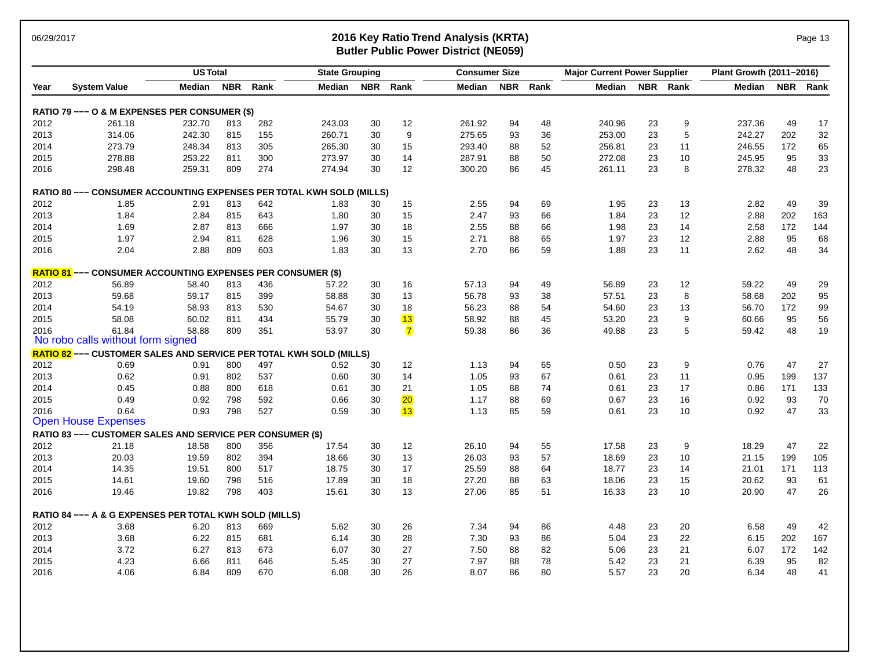### 06/29/2017 **2016 Key Ratio Trend Analysis (KRTA)** Page 13 **Butler Public Power District (NE059)**

| Page | ົ 1. |  |
|------|------|--|
|      |      |  |

| <b>NBR</b><br>Rank<br>NBR Rank<br><b>NBR</b><br>Rank<br>NBR Rank<br>NBR Rank<br><b>System Value</b><br>Median<br>Median<br>Median<br>Median<br>Median<br>Year<br>RATIO 79 --- O & M EXPENSES PER CONSUMER (\$)<br>2012<br>261.18<br>232.70<br>282<br>243.03<br>30<br>12<br>261.92<br>94<br>48<br>240.96<br>23<br>9<br>237.36<br>49<br>17<br>813<br>9<br>32<br>2013<br>242.30<br>260.71<br>30<br>275.65<br>36<br>253.00<br>23<br>5<br>242.27<br>202<br>314.06<br>815<br>155<br>93<br>2014<br>11<br>65<br>273.79<br>248.34<br>813<br>305<br>265.30<br>30<br>15<br>293.40<br>88<br>52<br>256.81<br>23<br>246.55<br>172<br>2015<br>278.88<br>811<br>300<br>273.97<br>30<br>14<br>287.91<br>88<br>23<br>10<br>95<br>33<br>253.22<br>50<br>272.08<br>245.95<br>23<br>274<br>30<br>300.20<br>86<br>23<br>8<br>48<br>2016<br>298.48<br>259.31<br>809<br>274.94<br>12<br>45<br>261.11<br>278.32<br><b>RATIO 80 --- CONSUMER ACCOUNTING EXPENSES PER TOTAL KWH SOLD (MILLS)</b><br>2012<br>2.55<br>49<br>39<br>1.85<br>2.91<br>813<br>642<br>15<br>94<br>69<br>1.95<br>23<br>13<br>2.82<br>1.83<br>30<br>15<br>23<br>12<br>2013<br>1.84<br>815<br>643<br>30<br>2.47<br>93<br>66<br>1.84<br>2.88<br>202<br>163<br>2.84<br>1.80<br>2014<br>1.69<br>66<br>23<br>14<br>172<br>2.87<br>813<br>666<br>1.97<br>30<br>18<br>2.55<br>88<br>1.98<br>2.58<br>144<br>2015<br>1.97<br>2.94<br>811<br>628<br>1.96<br>30<br>15<br>2.71<br>88<br>65<br>1.97<br>23<br>12<br>2.88<br>95<br>68<br>11<br>34<br>2.04<br>809<br>1.83<br>13<br>23<br>48<br>2016<br>2.88<br>603<br>30<br>2.70<br>86<br>59<br>1.88<br>2.62<br><b>RATIO 81</b> --- CONSUMER ACCOUNTING EXPENSES PER CONSUMER (\$)<br>49<br>2012<br>16<br>12<br>29<br>56.89<br>58.40<br>813<br>436<br>57.22<br>30<br>57.13<br>94<br>49<br>56.89<br>23<br>59.22<br>2013<br>59.68<br>815<br>399<br>30<br>13<br>56.78<br>93<br>38<br>57.51<br>23<br>8<br>58.68<br>202<br>95<br>59.17<br>58.88<br>99<br>2014<br>54.19<br>813<br>530<br>30<br>18<br>56.23<br>88<br>54.60<br>23<br>13<br>172<br>58.93<br>54.67<br>54<br>56.70<br>13<br>9<br>56<br>2015<br>58.08<br>58.92<br>45<br>53.20<br>23<br>95<br>60.02<br>811<br>434<br>55.79<br>30<br>88<br>60.66<br>2016<br>61.84<br>58.88<br>809<br>$\mathbf{7}$<br>23<br>19<br>351<br>53.97<br>30<br>59.38<br>86<br>36<br>49.88<br>5<br>59.42<br>48<br>No robo calls without form signed<br><b>RATIO 82</b> --- CUSTOMER SALES AND SERVICE PER TOTAL KWH SOLD (MILLS)<br>2012<br>497<br>9<br>47<br>27<br>0.69<br>0.91<br>800<br>0.52<br>30<br>12<br>1.13<br>94<br>65<br>0.50<br>23<br>0.76<br>137<br>2013<br>0.62<br>802<br>537<br>30<br>14<br>1.05<br>67<br>0.61<br>23<br>11<br>0.95<br>199<br>0.91<br>0.60<br>93<br>2014<br>0.45<br>800<br>618<br>30<br>74<br>23<br>17<br>171<br>133<br>0.88<br>0.61<br>21<br>1.05<br>88<br>0.61<br>0.86<br>$\overline{20}$<br>2015<br>0.49<br>0.92<br>798<br>592<br>0.66<br>30<br>1.17<br>88<br>69<br>0.67<br>23<br>16<br>0.92<br>93<br>70<br>13<br>0.64<br>798<br>527<br>30<br>85<br>59<br>23<br>10<br>47<br>33<br>2016<br>0.93<br>0.59<br>1.13<br>0.61<br>0.92<br><b>Open House Expenses</b><br>RATIO 83 --- CUSTOMER SALES AND SERVICE PER CONSUMER (\$)<br>47<br>2012<br>30<br>12<br>55<br>17.58<br>23<br>9<br>18.29<br>22<br>21.18<br>18.58<br>800<br>356<br>17.54<br>26.10<br>94<br>2013<br>394<br>30<br>57<br>18.69<br>23<br>10<br>199<br>105<br>20.03<br>19.59<br>802<br>18.66<br>13<br>26.03<br>93<br>21.15<br>2014<br>14.35<br>800<br>517<br>18.75<br>30<br>17<br>25.59<br>18.77<br>23<br>14<br>21.01<br>171<br>113<br>19.51<br>88<br>64<br>2015<br>14.61<br>798<br>516<br>30<br>18<br>27.20<br>63<br>18.06<br>23<br>15<br>20.62<br>93<br>61<br>19.60<br>17.89<br>88<br>19.46<br>30<br>23<br>47<br>26<br>2016<br>19.82<br>798<br>403<br>15.61<br>13<br>27.06<br>85<br>51<br>16.33<br>10<br>20.90<br>RATIO 84 --- A & G EXPENSES PER TOTAL KWH SOLD (MILLS)<br>2012<br>7.34<br>49<br>3.68<br>6.20<br>813<br>669<br>5.62<br>30<br>26<br>94<br>86<br>4.48<br>23<br>20<br>6.58<br>42<br>2013<br>23<br>22<br>3.68<br>6.22<br>815<br>681<br>6.14<br>30<br>28<br>7.30<br>86<br>5.04<br>6.15<br>202<br>167<br>93<br>2014<br>3.72<br>673<br>27<br>82<br>23<br>21<br>172<br>142<br>6.27<br>813<br>6.07<br>30<br>7.50<br>88<br>5.06<br>6.07<br>23<br>21<br>2015<br>4.23<br>811<br>646<br>30<br>27<br>7.97<br>88<br>78<br>95<br>82<br>6.66<br>5.45<br>5.42<br>6.39<br>2016<br>809<br>670<br>6.08<br>30<br>26<br>8.07<br>86<br>80<br>5.57<br>23<br>20<br>6.34<br>48<br>41<br>4.06<br>6.84 |  | <b>US Total</b> |  | <b>State Grouping</b> |  | <b>Consumer Size</b> |  | <b>Major Current Power Supplier</b> |  | Plant Growth (2011-2016) |  |
|------------------------------------------------------------------------------------------------------------------------------------------------------------------------------------------------------------------------------------------------------------------------------------------------------------------------------------------------------------------------------------------------------------------------------------------------------------------------------------------------------------------------------------------------------------------------------------------------------------------------------------------------------------------------------------------------------------------------------------------------------------------------------------------------------------------------------------------------------------------------------------------------------------------------------------------------------------------------------------------------------------------------------------------------------------------------------------------------------------------------------------------------------------------------------------------------------------------------------------------------------------------------------------------------------------------------------------------------------------------------------------------------------------------------------------------------------------------------------------------------------------------------------------------------------------------------------------------------------------------------------------------------------------------------------------------------------------------------------------------------------------------------------------------------------------------------------------------------------------------------------------------------------------------------------------------------------------------------------------------------------------------------------------------------------------------------------------------------------------------------------------------------------------------------------------------------------------------------------------------------------------------------------------------------------------------------------------------------------------------------------------------------------------------------------------------------------------------------------------------------------------------------------------------------------------------------------------------------------------------------------------------------------------------------------------------------------------------------------------------------------------------------------------------------------------------------------------------------------------------------------------------------------------------------------------------------------------------------------------------------------------------------------------------------------------------------------------------------------------------------------------------------------------------------------------------------------------------------------------------------------------------------------------------------------------------------------------------------------------------------------------------------------------------------------------------------------------------------------------------------------------------------------------------------------------------------------------------------------------------------------------------------------------------------------------------------------------------------------------------------------------------------------------------------------------------------------------------------------------------------------------------------------------------------------------------------------------------------------------------------------------------------------------------------------------------------------------------------------------------------------------------------------------------------------------------------------------------------------------------------------------------------------------------------------------------------------------------------------------------------------------------------------------------------------------------------------------------------------------------|--|-----------------|--|-----------------------|--|----------------------|--|-------------------------------------|--|--------------------------|--|
|                                                                                                                                                                                                                                                                                                                                                                                                                                                                                                                                                                                                                                                                                                                                                                                                                                                                                                                                                                                                                                                                                                                                                                                                                                                                                                                                                                                                                                                                                                                                                                                                                                                                                                                                                                                                                                                                                                                                                                                                                                                                                                                                                                                                                                                                                                                                                                                                                                                                                                                                                                                                                                                                                                                                                                                                                                                                                                                                                                                                                                                                                                                                                                                                                                                                                                                                                                                                                                                                                                                                                                                                                                                                                                                                                                                                                                                                                                                                                                                                                                                                                                                                                                                                                                                                                                                                                                                                                                                                                          |  |                 |  |                       |  |                      |  |                                     |  |                          |  |
|                                                                                                                                                                                                                                                                                                                                                                                                                                                                                                                                                                                                                                                                                                                                                                                                                                                                                                                                                                                                                                                                                                                                                                                                                                                                                                                                                                                                                                                                                                                                                                                                                                                                                                                                                                                                                                                                                                                                                                                                                                                                                                                                                                                                                                                                                                                                                                                                                                                                                                                                                                                                                                                                                                                                                                                                                                                                                                                                                                                                                                                                                                                                                                                                                                                                                                                                                                                                                                                                                                                                                                                                                                                                                                                                                                                                                                                                                                                                                                                                                                                                                                                                                                                                                                                                                                                                                                                                                                                                                          |  |                 |  |                       |  |                      |  |                                     |  |                          |  |
|                                                                                                                                                                                                                                                                                                                                                                                                                                                                                                                                                                                                                                                                                                                                                                                                                                                                                                                                                                                                                                                                                                                                                                                                                                                                                                                                                                                                                                                                                                                                                                                                                                                                                                                                                                                                                                                                                                                                                                                                                                                                                                                                                                                                                                                                                                                                                                                                                                                                                                                                                                                                                                                                                                                                                                                                                                                                                                                                                                                                                                                                                                                                                                                                                                                                                                                                                                                                                                                                                                                                                                                                                                                                                                                                                                                                                                                                                                                                                                                                                                                                                                                                                                                                                                                                                                                                                                                                                                                                                          |  |                 |  |                       |  |                      |  |                                     |  |                          |  |
|                                                                                                                                                                                                                                                                                                                                                                                                                                                                                                                                                                                                                                                                                                                                                                                                                                                                                                                                                                                                                                                                                                                                                                                                                                                                                                                                                                                                                                                                                                                                                                                                                                                                                                                                                                                                                                                                                                                                                                                                                                                                                                                                                                                                                                                                                                                                                                                                                                                                                                                                                                                                                                                                                                                                                                                                                                                                                                                                                                                                                                                                                                                                                                                                                                                                                                                                                                                                                                                                                                                                                                                                                                                                                                                                                                                                                                                                                                                                                                                                                                                                                                                                                                                                                                                                                                                                                                                                                                                                                          |  |                 |  |                       |  |                      |  |                                     |  |                          |  |
|                                                                                                                                                                                                                                                                                                                                                                                                                                                                                                                                                                                                                                                                                                                                                                                                                                                                                                                                                                                                                                                                                                                                                                                                                                                                                                                                                                                                                                                                                                                                                                                                                                                                                                                                                                                                                                                                                                                                                                                                                                                                                                                                                                                                                                                                                                                                                                                                                                                                                                                                                                                                                                                                                                                                                                                                                                                                                                                                                                                                                                                                                                                                                                                                                                                                                                                                                                                                                                                                                                                                                                                                                                                                                                                                                                                                                                                                                                                                                                                                                                                                                                                                                                                                                                                                                                                                                                                                                                                                                          |  |                 |  |                       |  |                      |  |                                     |  |                          |  |
|                                                                                                                                                                                                                                                                                                                                                                                                                                                                                                                                                                                                                                                                                                                                                                                                                                                                                                                                                                                                                                                                                                                                                                                                                                                                                                                                                                                                                                                                                                                                                                                                                                                                                                                                                                                                                                                                                                                                                                                                                                                                                                                                                                                                                                                                                                                                                                                                                                                                                                                                                                                                                                                                                                                                                                                                                                                                                                                                                                                                                                                                                                                                                                                                                                                                                                                                                                                                                                                                                                                                                                                                                                                                                                                                                                                                                                                                                                                                                                                                                                                                                                                                                                                                                                                                                                                                                                                                                                                                                          |  |                 |  |                       |  |                      |  |                                     |  |                          |  |
|                                                                                                                                                                                                                                                                                                                                                                                                                                                                                                                                                                                                                                                                                                                                                                                                                                                                                                                                                                                                                                                                                                                                                                                                                                                                                                                                                                                                                                                                                                                                                                                                                                                                                                                                                                                                                                                                                                                                                                                                                                                                                                                                                                                                                                                                                                                                                                                                                                                                                                                                                                                                                                                                                                                                                                                                                                                                                                                                                                                                                                                                                                                                                                                                                                                                                                                                                                                                                                                                                                                                                                                                                                                                                                                                                                                                                                                                                                                                                                                                                                                                                                                                                                                                                                                                                                                                                                                                                                                                                          |  |                 |  |                       |  |                      |  |                                     |  |                          |  |
|                                                                                                                                                                                                                                                                                                                                                                                                                                                                                                                                                                                                                                                                                                                                                                                                                                                                                                                                                                                                                                                                                                                                                                                                                                                                                                                                                                                                                                                                                                                                                                                                                                                                                                                                                                                                                                                                                                                                                                                                                                                                                                                                                                                                                                                                                                                                                                                                                                                                                                                                                                                                                                                                                                                                                                                                                                                                                                                                                                                                                                                                                                                                                                                                                                                                                                                                                                                                                                                                                                                                                                                                                                                                                                                                                                                                                                                                                                                                                                                                                                                                                                                                                                                                                                                                                                                                                                                                                                                                                          |  |                 |  |                       |  |                      |  |                                     |  |                          |  |
|                                                                                                                                                                                                                                                                                                                                                                                                                                                                                                                                                                                                                                                                                                                                                                                                                                                                                                                                                                                                                                                                                                                                                                                                                                                                                                                                                                                                                                                                                                                                                                                                                                                                                                                                                                                                                                                                                                                                                                                                                                                                                                                                                                                                                                                                                                                                                                                                                                                                                                                                                                                                                                                                                                                                                                                                                                                                                                                                                                                                                                                                                                                                                                                                                                                                                                                                                                                                                                                                                                                                                                                                                                                                                                                                                                                                                                                                                                                                                                                                                                                                                                                                                                                                                                                                                                                                                                                                                                                                                          |  |                 |  |                       |  |                      |  |                                     |  |                          |  |
|                                                                                                                                                                                                                                                                                                                                                                                                                                                                                                                                                                                                                                                                                                                                                                                                                                                                                                                                                                                                                                                                                                                                                                                                                                                                                                                                                                                                                                                                                                                                                                                                                                                                                                                                                                                                                                                                                                                                                                                                                                                                                                                                                                                                                                                                                                                                                                                                                                                                                                                                                                                                                                                                                                                                                                                                                                                                                                                                                                                                                                                                                                                                                                                                                                                                                                                                                                                                                                                                                                                                                                                                                                                                                                                                                                                                                                                                                                                                                                                                                                                                                                                                                                                                                                                                                                                                                                                                                                                                                          |  |                 |  |                       |  |                      |  |                                     |  |                          |  |
|                                                                                                                                                                                                                                                                                                                                                                                                                                                                                                                                                                                                                                                                                                                                                                                                                                                                                                                                                                                                                                                                                                                                                                                                                                                                                                                                                                                                                                                                                                                                                                                                                                                                                                                                                                                                                                                                                                                                                                                                                                                                                                                                                                                                                                                                                                                                                                                                                                                                                                                                                                                                                                                                                                                                                                                                                                                                                                                                                                                                                                                                                                                                                                                                                                                                                                                                                                                                                                                                                                                                                                                                                                                                                                                                                                                                                                                                                                                                                                                                                                                                                                                                                                                                                                                                                                                                                                                                                                                                                          |  |                 |  |                       |  |                      |  |                                     |  |                          |  |
|                                                                                                                                                                                                                                                                                                                                                                                                                                                                                                                                                                                                                                                                                                                                                                                                                                                                                                                                                                                                                                                                                                                                                                                                                                                                                                                                                                                                                                                                                                                                                                                                                                                                                                                                                                                                                                                                                                                                                                                                                                                                                                                                                                                                                                                                                                                                                                                                                                                                                                                                                                                                                                                                                                                                                                                                                                                                                                                                                                                                                                                                                                                                                                                                                                                                                                                                                                                                                                                                                                                                                                                                                                                                                                                                                                                                                                                                                                                                                                                                                                                                                                                                                                                                                                                                                                                                                                                                                                                                                          |  |                 |  |                       |  |                      |  |                                     |  |                          |  |
|                                                                                                                                                                                                                                                                                                                                                                                                                                                                                                                                                                                                                                                                                                                                                                                                                                                                                                                                                                                                                                                                                                                                                                                                                                                                                                                                                                                                                                                                                                                                                                                                                                                                                                                                                                                                                                                                                                                                                                                                                                                                                                                                                                                                                                                                                                                                                                                                                                                                                                                                                                                                                                                                                                                                                                                                                                                                                                                                                                                                                                                                                                                                                                                                                                                                                                                                                                                                                                                                                                                                                                                                                                                                                                                                                                                                                                                                                                                                                                                                                                                                                                                                                                                                                                                                                                                                                                                                                                                                                          |  |                 |  |                       |  |                      |  |                                     |  |                          |  |
|                                                                                                                                                                                                                                                                                                                                                                                                                                                                                                                                                                                                                                                                                                                                                                                                                                                                                                                                                                                                                                                                                                                                                                                                                                                                                                                                                                                                                                                                                                                                                                                                                                                                                                                                                                                                                                                                                                                                                                                                                                                                                                                                                                                                                                                                                                                                                                                                                                                                                                                                                                                                                                                                                                                                                                                                                                                                                                                                                                                                                                                                                                                                                                                                                                                                                                                                                                                                                                                                                                                                                                                                                                                                                                                                                                                                                                                                                                                                                                                                                                                                                                                                                                                                                                                                                                                                                                                                                                                                                          |  |                 |  |                       |  |                      |  |                                     |  |                          |  |
|                                                                                                                                                                                                                                                                                                                                                                                                                                                                                                                                                                                                                                                                                                                                                                                                                                                                                                                                                                                                                                                                                                                                                                                                                                                                                                                                                                                                                                                                                                                                                                                                                                                                                                                                                                                                                                                                                                                                                                                                                                                                                                                                                                                                                                                                                                                                                                                                                                                                                                                                                                                                                                                                                                                                                                                                                                                                                                                                                                                                                                                                                                                                                                                                                                                                                                                                                                                                                                                                                                                                                                                                                                                                                                                                                                                                                                                                                                                                                                                                                                                                                                                                                                                                                                                                                                                                                                                                                                                                                          |  |                 |  |                       |  |                      |  |                                     |  |                          |  |
|                                                                                                                                                                                                                                                                                                                                                                                                                                                                                                                                                                                                                                                                                                                                                                                                                                                                                                                                                                                                                                                                                                                                                                                                                                                                                                                                                                                                                                                                                                                                                                                                                                                                                                                                                                                                                                                                                                                                                                                                                                                                                                                                                                                                                                                                                                                                                                                                                                                                                                                                                                                                                                                                                                                                                                                                                                                                                                                                                                                                                                                                                                                                                                                                                                                                                                                                                                                                                                                                                                                                                                                                                                                                                                                                                                                                                                                                                                                                                                                                                                                                                                                                                                                                                                                                                                                                                                                                                                                                                          |  |                 |  |                       |  |                      |  |                                     |  |                          |  |
|                                                                                                                                                                                                                                                                                                                                                                                                                                                                                                                                                                                                                                                                                                                                                                                                                                                                                                                                                                                                                                                                                                                                                                                                                                                                                                                                                                                                                                                                                                                                                                                                                                                                                                                                                                                                                                                                                                                                                                                                                                                                                                                                                                                                                                                                                                                                                                                                                                                                                                                                                                                                                                                                                                                                                                                                                                                                                                                                                                                                                                                                                                                                                                                                                                                                                                                                                                                                                                                                                                                                                                                                                                                                                                                                                                                                                                                                                                                                                                                                                                                                                                                                                                                                                                                                                                                                                                                                                                                                                          |  |                 |  |                       |  |                      |  |                                     |  |                          |  |
|                                                                                                                                                                                                                                                                                                                                                                                                                                                                                                                                                                                                                                                                                                                                                                                                                                                                                                                                                                                                                                                                                                                                                                                                                                                                                                                                                                                                                                                                                                                                                                                                                                                                                                                                                                                                                                                                                                                                                                                                                                                                                                                                                                                                                                                                                                                                                                                                                                                                                                                                                                                                                                                                                                                                                                                                                                                                                                                                                                                                                                                                                                                                                                                                                                                                                                                                                                                                                                                                                                                                                                                                                                                                                                                                                                                                                                                                                                                                                                                                                                                                                                                                                                                                                                                                                                                                                                                                                                                                                          |  |                 |  |                       |  |                      |  |                                     |  |                          |  |
|                                                                                                                                                                                                                                                                                                                                                                                                                                                                                                                                                                                                                                                                                                                                                                                                                                                                                                                                                                                                                                                                                                                                                                                                                                                                                                                                                                                                                                                                                                                                                                                                                                                                                                                                                                                                                                                                                                                                                                                                                                                                                                                                                                                                                                                                                                                                                                                                                                                                                                                                                                                                                                                                                                                                                                                                                                                                                                                                                                                                                                                                                                                                                                                                                                                                                                                                                                                                                                                                                                                                                                                                                                                                                                                                                                                                                                                                                                                                                                                                                                                                                                                                                                                                                                                                                                                                                                                                                                                                                          |  |                 |  |                       |  |                      |  |                                     |  |                          |  |
|                                                                                                                                                                                                                                                                                                                                                                                                                                                                                                                                                                                                                                                                                                                                                                                                                                                                                                                                                                                                                                                                                                                                                                                                                                                                                                                                                                                                                                                                                                                                                                                                                                                                                                                                                                                                                                                                                                                                                                                                                                                                                                                                                                                                                                                                                                                                                                                                                                                                                                                                                                                                                                                                                                                                                                                                                                                                                                                                                                                                                                                                                                                                                                                                                                                                                                                                                                                                                                                                                                                                                                                                                                                                                                                                                                                                                                                                                                                                                                                                                                                                                                                                                                                                                                                                                                                                                                                                                                                                                          |  |                 |  |                       |  |                      |  |                                     |  |                          |  |
|                                                                                                                                                                                                                                                                                                                                                                                                                                                                                                                                                                                                                                                                                                                                                                                                                                                                                                                                                                                                                                                                                                                                                                                                                                                                                                                                                                                                                                                                                                                                                                                                                                                                                                                                                                                                                                                                                                                                                                                                                                                                                                                                                                                                                                                                                                                                                                                                                                                                                                                                                                                                                                                                                                                                                                                                                                                                                                                                                                                                                                                                                                                                                                                                                                                                                                                                                                                                                                                                                                                                                                                                                                                                                                                                                                                                                                                                                                                                                                                                                                                                                                                                                                                                                                                                                                                                                                                                                                                                                          |  |                 |  |                       |  |                      |  |                                     |  |                          |  |
|                                                                                                                                                                                                                                                                                                                                                                                                                                                                                                                                                                                                                                                                                                                                                                                                                                                                                                                                                                                                                                                                                                                                                                                                                                                                                                                                                                                                                                                                                                                                                                                                                                                                                                                                                                                                                                                                                                                                                                                                                                                                                                                                                                                                                                                                                                                                                                                                                                                                                                                                                                                                                                                                                                                                                                                                                                                                                                                                                                                                                                                                                                                                                                                                                                                                                                                                                                                                                                                                                                                                                                                                                                                                                                                                                                                                                                                                                                                                                                                                                                                                                                                                                                                                                                                                                                                                                                                                                                                                                          |  |                 |  |                       |  |                      |  |                                     |  |                          |  |
|                                                                                                                                                                                                                                                                                                                                                                                                                                                                                                                                                                                                                                                                                                                                                                                                                                                                                                                                                                                                                                                                                                                                                                                                                                                                                                                                                                                                                                                                                                                                                                                                                                                                                                                                                                                                                                                                                                                                                                                                                                                                                                                                                                                                                                                                                                                                                                                                                                                                                                                                                                                                                                                                                                                                                                                                                                                                                                                                                                                                                                                                                                                                                                                                                                                                                                                                                                                                                                                                                                                                                                                                                                                                                                                                                                                                                                                                                                                                                                                                                                                                                                                                                                                                                                                                                                                                                                                                                                                                                          |  |                 |  |                       |  |                      |  |                                     |  |                          |  |
|                                                                                                                                                                                                                                                                                                                                                                                                                                                                                                                                                                                                                                                                                                                                                                                                                                                                                                                                                                                                                                                                                                                                                                                                                                                                                                                                                                                                                                                                                                                                                                                                                                                                                                                                                                                                                                                                                                                                                                                                                                                                                                                                                                                                                                                                                                                                                                                                                                                                                                                                                                                                                                                                                                                                                                                                                                                                                                                                                                                                                                                                                                                                                                                                                                                                                                                                                                                                                                                                                                                                                                                                                                                                                                                                                                                                                                                                                                                                                                                                                                                                                                                                                                                                                                                                                                                                                                                                                                                                                          |  |                 |  |                       |  |                      |  |                                     |  |                          |  |
|                                                                                                                                                                                                                                                                                                                                                                                                                                                                                                                                                                                                                                                                                                                                                                                                                                                                                                                                                                                                                                                                                                                                                                                                                                                                                                                                                                                                                                                                                                                                                                                                                                                                                                                                                                                                                                                                                                                                                                                                                                                                                                                                                                                                                                                                                                                                                                                                                                                                                                                                                                                                                                                                                                                                                                                                                                                                                                                                                                                                                                                                                                                                                                                                                                                                                                                                                                                                                                                                                                                                                                                                                                                                                                                                                                                                                                                                                                                                                                                                                                                                                                                                                                                                                                                                                                                                                                                                                                                                                          |  |                 |  |                       |  |                      |  |                                     |  |                          |  |
|                                                                                                                                                                                                                                                                                                                                                                                                                                                                                                                                                                                                                                                                                                                                                                                                                                                                                                                                                                                                                                                                                                                                                                                                                                                                                                                                                                                                                                                                                                                                                                                                                                                                                                                                                                                                                                                                                                                                                                                                                                                                                                                                                                                                                                                                                                                                                                                                                                                                                                                                                                                                                                                                                                                                                                                                                                                                                                                                                                                                                                                                                                                                                                                                                                                                                                                                                                                                                                                                                                                                                                                                                                                                                                                                                                                                                                                                                                                                                                                                                                                                                                                                                                                                                                                                                                                                                                                                                                                                                          |  |                 |  |                       |  |                      |  |                                     |  |                          |  |
|                                                                                                                                                                                                                                                                                                                                                                                                                                                                                                                                                                                                                                                                                                                                                                                                                                                                                                                                                                                                                                                                                                                                                                                                                                                                                                                                                                                                                                                                                                                                                                                                                                                                                                                                                                                                                                                                                                                                                                                                                                                                                                                                                                                                                                                                                                                                                                                                                                                                                                                                                                                                                                                                                                                                                                                                                                                                                                                                                                                                                                                                                                                                                                                                                                                                                                                                                                                                                                                                                                                                                                                                                                                                                                                                                                                                                                                                                                                                                                                                                                                                                                                                                                                                                                                                                                                                                                                                                                                                                          |  |                 |  |                       |  |                      |  |                                     |  |                          |  |
|                                                                                                                                                                                                                                                                                                                                                                                                                                                                                                                                                                                                                                                                                                                                                                                                                                                                                                                                                                                                                                                                                                                                                                                                                                                                                                                                                                                                                                                                                                                                                                                                                                                                                                                                                                                                                                                                                                                                                                                                                                                                                                                                                                                                                                                                                                                                                                                                                                                                                                                                                                                                                                                                                                                                                                                                                                                                                                                                                                                                                                                                                                                                                                                                                                                                                                                                                                                                                                                                                                                                                                                                                                                                                                                                                                                                                                                                                                                                                                                                                                                                                                                                                                                                                                                                                                                                                                                                                                                                                          |  |                 |  |                       |  |                      |  |                                     |  |                          |  |
|                                                                                                                                                                                                                                                                                                                                                                                                                                                                                                                                                                                                                                                                                                                                                                                                                                                                                                                                                                                                                                                                                                                                                                                                                                                                                                                                                                                                                                                                                                                                                                                                                                                                                                                                                                                                                                                                                                                                                                                                                                                                                                                                                                                                                                                                                                                                                                                                                                                                                                                                                                                                                                                                                                                                                                                                                                                                                                                                                                                                                                                                                                                                                                                                                                                                                                                                                                                                                                                                                                                                                                                                                                                                                                                                                                                                                                                                                                                                                                                                                                                                                                                                                                                                                                                                                                                                                                                                                                                                                          |  |                 |  |                       |  |                      |  |                                     |  |                          |  |
|                                                                                                                                                                                                                                                                                                                                                                                                                                                                                                                                                                                                                                                                                                                                                                                                                                                                                                                                                                                                                                                                                                                                                                                                                                                                                                                                                                                                                                                                                                                                                                                                                                                                                                                                                                                                                                                                                                                                                                                                                                                                                                                                                                                                                                                                                                                                                                                                                                                                                                                                                                                                                                                                                                                                                                                                                                                                                                                                                                                                                                                                                                                                                                                                                                                                                                                                                                                                                                                                                                                                                                                                                                                                                                                                                                                                                                                                                                                                                                                                                                                                                                                                                                                                                                                                                                                                                                                                                                                                                          |  |                 |  |                       |  |                      |  |                                     |  |                          |  |
|                                                                                                                                                                                                                                                                                                                                                                                                                                                                                                                                                                                                                                                                                                                                                                                                                                                                                                                                                                                                                                                                                                                                                                                                                                                                                                                                                                                                                                                                                                                                                                                                                                                                                                                                                                                                                                                                                                                                                                                                                                                                                                                                                                                                                                                                                                                                                                                                                                                                                                                                                                                                                                                                                                                                                                                                                                                                                                                                                                                                                                                                                                                                                                                                                                                                                                                                                                                                                                                                                                                                                                                                                                                                                                                                                                                                                                                                                                                                                                                                                                                                                                                                                                                                                                                                                                                                                                                                                                                                                          |  |                 |  |                       |  |                      |  |                                     |  |                          |  |
|                                                                                                                                                                                                                                                                                                                                                                                                                                                                                                                                                                                                                                                                                                                                                                                                                                                                                                                                                                                                                                                                                                                                                                                                                                                                                                                                                                                                                                                                                                                                                                                                                                                                                                                                                                                                                                                                                                                                                                                                                                                                                                                                                                                                                                                                                                                                                                                                                                                                                                                                                                                                                                                                                                                                                                                                                                                                                                                                                                                                                                                                                                                                                                                                                                                                                                                                                                                                                                                                                                                                                                                                                                                                                                                                                                                                                                                                                                                                                                                                                                                                                                                                                                                                                                                                                                                                                                                                                                                                                          |  |                 |  |                       |  |                      |  |                                     |  |                          |  |
|                                                                                                                                                                                                                                                                                                                                                                                                                                                                                                                                                                                                                                                                                                                                                                                                                                                                                                                                                                                                                                                                                                                                                                                                                                                                                                                                                                                                                                                                                                                                                                                                                                                                                                                                                                                                                                                                                                                                                                                                                                                                                                                                                                                                                                                                                                                                                                                                                                                                                                                                                                                                                                                                                                                                                                                                                                                                                                                                                                                                                                                                                                                                                                                                                                                                                                                                                                                                                                                                                                                                                                                                                                                                                                                                                                                                                                                                                                                                                                                                                                                                                                                                                                                                                                                                                                                                                                                                                                                                                          |  |                 |  |                       |  |                      |  |                                     |  |                          |  |
|                                                                                                                                                                                                                                                                                                                                                                                                                                                                                                                                                                                                                                                                                                                                                                                                                                                                                                                                                                                                                                                                                                                                                                                                                                                                                                                                                                                                                                                                                                                                                                                                                                                                                                                                                                                                                                                                                                                                                                                                                                                                                                                                                                                                                                                                                                                                                                                                                                                                                                                                                                                                                                                                                                                                                                                                                                                                                                                                                                                                                                                                                                                                                                                                                                                                                                                                                                                                                                                                                                                                                                                                                                                                                                                                                                                                                                                                                                                                                                                                                                                                                                                                                                                                                                                                                                                                                                                                                                                                                          |  |                 |  |                       |  |                      |  |                                     |  |                          |  |
|                                                                                                                                                                                                                                                                                                                                                                                                                                                                                                                                                                                                                                                                                                                                                                                                                                                                                                                                                                                                                                                                                                                                                                                                                                                                                                                                                                                                                                                                                                                                                                                                                                                                                                                                                                                                                                                                                                                                                                                                                                                                                                                                                                                                                                                                                                                                                                                                                                                                                                                                                                                                                                                                                                                                                                                                                                                                                                                                                                                                                                                                                                                                                                                                                                                                                                                                                                                                                                                                                                                                                                                                                                                                                                                                                                                                                                                                                                                                                                                                                                                                                                                                                                                                                                                                                                                                                                                                                                                                                          |  |                 |  |                       |  |                      |  |                                     |  |                          |  |
|                                                                                                                                                                                                                                                                                                                                                                                                                                                                                                                                                                                                                                                                                                                                                                                                                                                                                                                                                                                                                                                                                                                                                                                                                                                                                                                                                                                                                                                                                                                                                                                                                                                                                                                                                                                                                                                                                                                                                                                                                                                                                                                                                                                                                                                                                                                                                                                                                                                                                                                                                                                                                                                                                                                                                                                                                                                                                                                                                                                                                                                                                                                                                                                                                                                                                                                                                                                                                                                                                                                                                                                                                                                                                                                                                                                                                                                                                                                                                                                                                                                                                                                                                                                                                                                                                                                                                                                                                                                                                          |  |                 |  |                       |  |                      |  |                                     |  |                          |  |
|                                                                                                                                                                                                                                                                                                                                                                                                                                                                                                                                                                                                                                                                                                                                                                                                                                                                                                                                                                                                                                                                                                                                                                                                                                                                                                                                                                                                                                                                                                                                                                                                                                                                                                                                                                                                                                                                                                                                                                                                                                                                                                                                                                                                                                                                                                                                                                                                                                                                                                                                                                                                                                                                                                                                                                                                                                                                                                                                                                                                                                                                                                                                                                                                                                                                                                                                                                                                                                                                                                                                                                                                                                                                                                                                                                                                                                                                                                                                                                                                                                                                                                                                                                                                                                                                                                                                                                                                                                                                                          |  |                 |  |                       |  |                      |  |                                     |  |                          |  |
|                                                                                                                                                                                                                                                                                                                                                                                                                                                                                                                                                                                                                                                                                                                                                                                                                                                                                                                                                                                                                                                                                                                                                                                                                                                                                                                                                                                                                                                                                                                                                                                                                                                                                                                                                                                                                                                                                                                                                                                                                                                                                                                                                                                                                                                                                                                                                                                                                                                                                                                                                                                                                                                                                                                                                                                                                                                                                                                                                                                                                                                                                                                                                                                                                                                                                                                                                                                                                                                                                                                                                                                                                                                                                                                                                                                                                                                                                                                                                                                                                                                                                                                                                                                                                                                                                                                                                                                                                                                                                          |  |                 |  |                       |  |                      |  |                                     |  |                          |  |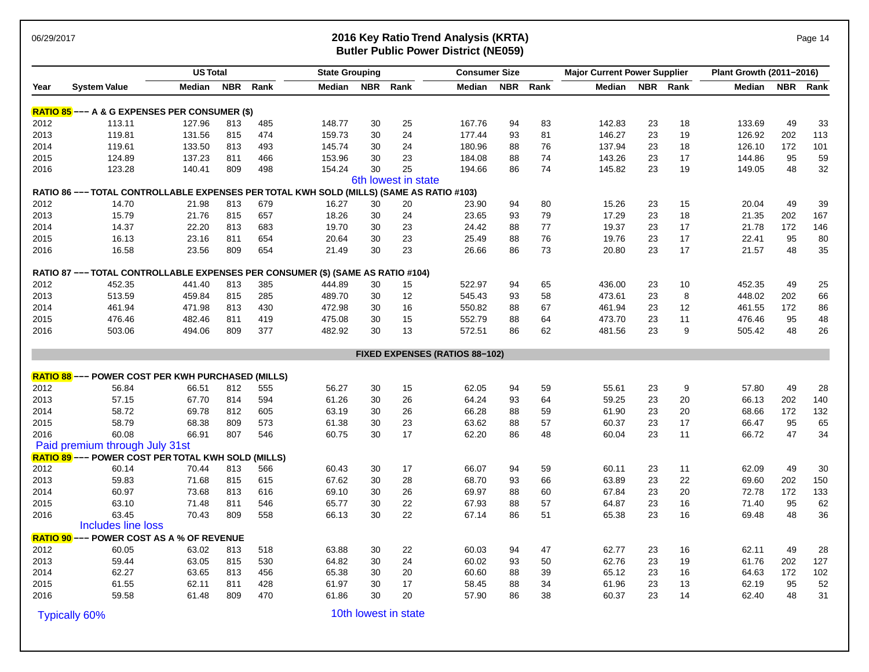### 06/29/2017 **2016 Key Ratio Trend Analysis (KRTA)** Page 14 **Butler Public Power District (NE059)**

| Page 14 |  |  |
|---------|--|--|
|         |  |  |

|      |                                                                                          | <b>US Total</b><br><b>Consumer Size</b><br><b>State Grouping</b> |            |      |        |            | <b>Major Current Power Supplier</b> |                                       |            | Plant Growth (2011-2016) |        |    |          |        |     |          |
|------|------------------------------------------------------------------------------------------|------------------------------------------------------------------|------------|------|--------|------------|-------------------------------------|---------------------------------------|------------|--------------------------|--------|----|----------|--------|-----|----------|
| Year | <b>System Value</b>                                                                      | <b>Median</b>                                                    | <b>NBR</b> | Rank | Median | <b>NBR</b> | Rank                                | Median                                | <b>NBR</b> | Rank                     | Median |    | NBR Rank | Median |     | NBR Rank |
|      | <b>RATIO 85</b> --- A & G EXPENSES PER CONSUMER (\$)                                     |                                                                  |            |      |        |            |                                     |                                       |            |                          |        |    |          |        |     |          |
| 2012 | 113.11                                                                                   | 127.96                                                           | 813        | 485  | 148.77 | 30         | 25                                  | 167.76                                | 94         | 83                       | 142.83 | 23 | 18       | 133.69 | 49  | 33       |
| 2013 | 119.81                                                                                   | 131.56                                                           | 815        | 474  | 159.73 | 30         | 24                                  | 177.44                                | 93         | 81                       | 146.27 | 23 | 19       | 126.92 | 202 | 113      |
| 2014 | 119.61                                                                                   | 133.50                                                           | 813        | 493  | 145.74 | 30         | 24                                  | 180.96                                | 88         | 76                       | 137.94 | 23 | 18       | 126.10 | 172 | 101      |
| 2015 | 124.89                                                                                   | 137.23                                                           | 811        | 466  | 153.96 | 30         | 23                                  | 184.08                                | 88         | 74                       | 143.26 | 23 | 17       | 144.86 | 95  | 59       |
| 2016 | 123.28                                                                                   | 140.41                                                           | 809        | 498  | 154.24 | 30         | 25                                  | 194.66                                | 86         | 74                       | 145.82 | 23 | 19       | 149.05 | 48  | 32       |
|      |                                                                                          |                                                                  |            |      |        |            | 6th lowest in state                 |                                       |            |                          |        |    |          |        |     |          |
|      | RATIO 86 --- TOTAL CONTROLLABLE EXPENSES PER TOTAL KWH SOLD (MILLS) (SAME AS RATIO #103) |                                                                  |            |      |        |            |                                     |                                       |            |                          |        |    |          |        |     |          |
| 2012 | 14.70                                                                                    | 21.98                                                            | 813        | 679  | 16.27  | 30         | 20                                  | 23.90                                 | 94         | 80                       | 15.26  | 23 | 15       | 20.04  | 49  | 39       |
| 2013 | 15.79                                                                                    | 21.76                                                            | 815        | 657  | 18.26  | 30         | 24                                  | 23.65                                 | 93         | 79                       | 17.29  | 23 | 18       | 21.35  | 202 | 167      |
| 2014 | 14.37                                                                                    | 22.20                                                            | 813        | 683  | 19.70  | 30         | 23                                  | 24.42                                 | 88         | 77                       | 19.37  | 23 | 17       | 21.78  | 172 | 146      |
| 2015 | 16.13                                                                                    | 23.16                                                            | 811        | 654  | 20.64  | 30         | 23                                  | 25.49                                 | 88         | 76                       | 19.76  | 23 | 17       | 22.41  | 95  | 80       |
| 2016 | 16.58                                                                                    | 23.56                                                            | 809        | 654  | 21.49  | 30         | 23                                  | 26.66                                 | 86         | 73                       | 20.80  | 23 | 17       | 21.57  | 48  | 35       |
|      | RATIO 87 --- TOTAL CONTROLLABLE EXPENSES PER CONSUMER (\$) (SAME AS RATIO #104)          |                                                                  |            |      |        |            |                                     |                                       |            |                          |        |    |          |        |     |          |
| 2012 | 452.35                                                                                   | 441.40                                                           | 813        | 385  | 444.89 | 30         | 15                                  | 522.97                                | 94         | 65                       | 436.00 | 23 | 10       | 452.35 | 49  | 25       |
| 2013 | 513.59                                                                                   | 459.84                                                           | 815        | 285  | 489.70 | 30         | 12                                  | 545.43                                | 93         | 58                       | 473.61 | 23 | 8        | 448.02 | 202 | 66       |
| 2014 | 461.94                                                                                   | 471.98                                                           | 813        | 430  | 472.98 | 30         | 16                                  | 550.82                                | 88         | 67                       | 461.94 | 23 | 12       | 461.55 | 172 | 86       |
| 2015 | 476.46                                                                                   | 482.46                                                           | 811        | 419  | 475.08 | 30         | 15                                  | 552.79                                | 88         | 64                       | 473.70 | 23 | 11       | 476.46 | 95  | 48       |
| 2016 | 503.06                                                                                   | 494.06                                                           | 809        | 377  | 482.92 | 30         | 13                                  | 572.51                                | 86         | 62                       | 481.56 | 23 | 9        | 505.42 | 48  | 26       |
|      |                                                                                          |                                                                  |            |      |        |            |                                     | <b>FIXED EXPENSES (RATIOS 88-102)</b> |            |                          |        |    |          |        |     |          |
|      | <b>RATIO 88 --- POWER COST PER KWH PURCHASED (MILLS)</b>                                 |                                                                  |            |      |        |            |                                     |                                       |            |                          |        |    |          |        |     |          |
| 2012 | 56.84                                                                                    | 66.51                                                            | 812        | 555  | 56.27  | 30         | 15                                  | 62.05                                 | 94         | 59                       | 55.61  | 23 | 9        | 57.80  | 49  | 28       |
| 2013 | 57.15                                                                                    | 67.70                                                            | 814        | 594  | 61.26  | 30         | 26                                  | 64.24                                 | 93         | 64                       | 59.25  | 23 | 20       | 66.13  | 202 | 140      |
| 2014 | 58.72                                                                                    | 69.78                                                            | 812        | 605  | 63.19  | 30         | 26                                  | 66.28                                 | 88         | 59                       | 61.90  | 23 | 20       | 68.66  | 172 | 132      |
| 2015 | 58.79                                                                                    | 68.38                                                            | 809        | 573  | 61.38  | 30         | 23                                  | 63.62                                 | 88         | 57                       | 60.37  | 23 | 17       | 66.47  | 95  | 65       |
| 2016 | 60.08                                                                                    | 66.91                                                            | 807        | 546  | 60.75  | 30         | 17                                  | 62.20                                 | 86         | 48                       | 60.04  | 23 | 11       | 66.72  | 47  | 34       |
|      | Paid premium through July 31st                                                           |                                                                  |            |      |        |            |                                     |                                       |            |                          |        |    |          |        |     |          |
|      | <b>RATIO 89 --- POWER COST PER TOTAL KWH SOLD (MILLS)</b>                                |                                                                  |            |      |        |            |                                     |                                       |            |                          |        |    |          |        |     |          |
| 2012 | 60.14                                                                                    | 70.44                                                            | 813        | 566  | 60.43  | 30         | 17                                  | 66.07                                 | 94         | 59                       | 60.11  | 23 | 11       | 62.09  | 49  | 30       |
| 2013 | 59.83                                                                                    | 71.68                                                            | 815        | 615  | 67.62  | 30         | 28                                  | 68.70                                 | 93         | 66                       | 63.89  | 23 | 22       | 69.60  | 202 | 150      |
| 2014 | 60.97                                                                                    | 73.68                                                            | 813        | 616  | 69.10  | 30         | 26                                  | 69.97                                 | 88         | 60                       | 67.84  | 23 | 20       | 72.78  | 172 | 133      |
| 2015 | 63.10                                                                                    | 71.48                                                            | 811        | 546  | 65.77  | 30         | 22                                  | 67.93                                 | 88         | 57                       | 64.87  | 23 | 16       | 71.40  | 95  | 62       |
| 2016 | 63.45                                                                                    | 70.43                                                            | 809        | 558  | 66.13  | 30         | 22                                  | 67.14                                 | 86         | 51                       | 65.38  | 23 | 16       | 69.48  | 48  | 36       |
|      | Includes line loss                                                                       |                                                                  |            |      |        |            |                                     |                                       |            |                          |        |    |          |        |     |          |
|      | <b>RATIO 90 --- POWER COST AS A % OF REVENUE</b>                                         |                                                                  |            |      |        |            |                                     |                                       |            |                          |        |    |          |        |     |          |
| 2012 | 60.05                                                                                    | 63.02                                                            | 813        | 518  | 63.88  | 30         | 22                                  | 60.03                                 | 94         | 47                       | 62.77  | 23 | 16       | 62.11  | 49  | 28       |
| 2013 | 59.44                                                                                    | 63.05                                                            | 815        | 530  | 64.82  | 30         | 24                                  | 60.02                                 | 93         | 50                       | 62.76  | 23 | 19       | 61.76  | 202 | 127      |
| 2014 | 62.27                                                                                    | 63.65                                                            | 813        | 456  | 65.38  | 30         | 20                                  | 60.60                                 | 88         | 39                       | 65.12  | 23 | 16       | 64.63  | 172 | 102      |
| 2015 | 61.55                                                                                    | 62.11                                                            | 811        | 428  | 61.97  | 30         | 17                                  | 58.45                                 | 88         | 34                       | 61.96  | 23 | 13       | 62.19  | 95  | 52       |
| 2016 | 59.58                                                                                    | 61.48                                                            | 809        | 470  | 61.86  | 30         | 20                                  | 57.90                                 | 86         | 38                       | 60.37  | 23 | 14       | 62.40  | 48  | 31       |

Typically 60% 10th lowest in state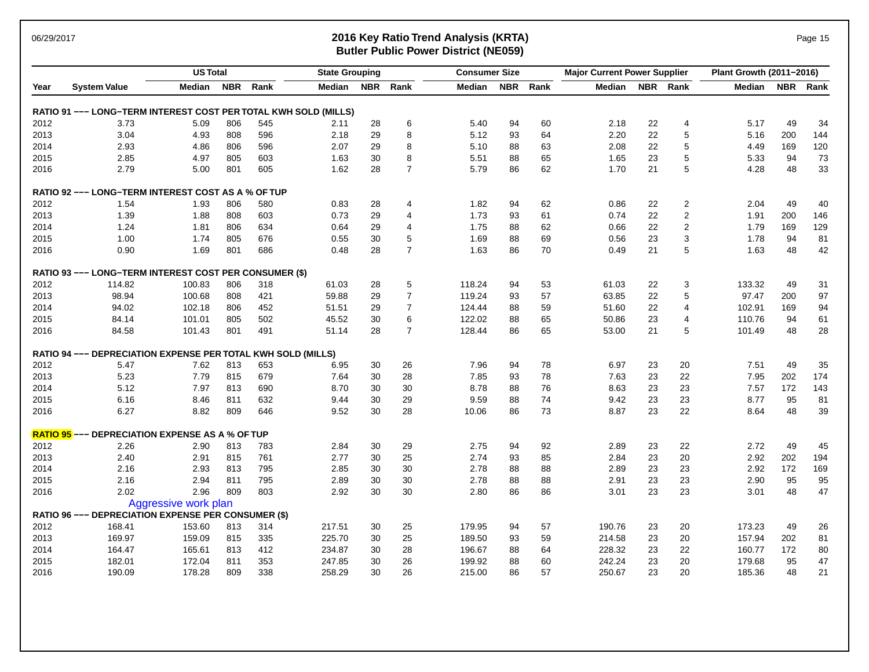### 06/29/2017 **2016 Key Ratio Trend Analysis (KRTA)** Page 15 **Butler Public Power District (NE059)**

|      |                                                                     | <b>US Total</b>      |            |      | <b>State Grouping</b> |            |                | <b>Consumer Size</b> |            |      | <b>Major Current Power Supplier</b> |    |                         | Plant Growth (2011-2016) |            |      |
|------|---------------------------------------------------------------------|----------------------|------------|------|-----------------------|------------|----------------|----------------------|------------|------|-------------------------------------|----|-------------------------|--------------------------|------------|------|
| Year | <b>System Value</b>                                                 | Median               | <b>NBR</b> | Rank | Median                | <b>NBR</b> | Rank           | Median               | <b>NBR</b> | Rank | Median                              |    | NBR Rank                | Median                   | <b>NBR</b> | Rank |
|      | RATIO 91 --- LONG-TERM INTEREST COST PER TOTAL KWH SOLD (MILLS)     |                      |            |      |                       |            |                |                      |            |      |                                     |    |                         |                          |            |      |
| 2012 | 3.73                                                                | 5.09                 | 806        | 545  | 2.11                  | 28         | 6              | 5.40                 | 94         | 60   | 2.18                                | 22 | 4                       | 5.17                     | 49         | 34   |
| 2013 | 3.04                                                                | 4.93                 | 808        | 596  | 2.18                  | 29         | 8              | 5.12                 | 93         | 64   | 2.20                                | 22 | 5                       | 5.16                     | 200        | 144  |
| 2014 | 2.93                                                                | 4.86                 | 806        | 596  | 2.07                  | 29         | 8              | 5.10                 | 88         | 63   | 2.08                                | 22 | 5                       | 4.49                     | 169        | 120  |
| 2015 | 2.85                                                                | 4.97                 | 805        | 603  | 1.63                  | 30         | 8              | 5.51                 | 88         | 65   | 1.65                                | 23 | 5                       | 5.33                     | 94         | 73   |
| 2016 | 2.79                                                                | 5.00                 | 801        | 605  | 1.62                  | 28         | $\overline{7}$ | 5.79                 | 86         | 62   | 1.70                                | 21 | 5                       | 4.28                     | 48         | 33   |
|      | <b>RATIO 92 --- LONG-TERM INTEREST COST AS A % OF TUP</b>           |                      |            |      |                       |            |                |                      |            |      |                                     |    |                         |                          |            |      |
| 2012 | 1.54                                                                | 1.93                 | 806        | 580  | 0.83                  | 28         | 4              | 1.82                 | 94         | 62   | 0.86                                | 22 | 2                       | 2.04                     | 49         | 40   |
| 2013 | 1.39                                                                | 1.88                 | 808        | 603  | 0.73                  | 29         | 4              | 1.73                 | 93         | 61   | 0.74                                | 22 | $\overline{\mathbf{c}}$ | 1.91                     | 200        | 146  |
| 2014 | 1.24                                                                | 1.81                 | 806        | 634  | 0.64                  | 29         | 4              | 1.75                 | 88         | 62   | 0.66                                | 22 | $\overline{c}$          | 1.79                     | 169        | 129  |
| 2015 | 1.00                                                                | 1.74                 | 805        | 676  | 0.55                  | 30         | 5              | 1.69                 | 88         | 69   | 0.56                                | 23 | 3                       | 1.78                     | 94         | 81   |
| 2016 | 0.90                                                                | 1.69                 | 801        | 686  | 0.48                  | 28         | $\overline{7}$ | 1.63                 | 86         | 70   | 0.49                                | 21 | 5                       | 1.63                     | 48         | 42   |
|      | RATIO 93 --- LONG-TERM INTEREST COST PER CONSUMER (\$)              |                      |            |      |                       |            |                |                      |            |      |                                     |    |                         |                          |            |      |
| 2012 | 114.82                                                              | 100.83               | 806        | 318  | 61.03                 | 28         | 5              | 118.24               | 94         | 53   | 61.03                               | 22 | 3                       | 133.32                   | 49         | 31   |
| 2013 | 98.94                                                               | 100.68               | 808        | 421  | 59.88                 | 29         | $\overline{7}$ | 119.24               | 93         | 57   | 63.85                               | 22 | 5                       | 97.47                    | 200        | 97   |
| 2014 | 94.02                                                               | 102.18               | 806        | 452  | 51.51                 | 29         | $\overline{7}$ | 124.44               | 88         | 59   | 51.60                               | 22 | 4                       | 102.91                   | 169        | 94   |
| 2015 | 84.14                                                               | 101.01               | 805        | 502  | 45.52                 | 30         | 6              | 122.02               | 88         | 65   | 50.86                               | 23 | 4                       | 110.76                   | 94         | 61   |
| 2016 | 84.58                                                               | 101.43               | 801        | 491  | 51.14                 | 28         | $\overline{7}$ | 128.44               | 86         | 65   | 53.00                               | 21 | 5                       | 101.49                   | 48         | 28   |
|      | <b>RATIO 94 --- DEPRECIATION EXPENSE PER TOTAL KWH SOLD (MILLS)</b> |                      |            |      |                       |            |                |                      |            |      |                                     |    |                         |                          |            |      |
| 2012 | 5.47                                                                | 7.62                 | 813        | 653  | 6.95                  | 30         | 26             | 7.96                 | 94         | 78   | 6.97                                | 23 | 20                      | 7.51                     | 49         | 35   |
| 2013 | 5.23                                                                | 7.79                 | 815        | 679  | 7.64                  | 30         | 28             | 7.85                 | 93         | 78   | 7.63                                | 23 | 22                      | 7.95                     | 202        | 174  |
| 2014 | 5.12                                                                | 7.97                 | 813        | 690  | 8.70                  | 30         | 30             | 8.78                 | 88         | 76   | 8.63                                | 23 | 23                      | 7.57                     | 172        | 143  |
| 2015 | 6.16                                                                | 8.46                 | 811        | 632  | 9.44                  | 30         | 29             | 9.59                 | 88         | 74   | 9.42                                | 23 | 23                      | 8.77                     | 95         | 81   |
| 2016 | 6.27                                                                | 8.82                 | 809        | 646  | 9.52                  | 30         | 28             | 10.06                | 86         | 73   | 8.87                                | 23 | 22                      | 8.64                     | 48         | 39   |
|      | RATIO 95 --- DEPRECIATION EXPENSE AS A % OF TUP                     |                      |            |      |                       |            |                |                      |            |      |                                     |    |                         |                          |            |      |
| 2012 | 2.26                                                                | 2.90                 | 813        | 783  | 2.84                  | 30         | 29             | 2.75                 | 94         | 92   | 2.89                                | 23 | 22                      | 2.72                     | 49         | 45   |
| 2013 | 2.40                                                                | 2.91                 | 815        | 761  | 2.77                  | 30         | 25             | 2.74                 | 93         | 85   | 2.84                                | 23 | 20                      | 2.92                     | 202        | 194  |
| 2014 | 2.16                                                                | 2.93                 | 813        | 795  | 2.85                  | 30         | 30             | 2.78                 | 88         | 88   | 2.89                                | 23 | 23                      | 2.92                     | 172        | 169  |
| 2015 | 2.16                                                                | 2.94                 | 811        | 795  | 2.89                  | 30         | 30             | 2.78                 | 88         | 88   | 2.91                                | 23 | 23                      | 2.90                     | 95         | 95   |
| 2016 | 2.02                                                                | 2.96                 | 809        | 803  | 2.92                  | 30         | 30             | 2.80                 | 86         | 86   | 3.01                                | 23 | 23                      | 3.01                     | 48         | 47   |
|      |                                                                     | Aggressive work plan |            |      |                       |            |                |                      |            |      |                                     |    |                         |                          |            |      |
|      | RATIO 96 --- DEPRECIATION EXPENSE PER CONSUMER (\$)                 |                      |            |      |                       |            |                |                      |            |      |                                     |    |                         |                          |            |      |
| 2012 | 168.41                                                              | 153.60               | 813        | 314  | 217.51                | 30         | 25             | 179.95               | 94         | 57   | 190.76                              | 23 | 20                      | 173.23                   | 49         | 26   |
| 2013 | 169.97                                                              | 159.09               | 815        | 335  | 225.70                | 30         | 25             | 189.50               | 93         | 59   | 214.58                              | 23 | 20                      | 157.94                   | 202        | 81   |
| 2014 | 164.47                                                              | 165.61               | 813        | 412  | 234.87                | 30         | 28             | 196.67               | 88         | 64   | 228.32                              | 23 | 22                      | 160.77                   | 172        | 80   |
| 2015 | 182.01                                                              | 172.04               | 811        | 353  | 247.85                | 30         | 26             | 199.92               | 88         | 60   | 242.24                              | 23 | 20                      | 179.68                   | 95         | 47   |
| 2016 | 190.09                                                              | 178.28               | 809        | 338  | 258.29                | 30         | 26             | 215.00               | 86         | 57   | 250.67                              | 23 | 20                      | 185.36                   | 48         | 21   |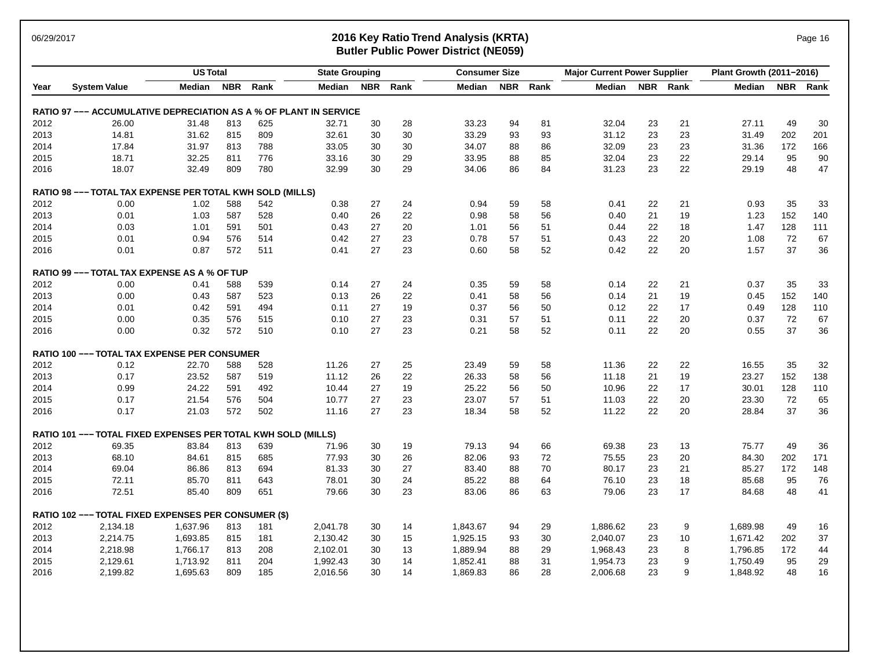### 06/29/2017 **2016 Key Ratio Trend Analysis (KRTA)** Page 16 **Butler Public Power District (NE059)**

|      |                                                                   | <b>US Total</b> |            |      | <b>State Grouping</b> |            |      | <b>Consumer Size</b> |            |      | <b>Major Current Power Supplier</b> |            |      | Plant Growth (2011-2016) |            |      |
|------|-------------------------------------------------------------------|-----------------|------------|------|-----------------------|------------|------|----------------------|------------|------|-------------------------------------|------------|------|--------------------------|------------|------|
| Year | <b>System Value</b>                                               | <b>Median</b>   | <b>NBR</b> | Rank | Median                | <b>NBR</b> | Rank | Median               | <b>NBR</b> | Rank | Median                              | <b>NBR</b> | Rank | <b>Median</b>            | <b>NBR</b> | Rank |
|      | RATIO 97 --- ACCUMULATIVE DEPRECIATION AS A % OF PLANT IN SERVICE |                 |            |      |                       |            |      |                      |            |      |                                     |            |      |                          |            |      |
| 2012 | 26.00                                                             | 31.48           | 813        | 625  | 32.71                 | 30         | 28   | 33.23                | 94         | 81   | 32.04                               | 23         | 21   | 27.11                    | 49         | 30   |
| 2013 | 14.81                                                             | 31.62           | 815        | 809  | 32.61                 | 30         | 30   | 33.29                | 93         | 93   | 31.12                               | 23         | 23   | 31.49                    | 202        | 201  |
| 2014 | 17.84                                                             | 31.97           | 813        | 788  | 33.05                 | 30         | 30   | 34.07                | 88         | 86   | 32.09                               | 23         | 23   | 31.36                    | 172        | 166  |
| 2015 | 18.71                                                             | 32.25           | 811        | 776  | 33.16                 | 30         | 29   | 33.95                | 88         | 85   | 32.04                               | 23         | 22   | 29.14                    | 95         | 90   |
| 2016 | 18.07                                                             | 32.49           | 809        | 780  | 32.99                 | 30         | 29   | 34.06                | 86         | 84   | 31.23                               | 23         | 22   | 29.19                    | 48         | 47   |
|      | <b>RATIO 98 --- TOTAL TAX EXPENSE PER TOTAL KWH SOLD (MILLS)</b>  |                 |            |      |                       |            |      |                      |            |      |                                     |            |      |                          |            |      |
| 2012 | 0.00                                                              | 1.02            | 588        | 542  | 0.38                  | 27         | 24   | 0.94                 | 59         | 58   | 0.41                                | 22         | 21   | 0.93                     | 35         | 33   |
| 2013 | 0.01                                                              | 1.03            | 587        | 528  | 0.40                  | 26         | 22   | 0.98                 | 58         | 56   | 0.40                                | 21         | 19   | 1.23                     | 152        | 140  |
| 2014 | 0.03                                                              | 1.01            | 591        | 501  | 0.43                  | 27         | 20   | 1.01                 | 56         | 51   | 0.44                                | 22         | 18   | 1.47                     | 128        | 111  |
| 2015 | 0.01                                                              | 0.94            | 576        | 514  | 0.42                  | 27         | 23   | 0.78                 | 57         | 51   | 0.43                                | 22         | 20   | 1.08                     | 72         | 67   |
| 2016 | 0.01                                                              | 0.87            | 572        | 511  | 0.41                  | 27         | 23   | 0.60                 | 58         | 52   | 0.42                                | 22         | 20   | 1.57                     | 37         | 36   |
|      | RATIO 99 --- TOTAL TAX EXPENSE AS A % OF TUP                      |                 |            |      |                       |            |      |                      |            |      |                                     |            |      |                          |            |      |
| 2012 | 0.00                                                              | 0.41            | 588        | 539  | 0.14                  | 27         | 24   | 0.35                 | 59         | 58   | 0.14                                | 22         | 21   | 0.37                     | 35         | 33   |
| 2013 | 0.00                                                              | 0.43            | 587        | 523  | 0.13                  | 26         | 22   | 0.41                 | 58         | 56   | 0.14                                | 21         | 19   | 0.45                     | 152        | 140  |
| 2014 | 0.01                                                              | 0.42            | 591        | 494  | 0.11                  | 27         | 19   | 0.37                 | 56         | 50   | 0.12                                | 22         | 17   | 0.49                     | 128        | 110  |
| 2015 | 0.00                                                              | 0.35            | 576        | 515  | 0.10                  | 27         | 23   | 0.31                 | 57         | 51   | 0.11                                | 22         | 20   | 0.37                     | 72         | 67   |
| 2016 | 0.00                                                              | 0.32            | 572        | 510  | 0.10                  | 27         | 23   | 0.21                 | 58         | 52   | 0.11                                | 22         | 20   | 0.55                     | 37         | 36   |
|      | <b>RATIO 100 --- TOTAL TAX EXPENSE PER CONSUMER</b>               |                 |            |      |                       |            |      |                      |            |      |                                     |            |      |                          |            |      |
| 2012 | 0.12                                                              | 22.70           | 588        | 528  | 11.26                 | 27         | 25   | 23.49                | 59         | 58   | 11.36                               | 22         | 22   | 16.55                    | 35         | 32   |
| 2013 | 0.17                                                              | 23.52           | 587        | 519  | 11.12                 | 26         | 22   | 26.33                | 58         | 56   | 11.18                               | 21         | 19   | 23.27                    | 152        | 138  |
| 2014 | 0.99                                                              | 24.22           | 591        | 492  | 10.44                 | 27         | 19   | 25.22                | 56         | 50   | 10.96                               | 22         | 17   | 30.01                    | 128        | 110  |
| 2015 | 0.17                                                              | 21.54           | 576        | 504  | 10.77                 | 27         | 23   | 23.07                | 57         | 51   | 11.03                               | 22         | 20   | 23.30                    | 72         | 65   |
| 2016 | 0.17                                                              | 21.03           | 572        | 502  | 11.16                 | 27         | 23   | 18.34                | 58         | 52   | 11.22                               | 22         | 20   | 28.84                    | 37         | 36   |
|      | RATIO 101 --- TOTAL FIXED EXPENSES PER TOTAL KWH SOLD (MILLS)     |                 |            |      |                       |            |      |                      |            |      |                                     |            |      |                          |            |      |
| 2012 | 69.35                                                             | 83.84           | 813        | 639  | 71.96                 | 30         | 19   | 79.13                | 94         | 66   | 69.38                               | 23         | 13   | 75.77                    | 49         | 36   |
| 2013 | 68.10                                                             | 84.61           | 815        | 685  | 77.93                 | 30         | 26   | 82.06                | 93         | 72   | 75.55                               | 23         | 20   | 84.30                    | 202        | 171  |
| 2014 | 69.04                                                             | 86.86           | 813        | 694  | 81.33                 | 30         | 27   | 83.40                | 88         | 70   | 80.17                               | 23         | 21   | 85.27                    | 172        | 148  |
| 2015 | 72.11                                                             | 85.70           | 811        | 643  | 78.01                 | 30         | 24   | 85.22                | 88         | 64   | 76.10                               | 23         | 18   | 85.68                    | 95         | 76   |
| 2016 | 72.51                                                             | 85.40           | 809        | 651  | 79.66                 | 30         | 23   | 83.06                | 86         | 63   | 79.06                               | 23         | 17   | 84.68                    | 48         | 41   |
|      | RATIO 102 --- TOTAL FIXED EXPENSES PER CONSUMER (\$)              |                 |            |      |                       |            |      |                      |            |      |                                     |            |      |                          |            |      |
| 2012 | 2,134.18                                                          | 1,637.96        | 813        | 181  | 2,041.78              | 30         | 14   | 1,843.67             | 94         | 29   | 1,886.62                            | 23         | 9    | 1,689.98                 | 49         | 16   |
| 2013 | 2,214.75                                                          | 1,693.85        | 815        | 181  | 2,130.42              | 30         | 15   | 1,925.15             | 93         | 30   | 2,040.07                            | 23         | 10   | 1,671.42                 | 202        | 37   |
| 2014 | 2,218.98                                                          | 1,766.17        | 813        | 208  | 2,102.01              | 30         | 13   | 1,889.94             | 88         | 29   | 1,968.43                            | 23         | 8    | 1,796.85                 | 172        | 44   |
| 2015 | 2,129.61                                                          | 1,713.92        | 811        | 204  | 1,992.43              | 30         | 14   | 1,852.41             | 88         | 31   | 1,954.73                            | 23         | 9    | 1,750.49                 | 95         | 29   |
| 2016 | 2,199.82                                                          | 1,695.63        | 809        | 185  | 2,016.56              | 30         | 14   | 1,869.83             | 86         | 28   | 2,006.68                            | 23         | 9    | 1,848.92                 | 48         | 16   |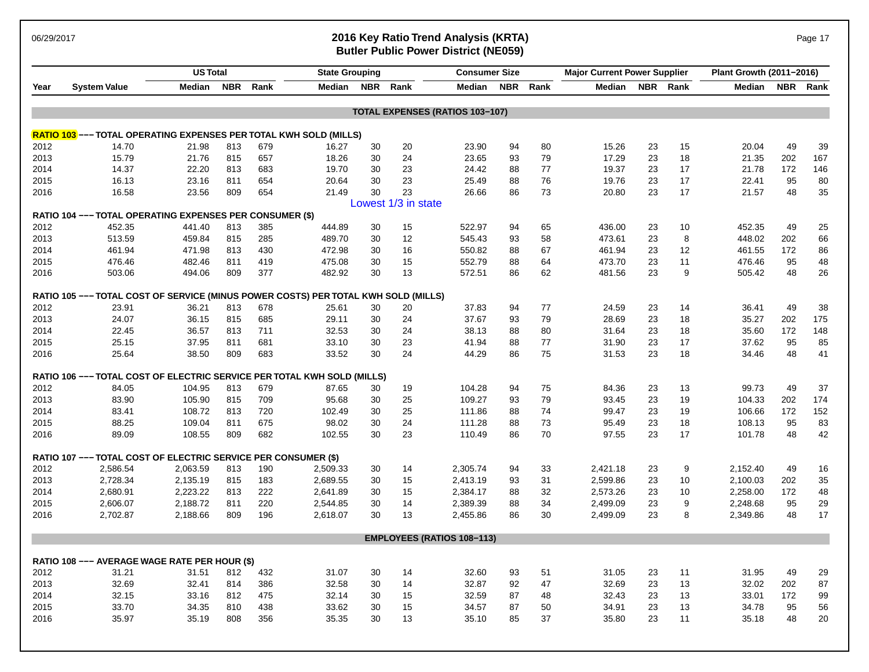### 06/29/2017 **2016 Key Ratio Trend Analysis (KRTA)** Page 17 **Butler Public Power District (NE059)**

|      |                                                                          | <b>US Total</b> |            |      | <b>State Grouping</b> |            |                         | <b>Consumer Size</b>                   |            |      | <b>Major Current Power Supplier</b> |            |      | Plant Growth (2011-2016) |            |      |
|------|--------------------------------------------------------------------------|-----------------|------------|------|-----------------------|------------|-------------------------|----------------------------------------|------------|------|-------------------------------------|------------|------|--------------------------|------------|------|
| Year | <b>System Value</b>                                                      | Median          | <b>NBR</b> | Rank | Median                | <b>NBR</b> | Rank                    | Median                                 | <b>NBR</b> | Rank | Median                              | <b>NBR</b> | Rank | <b>Median</b>            | <b>NBR</b> | Rank |
|      |                                                                          |                 |            |      |                       |            |                         | <b>TOTAL EXPENSES (RATIOS 103-107)</b> |            |      |                                     |            |      |                          |            |      |
|      | <b>RATIO 103</b> --- TOTAL OPERATING EXPENSES PER TOTAL KWH SOLD (MILLS) |                 |            |      |                       |            |                         |                                        |            |      |                                     |            |      |                          |            |      |
| 2012 | 14.70                                                                    | 21.98           | 813        | 679  | 16.27                 | 30         | 20                      | 23.90                                  | 94         | 80   | 15.26                               | 23         | 15   | 20.04                    | 49         | 39   |
| 2013 | 15.79                                                                    | 21.76           | 815        | 657  | 18.26                 | 30         | 24                      | 23.65                                  | 93         | 79   | 17.29                               | 23         | 18   | 21.35                    | 202        | 167  |
| 2014 | 14.37                                                                    | 22.20           | 813        | 683  | 19.70                 | 30         | 23                      | 24.42                                  | 88         | 77   | 19.37                               | 23         | 17   | 21.78                    | 172        | 146  |
| 2015 | 16.13                                                                    | 23.16           | 811        | 654  | 20.64                 | 30         | 23                      | 25.49                                  | 88         | 76   | 19.76                               | 23         | 17   | 22.41                    | 95         | 80   |
| 2016 | 16.58                                                                    | 23.56           | 809        | 654  | 21.49                 | 30         | 23                      | 26.66                                  | 86         | 73   | 20.80                               | 23         | 17   | 21.57                    | 48         | 35   |
|      |                                                                          |                 |            |      |                       |            | Lowest 1/3 in state     |                                        |            |      |                                     |            |      |                          |            |      |
|      | RATIO 104 --- TOTAL OPERATING EXPENSES PER CONSUMER (\$)                 |                 |            |      |                       |            |                         |                                        |            |      |                                     |            |      |                          |            |      |
| 2012 | 452.35                                                                   | 441.40          | 813        | 385  | 444.89                | 30         | 15                      | 522.97                                 | 94         | 65   | 436.00                              | 23         | 10   | 452.35                   | 49         | 25   |
| 2013 | 513.59                                                                   | 459.84          | 815        | 285  | 489.70                | 30         | 12                      | 545.43                                 | 93         | 58   | 473.61                              | 23         | 8    | 448.02                   | 202        | 66   |
| 2014 | 461.94                                                                   | 471.98          | 813        | 430  | 472.98                | 30         | 16                      | 550.82                                 | 88         | 67   | 461.94                              | 23         | 12   | 461.55                   | 172        | 86   |
| 2015 | 476.46                                                                   | 482.46          | 811        | 419  | 475.08                | 30         | 15                      | 552.79                                 | 88         | 64   | 473.70                              | 23         | 11   | 476.46                   | 95         | 48   |
| 2016 | 503.06                                                                   | 494.06          | 809        | 377  | 482.92                | 30         | 13                      | 572.51                                 | 86         | 62   | 481.56                              | 23         | 9    | 505.42                   | 48         | 26   |
|      | RATIO 105 --- TOTAL COST OF SERVICE (MINUS POWER COSTS) PER TOTAL        |                 |            |      |                       |            | <b>KWH SOLD (MILLS)</b> |                                        |            |      |                                     |            |      |                          |            |      |
| 2012 | 23.91                                                                    | 36.21           | 813        | 678  | 25.61                 | 30         | 20                      | 37.83                                  | 94         | 77   | 24.59                               | 23         | 14   | 36.41                    | 49         | 38   |
| 2013 | 24.07                                                                    | 36.15           | 815        | 685  | 29.11                 | 30         | 24                      | 37.67                                  | 93         | 79   | 28.69                               | 23         | 18   | 35.27                    | 202        | 175  |
| 2014 | 22.45                                                                    | 36.57           | 813        | 711  | 32.53                 | 30         | 24                      | 38.13                                  | 88         | 80   | 31.64                               | 23         | 18   | 35.60                    | 172        | 148  |
| 2015 | 25.15                                                                    | 37.95           | 811        | 681  | 33.10                 | 30         | 23                      | 41.94                                  | 88         | 77   | 31.90                               | 23         | 17   | 37.62                    | 95         | 85   |
| 2016 | 25.64                                                                    | 38.50           | 809        | 683  | 33.52                 | 30         | 24                      | 44.29                                  | 86         | 75   | 31.53                               | 23         | 18   | 34.46                    | 48         | 41   |
|      | RATIO 106 --- TOTAL COST OF ELECTRIC SERVICE PER TOTAL KWH SOLD (MILLS)  |                 |            |      |                       |            |                         |                                        |            |      |                                     |            |      |                          |            |      |
| 2012 | 84.05                                                                    | 104.95          | 813        | 679  | 87.65                 | 30         | 19                      | 104.28                                 | 94         | 75   | 84.36                               | 23         | 13   | 99.73                    | 49         | 37   |
| 2013 | 83.90                                                                    | 105.90          | 815        | 709  | 95.68                 | 30         | 25                      | 109.27                                 | 93         | 79   | 93.45                               | 23         | 19   | 104.33                   | 202        | 174  |
| 2014 | 83.41                                                                    | 108.72          | 813        | 720  | 102.49                | 30         | 25                      | 111.86                                 | 88         | 74   | 99.47                               | 23         | 19   | 106.66                   | 172        | 152  |
| 2015 | 88.25                                                                    | 109.04          | 811        | 675  | 98.02                 | 30         | 24                      | 111.28                                 | 88         | 73   | 95.49                               | 23         | 18   | 108.13                   | 95         | 83   |
| 2016 | 89.09                                                                    | 108.55          | 809        | 682  | 102.55                | 30         | 23                      | 110.49                                 | 86         | 70   | 97.55                               | 23         | 17   | 101.78                   | 48         | 42   |
|      | <b>RATIO 107 --- TOTAL COST OF ELECTRIC SERVICE PER CONSUMER (\$)</b>    |                 |            |      |                       |            |                         |                                        |            |      |                                     |            |      |                          |            |      |
| 2012 | 2,586.54                                                                 | 2,063.59        | 813        | 190  | 2,509.33              | 30         | 14                      | 2,305.74                               | 94         | 33   | 2,421.18                            | 23         | 9    | 2,152.40                 | 49         | 16   |
| 2013 | 2,728.34                                                                 | 2,135.19        | 815        | 183  | 2,689.55              | 30         | 15                      | 2,413.19                               | 93         | 31   | 2,599.86                            | 23         | 10   | 2,100.03                 | 202        | 35   |
| 2014 | 2,680.91                                                                 | 2,223.22        | 813        | 222  | 2,641.89              | 30         | 15                      | 2,384.17                               | 88         | 32   | 2,573.26                            | 23         | 10   | 2,258.00                 | 172        | 48   |
| 2015 | 2,606.07                                                                 | 2,188.72        | 811        | 220  | 2,544.85              | 30         | 14                      | 2,389.39                               | 88         | 34   | 2,499.09                            | 23         | 9    | 2,248.68                 | 95         | 29   |
| 2016 | 2,702.87                                                                 | 2,188.66        | 809        | 196  | 2,618.07              | 30         | 13                      | 2,455.86                               | 86         | 30   | 2,499.09                            | 23         | 8    | 2,349.86                 | 48         | 17   |
|      |                                                                          |                 |            |      |                       |            |                         | <b>EMPLOYEES (RATIOS 108-113)</b>      |            |      |                                     |            |      |                          |            |      |
|      |                                                                          |                 |            |      |                       |            |                         |                                        |            |      |                                     |            |      |                          |            |      |
|      | RATIO 108 --- AVERAGE WAGE RATE PER HOUR (\$)                            |                 |            |      |                       |            |                         |                                        |            |      |                                     |            |      |                          |            |      |
| 2012 | 31.21                                                                    | 31.51           | 812        | 432  | 31.07                 | 30         | 14                      | 32.60                                  | 93         | 51   | 31.05                               | 23         | 11   | 31.95                    | 49         | 29   |
| 2013 | 32.69                                                                    | 32.41           | 814        | 386  | 32.58                 | 30         | 14                      | 32.87                                  | 92         | 47   | 32.69                               | 23         | 13   | 32.02                    | 202        | 87   |
| 2014 | 32.15                                                                    | 33.16           | 812        | 475  | 32.14                 | 30         | 15                      | 32.59                                  | 87         | 48   | 32.43                               | 23         | 13   | 33.01                    | 172        | 99   |
| 2015 | 33.70                                                                    | 34.35           | 810        | 438  | 33.62                 | 30         | 15                      | 34.57                                  | 87         | 50   | 34.91                               | 23         | 13   | 34.78                    | 95         | 56   |
| 2016 | 35.97                                                                    | 35.19           | 808        | 356  | 35.35                 | 30         | 13                      | 35.10                                  | 85         | 37   | 35.80                               | 23         | 11   | 35.18                    | 48         | 20   |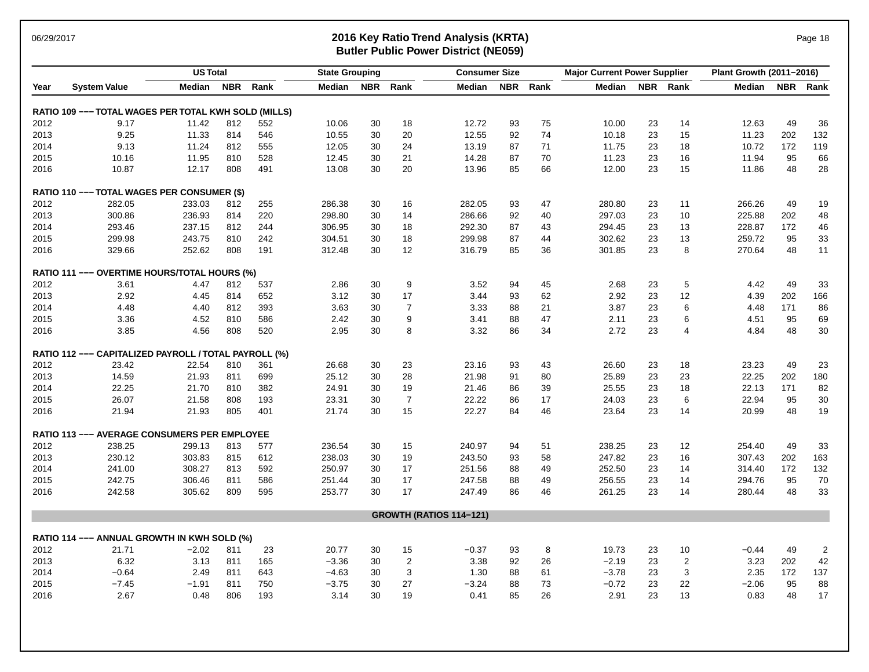### 06/29/2017 **2016 Key Ratio Trend Analysis (KRTA)** Page 18 **Butler Public Power District (NE059)**

|      | <b>US Total</b><br><b>Consumer Size</b><br><b>State Grouping</b> |         |     |      |         | <b>Major Current Power Supplier</b> |                |                                | Plant Growth (2011-2016) |          |         |    |                |         |     |                |
|------|------------------------------------------------------------------|---------|-----|------|---------|-------------------------------------|----------------|--------------------------------|--------------------------|----------|---------|----|----------------|---------|-----|----------------|
| Year | <b>System Value</b>                                              | Median  | NBR | Rank | Median  | <b>NBR</b>                          | Rank           | Median                         |                          | NBR Rank | Median  |    | NBR Rank       | Median  |     | NBR Rank       |
|      | RATIO 109 --- TOTAL WAGES PER TOTAL KWH SOLD (MILLS)             |         |     |      |         |                                     |                |                                |                          |          |         |    |                |         |     |                |
| 2012 | 9.17                                                             | 11.42   | 812 | 552  | 10.06   | 30                                  | 18             | 12.72                          | 93                       | 75       | 10.00   | 23 | 14             | 12.63   | 49  | 36             |
| 2013 | 9.25                                                             | 11.33   | 814 | 546  | 10.55   | 30                                  | 20             | 12.55                          | 92                       | 74       | 10.18   | 23 | 15             | 11.23   | 202 | 132            |
| 2014 | 9.13                                                             | 11.24   | 812 | 555  | 12.05   | 30                                  | 24             | 13.19                          | 87                       | 71       | 11.75   | 23 | 18             | 10.72   | 172 | 119            |
| 2015 | 10.16                                                            | 11.95   | 810 | 528  | 12.45   | 30                                  | 21             | 14.28                          | 87                       | 70       | 11.23   | 23 | 16             | 11.94   | 95  | 66             |
| 2016 | 10.87                                                            | 12.17   | 808 | 491  | 13.08   | 30                                  | 20             | 13.96                          | 85                       | 66       | 12.00   | 23 | 15             | 11.86   | 48  | 28             |
|      | RATIO 110 --- TOTAL WAGES PER CONSUMER (\$)                      |         |     |      |         |                                     |                |                                |                          |          |         |    |                |         |     |                |
| 2012 | 282.05                                                           | 233.03  | 812 | 255  | 286.38  | 30                                  | 16             | 282.05                         | 93                       | 47       | 280.80  | 23 | 11             | 266.26  | 49  | 19             |
| 2013 | 300.86                                                           | 236.93  | 814 | 220  | 298.80  | 30                                  | 14             | 286.66                         | 92                       | 40       | 297.03  | 23 | 10             | 225.88  | 202 | 48             |
| 2014 | 293.46                                                           | 237.15  | 812 | 244  | 306.95  | 30                                  | 18             | 292.30                         | 87                       | 43       | 294.45  | 23 | 13             | 228.87  | 172 | 46             |
| 2015 | 299.98                                                           | 243.75  | 810 | 242  | 304.51  | 30                                  | 18             | 299.98                         | 87                       | 44       | 302.62  | 23 | 13             | 259.72  | 95  | 33             |
| 2016 | 329.66                                                           | 252.62  | 808 | 191  | 312.48  | 30                                  | 12             | 316.79                         | 85                       | 36       | 301.85  | 23 | 8              | 270.64  | 48  | 11             |
|      | RATIO 111 --- OVERTIME HOURS/TOTAL HOURS (%)                     |         |     |      |         |                                     |                |                                |                          |          |         |    |                |         |     |                |
| 2012 | 3.61                                                             | 4.47    | 812 | 537  | 2.86    | 30                                  | 9              | 3.52                           | 94                       | 45       | 2.68    | 23 | 5              | 4.42    | 49  | 33             |
| 2013 | 2.92                                                             | 4.45    | 814 | 652  | 3.12    | 30                                  | 17             | 3.44                           | 93                       | 62       | 2.92    | 23 | 12             | 4.39    | 202 | 166            |
| 2014 | 4.48                                                             | 4.40    | 812 | 393  | 3.63    | 30                                  | $\overline{7}$ | 3.33                           | 88                       | 21       | 3.87    | 23 | 6              | 4.48    | 171 | 86             |
| 2015 | 3.36                                                             | 4.52    | 810 | 586  | 2.42    | 30                                  | 9              | 3.41                           | 88                       | 47       | 2.11    | 23 | 6              | 4.51    | 95  | 69             |
| 2016 | 3.85                                                             | 4.56    | 808 | 520  | 2.95    | 30                                  | 8              | 3.32                           | 86                       | 34       | 2.72    | 23 | $\overline{4}$ | 4.84    | 48  | 30             |
|      | RATIO 112 --- CAPITALIZED PAYROLL / TOTAL PAYROLL (%)            |         |     |      |         |                                     |                |                                |                          |          |         |    |                |         |     |                |
| 2012 | 23.42                                                            | 22.54   | 810 | 361  | 26.68   | 30                                  | 23             | 23.16                          | 93                       | 43       | 26.60   | 23 | 18             | 23.23   | 49  | 23             |
| 2013 | 14.59                                                            | 21.93   | 811 | 699  | 25.12   | 30                                  | 28             | 21.98                          | 91                       | 80       | 25.89   | 23 | 23             | 22.25   | 202 | 180            |
| 2014 | 22.25                                                            | 21.70   | 810 | 382  | 24.91   | 30                                  | 19             | 21.46                          | 86                       | 39       | 25.55   | 23 | 18             | 22.13   | 171 | 82             |
| 2015 | 26.07                                                            | 21.58   | 808 | 193  | 23.31   | 30                                  | $\overline{7}$ | 22.22                          | 86                       | 17       | 24.03   | 23 | 6              | 22.94   | 95  | 30             |
| 2016 | 21.94                                                            | 21.93   | 805 | 401  | 21.74   | 30                                  | 15             | 22.27                          | 84                       | 46       | 23.64   | 23 | 14             | 20.99   | 48  | 19             |
|      | <b>RATIO 113 --- AVERAGE CONSUMERS PER EMPLOYEE</b>              |         |     |      |         |                                     |                |                                |                          |          |         |    |                |         |     |                |
| 2012 | 238.25                                                           | 299.13  | 813 | 577  | 236.54  | 30                                  | 15             | 240.97                         | 94                       | 51       | 238.25  | 23 | 12             | 254.40  | 49  | 33             |
| 2013 | 230.12                                                           | 303.83  | 815 | 612  | 238.03  | 30                                  | 19             | 243.50                         | 93                       | 58       | 247.82  | 23 | 16             | 307.43  | 202 | 163            |
| 2014 | 241.00                                                           | 308.27  | 813 | 592  | 250.97  | 30                                  | 17             | 251.56                         | 88                       | 49       | 252.50  | 23 | 14             | 314.40  | 172 | 132            |
| 2015 | 242.75                                                           | 306.46  | 811 | 586  | 251.44  | 30                                  | 17             | 247.58                         | 88                       | 49       | 256.55  | 23 | 14             | 294.76  | 95  | 70             |
| 2016 | 242.58                                                           | 305.62  | 809 | 595  | 253.77  | 30                                  | 17             | 247.49                         | 86                       | 46       | 261.25  | 23 | 14             | 280.44  | 48  | 33             |
|      |                                                                  |         |     |      |         |                                     |                | <b>GROWTH (RATIOS 114-121)</b> |                          |          |         |    |                |         |     |                |
|      | RATIO 114 --- ANNUAL GROWTH IN KWH SOLD (%)                      |         |     |      |         |                                     |                |                                |                          |          |         |    |                |         |     |                |
| 2012 | 21.71                                                            | $-2.02$ | 811 | 23   | 20.77   | 30                                  | 15             | $-0.37$                        | 93                       | 8        | 19.73   | 23 | 10             | $-0.44$ | 49  | $\overline{2}$ |
| 2013 | 6.32                                                             | 3.13    | 811 | 165  | $-3.36$ | 30                                  | $\overline{2}$ | 3.38                           | 92                       | 26       | $-2.19$ | 23 | $\sqrt{2}$     | 3.23    | 202 | 42             |
| 2014 | $-0.64$                                                          | 2.49    | 811 | 643  | $-4.63$ | 30                                  | 3              | 1.30                           | 88                       | 61       | $-3.78$ | 23 | 3              | 2.35    | 172 | 137            |
| 2015 | $-7.45$                                                          | $-1.91$ | 811 | 750  | $-3.75$ | 30                                  | 27             | $-3.24$                        | 88                       | 73       | $-0.72$ | 23 | 22             | $-2.06$ | 95  | 88             |
| 2016 | 2.67                                                             | 0.48    | 806 | 193  | 3.14    | 30                                  | 19             | 0.41                           | 85                       | 26       | 2.91    | 23 | 13             | 0.83    | 48  | 17             |
|      |                                                                  |         |     |      |         |                                     |                |                                |                          |          |         |    |                |         |     |                |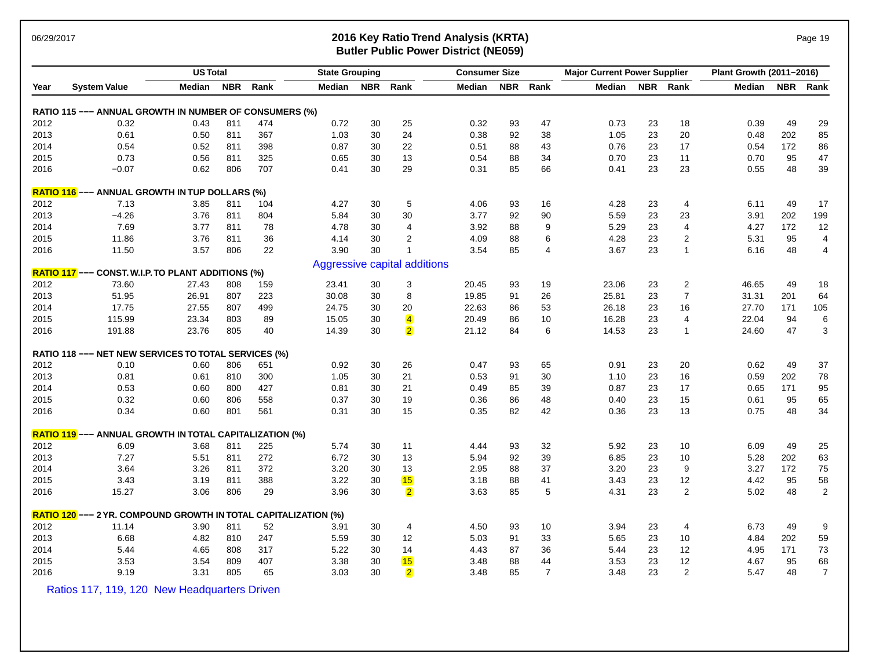## 06/29/2017 **2016 Key Ratio Trend Analysis (KRTA)** Page 19 **Butler Public Power District (NE059)**

| <b>US Total</b> |                                                                 |        | <b>State Grouping</b> |      |        | <b>Consumer Size</b> |                              |        | <b>Major Current Power Supplier</b> |                |        | Plant Growth (2011-2016) |                |        |     |                |
|-----------------|-----------------------------------------------------------------|--------|-----------------------|------|--------|----------------------|------------------------------|--------|-------------------------------------|----------------|--------|--------------------------|----------------|--------|-----|----------------|
| Year            | <b>System Value</b>                                             | Median | <b>NBR</b>            | Rank | Median |                      | NBR Rank                     | Median | <b>NBR</b>                          | Rank           | Median |                          | NBR Rank       | Median |     | NBR Rank       |
|                 | RATIO 115 --- ANNUAL GROWTH IN NUMBER OF CONSUMERS (%)          |        |                       |      |        |                      |                              |        |                                     |                |        |                          |                |        |     |                |
| 2012            | 0.32                                                            | 0.43   | 811                   | 474  | 0.72   | 30                   | 25                           | 0.32   | 93                                  | 47             | 0.73   | 23                       | 18             | 0.39   | 49  | 29             |
| 2013            | 0.61                                                            | 0.50   | 811                   | 367  | 1.03   | 30                   | 24                           | 0.38   | 92                                  | 38             | 1.05   | 23                       | 20             | 0.48   | 202 | 85             |
| 2014            | 0.54                                                            | 0.52   | 811                   | 398  | 0.87   | 30                   | 22                           | 0.51   | 88                                  | 43             | 0.76   | 23                       | 17             | 0.54   | 172 | 86             |
| 2015            | 0.73                                                            | 0.56   | 811                   | 325  | 0.65   | 30                   | 13                           | 0.54   | 88                                  | 34             | 0.70   | 23                       | 11             | 0.70   | 95  | 47             |
| 2016            | $-0.07$                                                         | 0.62   | 806                   | 707  | 0.41   | 30                   | 29                           | 0.31   | 85                                  | 66             | 0.41   | 23                       | 23             | 0.55   | 48  | 39             |
|                 | <b>RATIO 116</b> --- ANNUAL GROWTH IN TUP DOLLARS (%)           |        |                       |      |        |                      |                              |        |                                     |                |        |                          |                |        |     |                |
| 2012            | 7.13                                                            | 3.85   | 811                   | 104  | 4.27   | 30                   | 5                            | 4.06   | 93                                  | 16             | 4.28   | 23                       | 4              | 6.11   | 49  | 17             |
| 2013            | $-4.26$                                                         | 3.76   | 811                   | 804  | 5.84   | 30                   | 30                           | 3.77   | 92                                  | 90             | 5.59   | 23                       | 23             | 3.91   | 202 | 199            |
| 2014            | 7.69                                                            | 3.77   | 811                   | 78   | 4.78   | 30                   | 4                            | 3.92   | 88                                  | 9              | 5.29   | 23                       | 4              | 4.27   | 172 | 12             |
| 2015            | 11.86                                                           | 3.76   | 811                   | 36   | 4.14   | 30                   | $\overline{2}$               | 4.09   | 88                                  | 6              | 4.28   | 23                       | $\overline{c}$ | 5.31   | 95  | 4              |
| 2016            | 11.50                                                           | 3.57   | 806                   | 22   | 3.90   | 30                   | $\mathbf{1}$                 | 3.54   | 85                                  | $\overline{4}$ | 3.67   | 23                       | $\mathbf{1}$   | 6.16   | 48  | 4              |
|                 |                                                                 |        |                       |      |        |                      | Aggressive capital additions |        |                                     |                |        |                          |                |        |     |                |
|                 | RATIO 117 --- CONST. W.I.P. TO PLANT ADDITIONS (%)              |        |                       |      |        |                      |                              |        |                                     |                |        |                          |                |        |     |                |
| 2012            | 73.60                                                           | 27.43  | 808                   | 159  | 23.41  | 30                   | 3                            | 20.45  | 93                                  | 19             | 23.06  | 23                       | $\overline{c}$ | 46.65  | 49  | 18             |
| 2013            | 51.95                                                           | 26.91  | 807                   | 223  | 30.08  | 30                   | 8                            | 19.85  | 91                                  | 26             | 25.81  | 23                       | $\overline{7}$ | 31.31  | 201 | 64             |
| 2014            | 17.75                                                           | 27.55  | 807                   | 499  | 24.75  | 30                   | 20                           | 22.63  | 86                                  | 53             | 26.18  | 23                       | 16             | 27.70  | 171 | 105            |
| 2015            | 115.99                                                          | 23.34  | 803                   | 89   | 15.05  | 30                   | $\overline{\mathbf{4}}$      | 20.49  | 86                                  | 10             | 16.28  | 23                       | 4              | 22.04  | 94  | 6              |
| 2016            | 191.88                                                          | 23.76  | 805                   | 40   | 14.39  | 30                   | $\overline{2}$               | 21.12  | 84                                  | 6              | 14.53  | 23                       | $\overline{1}$ | 24.60  | 47  | 3              |
|                 | RATIO 118 --- NET NEW SERVICES TO TOTAL SERVICES (%)            |        |                       |      |        |                      |                              |        |                                     |                |        |                          |                |        |     |                |
| 2012            | 0.10                                                            | 0.60   | 806                   | 651  | 0.92   | 30                   | 26                           | 0.47   | 93                                  | 65             | 0.91   | 23                       | 20             | 0.62   | 49  | 37             |
| 2013            | 0.81                                                            | 0.61   | 810                   | 300  | 1.05   | 30                   | 21                           | 0.53   | 91                                  | 30             | 1.10   | 23                       | 16             | 0.59   | 202 | 78             |
| 2014            | 0.53                                                            | 0.60   | 800                   | 427  | 0.81   | 30                   | 21                           | 0.49   | 85                                  | 39             | 0.87   | 23                       | 17             | 0.65   | 171 | 95             |
| 2015            | 0.32                                                            | 0.60   | 806                   | 558  | 0.37   | 30                   | 19                           | 0.36   | 86                                  | 48             | 0.40   | 23                       | 15             | 0.61   | 95  | 65             |
| 2016            | 0.34                                                            | 0.60   | 801                   | 561  | 0.31   | 30                   | 15                           | 0.35   | 82                                  | 42             | 0.36   | 23                       | 13             | 0.75   | 48  | 34             |
|                 | <b>RATIO 119</b> --- ANNUAL GROWTH IN TOTAL CAPITALIZATION (%)  |        |                       |      |        |                      |                              |        |                                     |                |        |                          |                |        |     |                |
| 2012            | 6.09                                                            | 3.68   | 811                   | 225  | 5.74   | 30                   | 11                           | 4.44   | 93                                  | 32             | 5.92   | 23                       | 10             | 6.09   | 49  | 25             |
| 2013            | 7.27                                                            | 5.51   | 811                   | 272  | 6.72   | 30                   | 13                           | 5.94   | 92                                  | 39             | 6.85   | 23                       | 10             | 5.28   | 202 | 63             |
| 2014            | 3.64                                                            | 3.26   | 811                   | 372  | 3.20   | 30                   | 13                           | 2.95   | 88                                  | 37             | 3.20   | 23                       | 9              | 3.27   | 172 | 75             |
| 2015            | 3.43                                                            | 3.19   | 811                   | 388  | 3.22   | 30                   | 15                           | 3.18   | 88                                  | 41             | 3.43   | 23                       | 12             | 4.42   | 95  | 58             |
| 2016            | 15.27                                                           | 3.06   | 806                   | 29   | 3.96   | 30                   | $\overline{2}$               | 3.63   | 85                                  | 5              | 4.31   | 23                       | 2              | 5.02   | 48  | $\overline{c}$ |
|                 | RATIO 120 --- 2 YR. COMPOUND GROWTH IN TOTAL CAPITALIZATION (%) |        |                       |      |        |                      |                              |        |                                     |                |        |                          |                |        |     |                |
| 2012            | 11.14                                                           | 3.90   | 811                   | 52   | 3.91   | 30                   | 4                            | 4.50   | 93                                  | 10             | 3.94   | 23                       | 4              | 6.73   | 49  | 9              |
| 2013            | 6.68                                                            | 4.82   | 810                   | 247  | 5.59   | 30                   | 12                           | 5.03   | 91                                  | 33             | 5.65   | 23                       | 10             | 4.84   | 202 | 59             |
| 2014            | 5.44                                                            | 4.65   | 808                   | 317  | 5.22   | 30                   | 14                           | 4.43   | 87                                  | 36             | 5.44   | 23                       | 12             | 4.95   | 171 | 73             |
| 2015            | 3.53                                                            | 3.54   | 809                   | 407  | 3.38   | 30                   | 15                           | 3.48   | 88                                  | 44             | 3.53   | 23                       | 12             | 4.67   | 95  | 68             |
| 2016            | 9.19                                                            | 3.31   | 805                   | 65   | 3.03   | 30                   | $\overline{2}$               | 3.48   | 85                                  | $\overline{7}$ | 3.48   | 23                       | $\overline{2}$ | 5.47   | 48  | $\overline{7}$ |

Ratios 117, 119, 120 New Headquarters Driven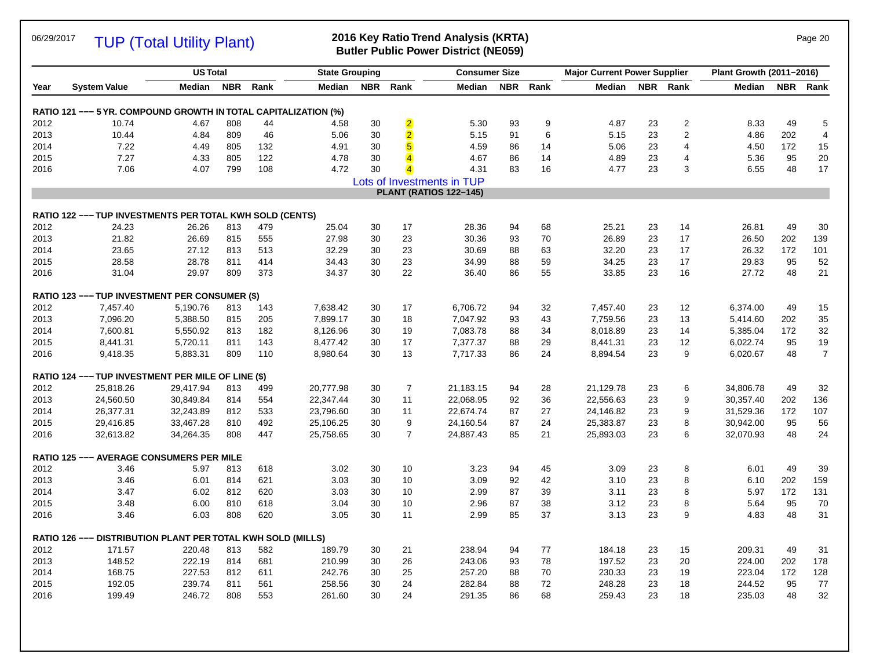TUP (Total Utility Plant)

### 06/29/2017 **2016 Key Ratio Trend Analysis (KRTA)** Page 20 **Butler Public Power District (NE059)**

|      |                                                                 | <b>US Total</b> |            |      | <b>State Grouping</b> |            |                         | <b>Consumer Size</b>          |            |      | <b>Major Current Power Supplier</b> |            |                | Plant Growth (2011-2016) |            |                         |
|------|-----------------------------------------------------------------|-----------------|------------|------|-----------------------|------------|-------------------------|-------------------------------|------------|------|-------------------------------------|------------|----------------|--------------------------|------------|-------------------------|
| Year | <b>System Value</b>                                             | Median          | <b>NBR</b> | Rank | Median                | <b>NBR</b> | Rank                    | Median                        | <b>NBR</b> | Rank | Median                              | <b>NBR</b> | Rank           | <b>Median</b>            | <b>NBR</b> | Rank                    |
|      | RATIO 121 --- 5 YR. COMPOUND GROWTH IN TOTAL CAPITALIZATION (%) |                 |            |      |                       |            |                         |                               |            |      |                                     |            |                |                          |            |                         |
| 2012 | 10.74                                                           | 4.67            | 808        | 44   | 4.58                  | 30         | $\overline{\mathbf{2}}$ | 5.30                          | 93         | 9    | 4.87                                | 23         | $\overline{2}$ | 8.33                     | 49         | 5                       |
| 2013 | 10.44                                                           | 4.84            | 809        | 46   | 5.06                  | 30         | $\overline{2}$          | 5.15                          | 91         | 6    | 5.15                                | 23         | $\overline{2}$ | 4.86                     | 202        | $\overline{\mathbf{4}}$ |
| 2014 | 7.22                                                            | 4.49            | 805        | 132  | 4.91                  | 30         | $\sqrt{5}$              | 4.59                          | 86         | 14   | 5.06                                | 23         | $\overline{4}$ | 4.50                     | 172        | 15                      |
| 2015 | 7.27                                                            | 4.33            | 805        | 122  | 4.78                  | 30         |                         | 4.67                          | 86         | 14   | 4.89                                | 23         | $\overline{4}$ | 5.36                     | 95         | 20                      |
| 2016 | 7.06                                                            | 4.07            | 799        | 108  | 4.72                  | 30         |                         | 4.31                          | 83         | 16   | 4.77                                | 23         | 3              | 6.55                     | 48         | 17                      |
|      |                                                                 |                 |            |      |                       |            |                         | Lots of Investments in TUP    |            |      |                                     |            |                |                          |            |                         |
|      |                                                                 |                 |            |      |                       |            |                         | <b>PLANT (RATIOS 122-145)</b> |            |      |                                     |            |                |                          |            |                         |
|      | RATIO 122 --- TUP INVESTMENTS PER TOTAL KWH SOLD (CENTS)        |                 |            |      |                       |            |                         |                               |            |      |                                     |            |                |                          |            |                         |
| 2012 | 24.23                                                           | 26.26           | 813        | 479  | 25.04                 | 30         | 17                      | 28.36                         | 94         | 68   | 25.21                               | 23         | 14             | 26.81                    | 49         | 30                      |
| 2013 | 21.82                                                           | 26.69           | 815        | 555  | 27.98                 | 30         | 23                      | 30.36                         | 93         | 70   | 26.89                               | 23         | 17             | 26.50                    | 202        | 139                     |
| 2014 | 23.65                                                           | 27.12           | 813        | 513  | 32.29                 | 30         | 23                      | 30.69                         | 88         | 63   | 32.20                               | 23         | 17             | 26.32                    | 172        | 101                     |
| 2015 | 28.58                                                           | 28.78           | 811        | 414  | 34.43                 | 30         | 23                      | 34.99                         | 88         | 59   | 34.25                               | 23         | 17             | 29.83                    | 95         | 52                      |
| 2016 | 31.04                                                           | 29.97           | 809        | 373  | 34.37                 | 30         | 22                      | 36.40                         | 86         | 55   | 33.85                               | 23         | 16             | 27.72                    | 48         | 21                      |
|      | <b>RATIO 123 --- TUP INVESTMENT PER CONSUMER (\$)</b>           |                 |            |      |                       |            |                         |                               |            |      |                                     |            |                |                          |            |                         |
| 2012 | 7,457.40                                                        | 5,190.76        | 813        | 143  | 7,638.42              | 30         | 17                      | 6,706.72                      | 94         | 32   | 7,457.40                            | 23         | 12             | 6,374.00                 | 49         | 15                      |
| 2013 | 7,096.20                                                        | 5,388.50        | 815        | 205  | 7,899.17              | 30         | 18                      | 7,047.92                      | 93         | 43   | 7,759.56                            | 23         | 13             | 5,414.60                 | 202        | 35                      |
| 2014 | 7,600.81                                                        | 5,550.92        | 813        | 182  | 8,126.96              | 30         | 19                      | 7,083.78                      | 88         | 34   | 8,018.89                            | 23         | 14             | 5,385.04                 | 172        | 32                      |
| 2015 | 8,441.31                                                        | 5,720.11        | 811        | 143  | 8,477.42              | 30         | 17                      | 7,377.37                      | 88         | 29   | 8,441.31                            | 23         | 12             | 6,022.74                 | 95         | 19                      |
| 2016 | 9,418.35                                                        | 5,883.31        | 809        | 110  | 8,980.64              | 30         | 13                      | 7,717.33                      | 86         | 24   | 8,894.54                            | 23         | 9              | 6,020.67                 | 48         | $\overline{7}$          |
|      | RATIO 124 --- TUP INVESTMENT PER MILE OF LINE (\$)              |                 |            |      |                       |            |                         |                               |            |      |                                     |            |                |                          |            |                         |
| 2012 | 25,818.26                                                       | 29,417.94       | 813        | 499  | 20,777.98             | 30         | $\overline{7}$          | 21,183.15                     | 94         | 28   | 21,129.78                           | 23         | 6              | 34,806.78                | 49         | 32                      |
| 2013 | 24,560.50                                                       | 30,849.84       | 814        | 554  | 22,347.44             | 30         | 11                      | 22,068.95                     | 92         | 36   | 22,556.63                           | 23         | 9              | 30,357.40                | 202        | 136                     |
| 2014 | 26,377.31                                                       | 32,243.89       | 812        | 533  | 23,796.60             | 30         | 11                      | 22,674.74                     | 87         | 27   | 24,146.82                           | 23         | 9              | 31,529.36                | 172        | 107                     |
| 2015 | 29,416.85                                                       | 33,467.28       | 810        | 492  | 25,106.25             | 30         | 9                       | 24,160.54                     | 87         | 24   | 25,383.87                           | 23         | 8              | 30,942.00                | 95         | 56                      |
| 2016 | 32,613.82                                                       | 34,264.35       | 808        | 447  | 25,758.65             | 30         | $\overline{7}$          | 24,887.43                     | 85         | 21   | 25,893.03                           | 23         | 6              | 32,070.93                | 48         | 24                      |
|      | <b>RATIO 125 --- AVERAGE CONSUMERS PER MILE</b>                 |                 |            |      |                       |            |                         |                               |            |      |                                     |            |                |                          |            |                         |
| 2012 | 3.46                                                            | 5.97            | 813        | 618  | 3.02                  | 30         | 10                      | 3.23                          | 94         | 45   | 3.09                                | 23         | 8              | 6.01                     | 49         | 39                      |
| 2013 | 3.46                                                            | 6.01            | 814        | 621  | 3.03                  | 30         | 10                      | 3.09                          | 92         | 42   | 3.10                                | 23         | 8              | 6.10                     | 202        | 159                     |
| 2014 | 3.47                                                            | 6.02            | 812        | 620  | 3.03                  | 30         | 10                      | 2.99                          | 87         | 39   | 3.11                                | 23         | 8              | 5.97                     | 172        | 131                     |
| 2015 | 3.48                                                            | 6.00            | 810        | 618  | 3.04                  | 30         | 10                      | 2.96                          | 87         | 38   | 3.12                                | 23         | 8              | 5.64                     | 95         | 70                      |
| 2016 | 3.46                                                            | 6.03            | 808        | 620  | 3.05                  | 30         | 11                      | 2.99                          | 85         | 37   | 3.13                                | 23         | 9              | 4.83                     | 48         | 31                      |
|      | RATIO 126 --- DISTRIBUTION PLANT PER TOTAL KWH SOLD (MILLS)     |                 |            |      |                       |            |                         |                               |            |      |                                     |            |                |                          |            |                         |
| 2012 | 171.57                                                          | 220.48          | 813        | 582  | 189.79                | 30         | 21                      | 238.94                        | 94         | 77   | 184.18                              | 23         | 15             | 209.31                   | 49         | 31                      |
| 2013 | 148.52                                                          | 222.19          | 814        | 681  | 210.99                | 30         | 26                      | 243.06                        | 93         | 78   | 197.52                              | 23         | 20             | 224.00                   | 202        | 178                     |
| 2014 | 168.75                                                          | 227.53          | 812        | 611  | 242.76                | 30         | 25                      | 257.20                        | 88         | 70   | 230.33                              | 23         | 19             | 223.04                   | 172        | 128                     |
| 2015 | 192.05                                                          | 239.74          | 811        | 561  | 258.56                | 30         | 24                      | 282.84                        | 88         | 72   | 248.28                              | 23         | 18             | 244.52                   | 95         | 77                      |
| 2016 | 199.49                                                          | 246.72          | 808        | 553  | 261.60                | 30         | 24                      | 291.35                        | 86         | 68   | 259.43                              | 23         | 18             | 235.03                   | 48         | 32                      |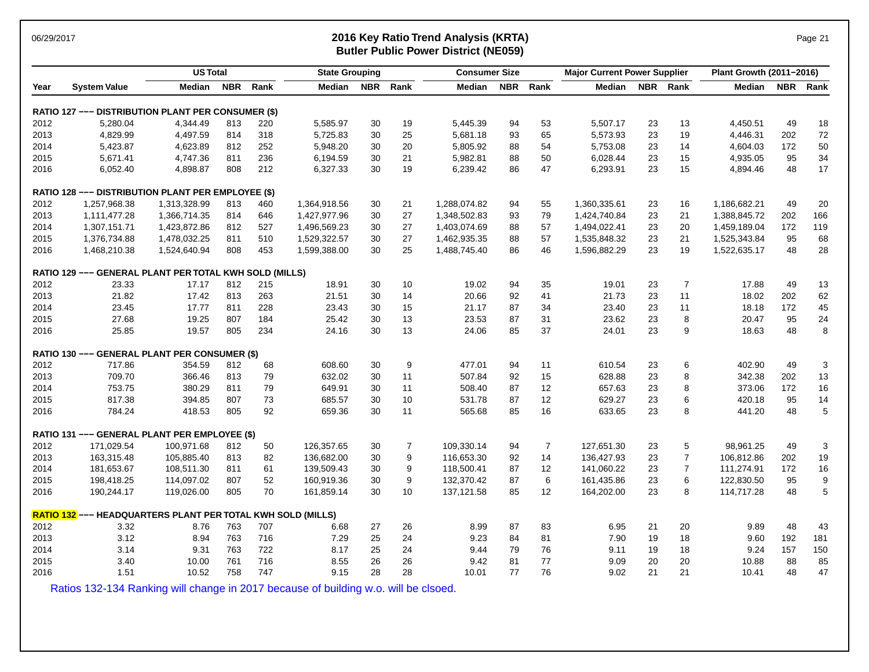### 06/29/2017 **2016 Key Ratio Trend Analysis (KRTA)** Page 21 **Butler Public Power District (NE059)**

|      |                                                             | <b>US Total</b> |            |      | <b>State Grouping</b> |    |                | <b>Consumer Size</b> |    | <b>Major Current Power Supplier</b> |              |    | Plant Growth (2011-2016) |              |     |                  |
|------|-------------------------------------------------------------|-----------------|------------|------|-----------------------|----|----------------|----------------------|----|-------------------------------------|--------------|----|--------------------------|--------------|-----|------------------|
| Year | <b>System Value</b>                                         | Median          | <b>NBR</b> | Rank | Median                |    | NBR Rank       | Median               |    | NBR Rank                            | Median       |    | NBR Rank                 | Median       |     | NBR Rank         |
|      | RATIO 127 --- DISTRIBUTION PLANT PER CONSUMER (\$)          |                 |            |      |                       |    |                |                      |    |                                     |              |    |                          |              |     |                  |
| 2012 | 5,280.04                                                    | 4,344.49        | 813        | 220  | 5,585.97              | 30 | 19             | 5,445.39             | 94 | 53                                  | 5,507.17     | 23 | 13                       | 4,450.51     | 49  | 18               |
| 2013 | 4,829.99                                                    | 4,497.59        | 814        | 318  | 5,725.83              | 30 | 25             | 5,681.18             | 93 | 65                                  | 5,573.93     | 23 | 19                       | 4,446.31     | 202 | 72               |
| 2014 | 5,423.87                                                    | 4,623.89        | 812        | 252  | 5,948.20              | 30 | 20             | 5,805.92             | 88 | 54                                  | 5,753.08     | 23 | 14                       | 4,604.03     | 172 | 50               |
| 2015 | 5,671.41                                                    | 4,747.36        | 811        | 236  | 6,194.59              | 30 | 21             | 5,982.81             | 88 | 50                                  | 6,028.44     | 23 | 15                       | 4,935.05     | 95  | 34               |
| 2016 | 6,052.40                                                    | 4,898.87        | 808        | 212  | 6,327.33              | 30 | 19             | 6,239.42             | 86 | 47                                  | 6,293.91     | 23 | 15                       | 4,894.46     | 48  | 17               |
|      | RATIO 128 --- DISTRIBUTION PLANT PER EMPLOYEE (\$)          |                 |            |      |                       |    |                |                      |    |                                     |              |    |                          |              |     |                  |
| 2012 | 1,257,968.38                                                | 1,313,328.99    | 813        | 460  | 1,364,918.56          | 30 | 21             | 1,288,074.82         | 94 | 55                                  | 1,360,335.61 | 23 | 16                       | 1,186,682.21 | 49  | 20               |
| 2013 | 1,111,477.28                                                | 1,366,714.35    | 814        | 646  | 1,427,977.96          | 30 | 27             | 1,348,502.83         | 93 | 79                                  | 1,424,740.84 | 23 | 21                       | 1,388,845.72 | 202 | 166              |
| 2014 | 1,307,151.71                                                | 1,423,872.86    | 812        | 527  | 1,496,569.23          | 30 | 27             | 1,403,074.69         | 88 | 57                                  | 1,494,022.41 | 23 | 20                       | 1,459,189.04 | 172 | 119              |
| 2015 | 1,376,734.88                                                | 1,478,032.25    | 811        | 510  | 1,529,322.57          | 30 | 27             | 1,462,935.35         | 88 | 57                                  | 1,535,848.32 | 23 | 21                       | 1,525,343.84 | 95  | 68               |
| 2016 | 1,468,210.38                                                | 1,524,640.94    | 808        | 453  | 1,599,388.00          | 30 | 25             | 1,488,745.40         | 86 | 46                                  | 1,596,882.29 | 23 | 19                       | 1,522,635.17 | 48  | 28               |
|      | RATIO 129 --- GENERAL PLANT PER TOTAL KWH SOLD (MILLS)      |                 |            |      |                       |    |                |                      |    |                                     |              |    |                          |              |     |                  |
| 2012 | 23.33                                                       | 17.17           | 812        | 215  | 18.91                 | 30 | 10             | 19.02                | 94 | 35                                  | 19.01        | 23 | $\overline{7}$           | 17.88        | 49  | 13               |
| 2013 | 21.82                                                       | 17.42           | 813        | 263  | 21.51                 | 30 | 14             | 20.66                | 92 | 41                                  | 21.73        | 23 | 11                       | 18.02        | 202 | 62               |
| 2014 | 23.45                                                       | 17.77           | 811        | 228  | 23.43                 | 30 | 15             | 21.17                | 87 | 34                                  | 23.40        | 23 | 11                       | 18.18        | 172 | 45               |
| 2015 | 27.68                                                       | 19.25           | 807        | 184  | 25.42                 | 30 | 13             | 23.53                | 87 | 31                                  | 23.62        | 23 | 8                        | 20.47        | 95  | 24               |
| 2016 | 25.85                                                       | 19.57           | 805        | 234  | 24.16                 | 30 | 13             | 24.06                | 85 | 37                                  | 24.01        | 23 | 9                        | 18.63        | 48  | 8                |
|      | RATIO 130 --- GENERAL PLANT PER CONSUMER (\$)               |                 |            |      |                       |    |                |                      |    |                                     |              |    |                          |              |     |                  |
| 2012 | 717.86                                                      | 354.59          | 812        | 68   | 608.60                | 30 | 9              | 477.01               | 94 | 11                                  | 610.54       | 23 | 6                        | 402.90       | 49  | 3                |
| 2013 | 709.70                                                      | 366.46          | 813        | 79   | 632.02                | 30 | 11             | 507.84               | 92 | 15                                  | 628.88       | 23 | 8                        | 342.38       | 202 | 13               |
| 2014 | 753.75                                                      | 380.29          | 811        | 79   | 649.91                | 30 | 11             | 508.40               | 87 | 12                                  | 657.63       | 23 | 8                        | 373.06       | 172 | 16               |
| 2015 | 817.38                                                      | 394.85          | 807        | 73   | 685.57                | 30 | 10             | 531.78               | 87 | 12                                  | 629.27       | 23 | 6                        | 420.18       | 95  | 14               |
| 2016 | 784.24                                                      | 418.53          | 805        | 92   | 659.36                | 30 | 11             | 565.68               | 85 | 16                                  | 633.65       | 23 | 8                        | 441.20       | 48  | 5                |
|      | RATIO 131 --- GENERAL PLANT PER EMPLOYEE (\$)               |                 |            |      |                       |    |                |                      |    |                                     |              |    |                          |              |     |                  |
| 2012 | 171,029.54                                                  | 100,971.68      | 812        | 50   | 126,357.65            | 30 | $\overline{7}$ | 109,330.14           | 94 | $\overline{7}$                      | 127,651.30   | 23 | 5                        | 98,961.25    | 49  | 3                |
| 2013 | 163,315.48                                                  | 105,885.40      | 813        | 82   | 136,682.00            | 30 | 9              | 116,653.30           | 92 | 14                                  | 136,427.93   | 23 | $\overline{7}$           | 106,812.86   | 202 | 19               |
| 2014 | 181,653.67                                                  | 108,511.30      | 811        | 61   | 139,509.43            | 30 | 9              | 118,500.41           | 87 | 12                                  | 141,060.22   | 23 | $\overline{7}$           | 111,274.91   | 172 | 16               |
| 2015 | 198,418.25                                                  | 114,097.02      | 807        | 52   | 160,919.36            | 30 | 9              | 132,370.42           | 87 | 6                                   | 161,435.86   | 23 | 6                        | 122,830.50   | 95  | $\boldsymbol{9}$ |
| 2016 | 190,244.17                                                  | 119,026.00      | 805        | 70   | 161,859.14            | 30 | 10             | 137,121.58           | 85 | 12                                  | 164,202.00   | 23 | 8                        | 114,717.28   | 48  | 5                |
|      | RATIO 132 --- HEADQUARTERS PLANT PER TOTAL KWH SOLD (MILLS) |                 |            |      |                       |    |                |                      |    |                                     |              |    |                          |              |     |                  |
| 2012 | 3.32                                                        | 8.76            | 763        | 707  | 6.68                  | 27 | 26             | 8.99                 | 87 | 83                                  | 6.95         | 21 | 20                       | 9.89         | 48  | 43               |
| 2013 | 3.12                                                        | 8.94            | 763        | 716  | 7.29                  | 25 | 24             | 9.23                 | 84 | 81                                  | 7.90         | 19 | 18                       | 9.60         | 192 | 181              |
| 2014 | 3.14                                                        | 9.31            | 763        | 722  | 8.17                  | 25 | 24             | 9.44                 | 79 | 76                                  | 9.11         | 19 | 18                       | 9.24         | 157 | 150              |
| 2015 | 3.40                                                        | 10.00           | 761        | 716  | 8.55                  | 26 | 26             | 9.42                 | 81 | 77                                  | 9.09         | 20 | 20                       | 10.88        | 88  | 85               |
| 2016 | 1.51                                                        | 10.52           | 758        | 747  | 9.15                  | 28 | 28             | 10.01                | 77 | 76                                  | 9.02         | 21 | 21                       | 10.41        | 48  | 47               |

Ratios 132-134 Ranking will change in 2017 because of building w.o. will be clsoed.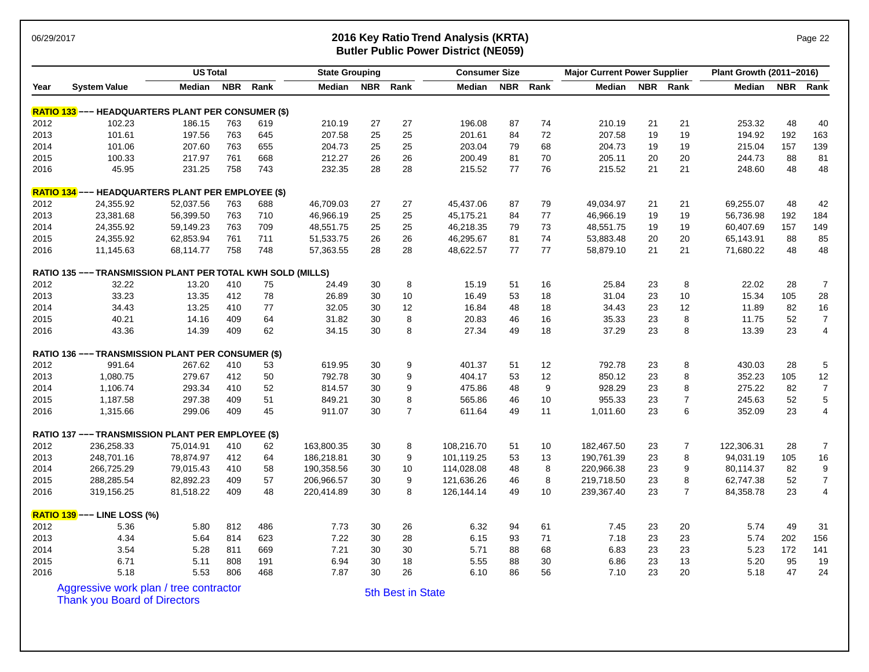### 06/29/2017 **2016 Key Ratio Trend Analysis (KRTA)** Page 22 **Butler Public Power District (NE059)**

| але |  |
|-----|--|
|     |  |

|      |                                                             | <b>US Total</b> |            |      | <b>State Grouping</b> |            |                   | <b>Consumer Size</b> |            |      | <b>Major Current Power Supplier</b> |    |                | Plant Growth (2011-2016) |     |                  |
|------|-------------------------------------------------------------|-----------------|------------|------|-----------------------|------------|-------------------|----------------------|------------|------|-------------------------------------|----|----------------|--------------------------|-----|------------------|
| Year | <b>System Value</b>                                         | Median          | <b>NBR</b> | Rank | Median                | <b>NBR</b> | Rank              | Median               | <b>NBR</b> | Rank | Median                              |    | NBR Rank       | <b>Median</b>            |     | NBR Rank         |
|      | <b>RATIO 133</b> --- HEADQUARTERS PLANT PER CONSUMER (\$)   |                 |            |      |                       |            |                   |                      |            |      |                                     |    |                |                          |     |                  |
| 2012 | 102.23                                                      | 186.15          | 763        | 619  | 210.19                | 27         | 27                | 196.08               | 87         | 74   | 210.19                              | 21 | 21             | 253.32                   | 48  | 40               |
| 2013 | 101.61                                                      | 197.56          | 763        | 645  | 207.58                | 25         | 25                | 201.61               | 84         | 72   | 207.58                              | 19 | 19             | 194.92                   | 192 | 163              |
| 2014 | 101.06                                                      | 207.60          | 763        | 655  | 204.73                | 25         | 25                | 203.04               | 79         | 68   | 204.73                              | 19 | 19             | 215.04                   | 157 | 139              |
| 2015 | 100.33                                                      | 217.97          | 761        | 668  | 212.27                | 26         | 26                | 200.49               | 81         | 70   | 205.11                              | 20 | 20             | 244.73                   | 88  | 81               |
| 2016 | 45.95                                                       | 231.25          | 758        | 743  | 232.35                | 28         | 28                | 215.52               | 77         | 76   | 215.52                              | 21 | 21             | 248.60                   | 48  | 48               |
|      | RATIO 134 --- HEADQUARTERS PLANT PER EMPLOYEE (\$)          |                 |            |      |                       |            |                   |                      |            |      |                                     |    |                |                          |     |                  |
| 2012 | 24,355.92                                                   | 52,037.56       | 763        | 688  | 46,709.03             | 27         | 27                | 45,437.06            | 87         | 79   | 49,034.97                           | 21 | 21             | 69,255.07                | 48  | 42               |
| 2013 | 23,381.68                                                   | 56,399.50       | 763        | 710  | 46,966.19             | 25         | 25                | 45,175.21            | 84         | 77   | 46,966.19                           | 19 | 19             | 56,736.98                | 192 | 184              |
| 2014 | 24,355.92                                                   | 59,149.23       | 763        | 709  | 48,551.75             | 25         | 25                | 46,218.35            | 79         | 73   | 48,551.75                           | 19 | 19             | 60,407.69                | 157 | 149              |
| 2015 | 24,355.92                                                   | 62,853.94       | 761        | 711  | 51,533.75             | 26         | 26                | 46,295.67            | 81         | 74   | 53,883.48                           | 20 | 20             | 65,143.91                | 88  | 85               |
| 2016 | 11,145.63                                                   | 68,114.77       | 758        | 748  | 57,363.55             | 28         | 28                | 48,622.57            | 77         | 77   | 58,879.10                           | 21 | 21             | 71,680.22                | 48  | 48               |
|      | RATIO 135 --- TRANSMISSION PLANT PER TOTAL KWH SOLD (MILLS) |                 |            |      |                       |            |                   |                      |            |      |                                     |    |                |                          |     |                  |
| 2012 | 32.22                                                       | 13.20           | 410        | 75   | 24.49                 | 30         | 8                 | 15.19                | 51         | 16   | 25.84                               | 23 | 8              | 22.02                    | 28  | $\overline{7}$   |
| 2013 | 33.23                                                       | 13.35           | 412        | 78   | 26.89                 | 30         | 10                | 16.49                | 53         | 18   | 31.04                               | 23 | 10             | 15.34                    | 105 | 28               |
| 2014 | 34.43                                                       | 13.25           | 410        | 77   | 32.05                 | 30         | 12                | 16.84                | 48         | 18   | 34.43                               | 23 | 12             | 11.89                    | 82  | 16               |
| 2015 | 40.21                                                       | 14.16           | 409        | 64   | 31.82                 | 30         | 8                 | 20.83                | 46         | 16   | 35.33                               | 23 | 8              | 11.75                    | 52  | $\overline{7}$   |
| 2016 | 43.36                                                       | 14.39           | 409        | 62   | 34.15                 | 30         | 8                 | 27.34                | 49         | 18   | 37.29                               | 23 | 8              | 13.39                    | 23  | $\overline{4}$   |
|      | RATIO 136 --- TRANSMISSION PLANT PER CONSUMER (\$)          |                 |            |      |                       |            |                   |                      |            |      |                                     |    |                |                          |     |                  |
| 2012 | 991.64                                                      | 267.62          | 410        | 53   | 619.95                | 30         | 9                 | 401.37               | 51         | 12   | 792.78                              | 23 | 8              | 430.03                   | 28  | $\sqrt{5}$       |
| 2013 | 1,080.75                                                    | 279.67          | 412        | 50   | 792.78                | 30         | 9                 | 404.17               | 53         | 12   | 850.12                              | 23 | 8              | 352.23                   | 105 | 12               |
| 2014 | 1,106.74                                                    | 293.34          | 410        | 52   | 814.57                | 30         | 9                 | 475.86               | 48         | 9    | 928.29                              | 23 | 8              | 275.22                   | 82  | $\overline{7}$   |
| 2015 | 1,187.58                                                    | 297.38          | 409        | 51   | 849.21                | 30         | 8                 | 565.86               | 46         | 10   | 955.33                              | 23 | $\overline{7}$ | 245.63                   | 52  | 5                |
| 2016 | 1,315.66                                                    | 299.06          | 409        | 45   | 911.07                | 30         | $\overline{7}$    | 611.64               | 49         | 11   | 1,011.60                            | 23 | 6              | 352.09                   | 23  | $\overline{4}$   |
|      | RATIO 137 --- TRANSMISSION PLANT PER EMPLOYEE (\$)          |                 |            |      |                       |            |                   |                      |            |      |                                     |    |                |                          |     |                  |
| 2012 | 236,258.33                                                  | 75,014.91       | 410        | 62   | 163,800.35            | 30         | 8                 | 108,216.70           | 51         | 10   | 182,467.50                          | 23 | $\overline{7}$ | 122,306.31               | 28  | $\overline{7}$   |
| 2013 | 248,701.16                                                  | 78,874.97       | 412        | 64   | 186,218.81            | 30         | 9                 | 101,119.25           | 53         | 13   | 190,761.39                          | 23 | 8              | 94,031.19                | 105 | $16\,$           |
| 2014 | 266,725.29                                                  | 79,015.43       | 410        | 58   | 190,358.56            | 30         | 10                | 114,028.08           | 48         | 8    | 220,966.38                          | 23 | 9              | 80,114.37                | 82  | 9                |
| 2015 | 288,285.54                                                  | 82,892.23       | 409        | 57   | 206,966.57            | 30         | 9                 | 121,636.26           | 46         | 8    | 219,718.50                          | 23 | 8              | 62,747.38                | 52  | $\boldsymbol{7}$ |
| 2016 | 319,156.25                                                  | 81,518.22       | 409        | 48   | 220,414.89            | 30         | 8                 | 126,144.14           | 49         | 10   | 239,367.40                          | 23 | $\overline{7}$ | 84,358.78                | 23  | $\overline{4}$   |
|      | <b>RATIO 139 --- LINE LOSS (%)</b>                          |                 |            |      |                       |            |                   |                      |            |      |                                     |    |                |                          |     |                  |
| 2012 | 5.36                                                        | 5.80            | 812        | 486  | 7.73                  | 30         | 26                | 6.32                 | 94         | 61   | 7.45                                | 23 | 20             | 5.74                     | 49  | 31               |
| 2013 | 4.34                                                        | 5.64            | 814        | 623  | 7.22                  | 30         | 28                | 6.15                 | 93         | 71   | 7.18                                | 23 | 23             | 5.74                     | 202 | 156              |
| 2014 | 3.54                                                        | 5.28            | 811        | 669  | 7.21                  | 30         | 30                | 5.71                 | 88         | 68   | 6.83                                | 23 | 23             | 5.23                     | 172 | 141              |
| 2015 | 6.71                                                        | 5.11            | 808        | 191  | 6.94                  | 30         | 18                | 5.55                 | 88         | 30   | 6.86                                | 23 | 13             | 5.20                     | 95  | 19               |
| 2016 | 5.18                                                        | 5.53            | 806        | 468  | 7.87                  | 30         | 26                | 6.10                 | 86         | 56   | 7.10                                | 23 | 20             | 5.18                     | 47  | 24               |
|      | Aggressive work plan / tree contractor                      |                 |            |      |                       |            | 5th Best in State |                      |            |      |                                     |    |                |                          |     |                  |
|      | <b>Thank you Board of Directors</b>                         |                 |            |      |                       |            |                   |                      |            |      |                                     |    |                |                          |     |                  |